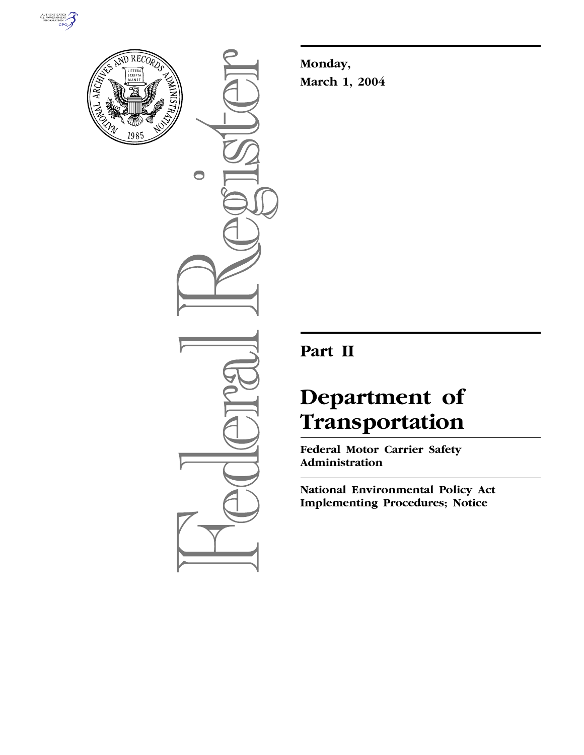



 $\bigcirc$ 

**Monday, March 1, 2004**

# **Part II**

# **Department of Transportation**

**Federal Motor Carrier Safety Administration** 

**National Environmental Policy Act Implementing Procedures; Notice**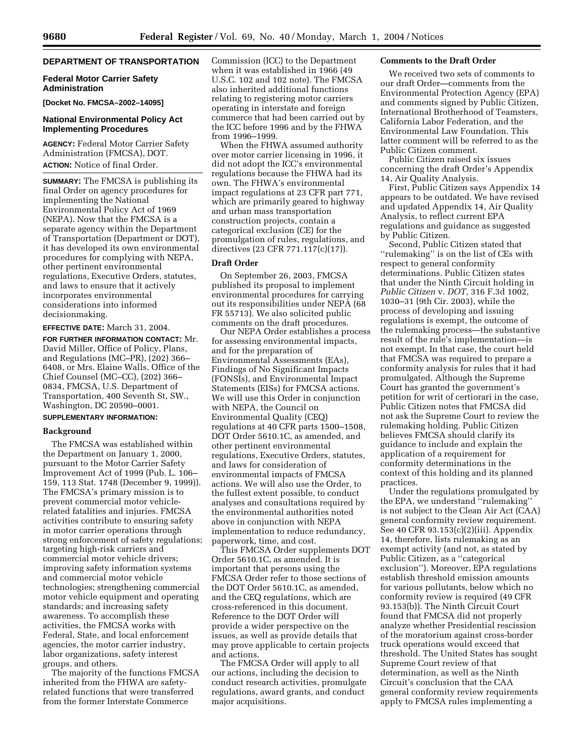# **DEPARTMENT OF TRANSPORTATION**

#### **Federal Motor Carrier Safety Administration**

**[Docket No. FMCSA–2002–14095]** 

# **National Environmental Policy Act Implementing Procedures**

**AGENCY:** Federal Motor Carrier Safety Administration (FMCSA), DOT. **ACTION:** Notice of final Order.

**SUMMARY:** The FMCSA is publishing its final Order on agency procedures for implementing the National Environmental Policy Act of 1969 (NEPA). Now that the FMCSA is a separate agency within the Department of Transportation (Department or DOT), it has developed its own environmental procedures for complying with NEPA, other pertinent environmental regulations, Executive Orders, statutes, and laws to ensure that it actively incorporates environmental considerations into informed decisionmaking.

#### **EFFECTIVE DATE:** March 31, 2004.

**FOR FURTHER INFORMATION CONTACT:** Mr. David Miller, Office of Policy, Plans, and Regulations (MC–PR), (202) 366– 6408, or Mrs. Elaine Walls, Office of the Chief Counsel (MC–CC), (202) 366– 0834, FMCSA, U.S. Department of Transportation, 400 Seventh St, SW., Washington, DC 20590–0001.

#### **SUPPLEMENTARY INFORMATION:**

# **Background**

The FMCSA was established within the Department on January 1, 2000, pursuant to the Motor Carrier Safety Improvement Act of 1999 (Pub. L. 106– 159, 113 Stat. 1748 (December 9, 1999)). The FMCSA's primary mission is to prevent commercial motor vehiclerelated fatalities and injuries. FMCSA activities contribute to ensuring safety in motor carrier operations through strong enforcement of safety regulations; targeting high-risk carriers and commercial motor vehicle drivers; improving safety information systems and commercial motor vehicle technologies; strengthening commercial motor vehicle equipment and operating standards; and increasing safety awareness. To accomplish these activities, the FMCSA works with Federal, State, and local enforcement agencies, the motor carrier industry, labor organizations, safety interest groups, and others.

The majority of the functions FMCSA inherited from the FHWA are safetyrelated functions that were transferred from the former Interstate Commerce

Commission (ICC) to the Department when it was established in 1966 (49 U.S.C. 102 and 102 note). The FMCSA also inherited additional functions relating to registering motor carriers operating in interstate and foreign commerce that had been carried out by the ICC before 1996 and by the FHWA from 1996–1999.

When the FHWA assumed authority over motor carrier licensing in 1996, it did not adopt the ICC's environmental regulations because the FHWA had its own. The FHWA's environmental impact regulations at 23 CFR part 771, which are primarily geared to highway and urban mass transportation construction projects, contain a categorical exclusion (CE) for the promulgation of rules, regulations, and directives (23 CFR 771.117(c)(17)).

#### **Draft Order**

On September 26, 2003, FMCSA published its proposal to implement environmental procedures for carrying out its responsibilities under NEPA (68 FR 55713). We also solicited public comments on the draft procedures.

Our NEPA Order establishes a process for assessing environmental impacts, and for the preparation of Environmental Assessments (EAs), Findings of No Significant Impacts (FONSIs), and Environmental Impact Statements (EISs) for FMCSA actions. We will use this Order in conjunction with NEPA, the Council on Environmental Quality (CEQ) regulations at 40 CFR parts 1500–1508, DOT Order 5610.1C, as amended, and other pertinent environmental regulations, Executive Orders, statutes, and laws for consideration of environmental impacts of FMCSA actions. We will also use the Order, to the fullest extent possible, to conduct analyses and consultations required by the environmental authorities noted above in conjunction with NEPA implementation to reduce redundancy, paperwork, time, and cost.

This FMCSA Order supplements DOT Order 5610.1C, as amended. It is important that persons using the FMCSA Order refer to those sections of the DOT Order 5610.1C, as amended, and the CEQ regulations, which are cross-referenced in this document. Reference to the DOT Order will provide a wider perspective on the issues, as well as provide details that may prove applicable to certain projects and actions.

The FMCSA Order will apply to all our actions, including the decision to conduct research activities, promulgate regulations, award grants, and conduct major acquisitions.

#### **Comments to the Draft Order**

We received two sets of comments to our draft Order—comments from the Environmental Protection Agency (EPA) and comments signed by Public Citizen, International Brotherhood of Teamsters, California Labor Federation, and the Environmental Law Foundation. This latter comment will be referred to as the Public Citizen comment.

Public Citizen raised six issues concerning the draft Order's Appendix 14, Air Quality Analysis.

First, Public Citizen says Appendix 14 appears to be outdated. We have revised and updated Appendix 14, Air Quality Analysis, to reflect current EPA regulations and guidance as suggested by Public Citizen.

Second, Public Citizen stated that ''rulemaking'' is on the list of CEs with respect to general conformity determinations. Public Citizen states that under the Ninth Circuit holding in *Public Citizen* v. *DOT,* 316 F.3d 1002, 1030–31 (9th Cir. 2003), while the process of developing and issuing regulations is exempt, the outcome of the rulemaking process—the substantive result of the rule's implementation—is not exempt. In that case, the court held that FMCSA was required to prepare a conformity analysis for rules that it had promulgated. Although the Supreme Court has granted the government's petition for writ of certiorari in the case, Public Citizen notes that FMCSA did not ask the Supreme Court to review the rulemaking holding. Public Citizen believes FMCSA should clarify its guidance to include and explain the application of a requirement for conformity determinations in the context of this holding and its planned practices.

Under the regulations promulgated by the EPA, we understand ''rulemaking'' is not subject to the Clean Air Act (CAA) general conformity review requirement. See 40 CFR 93.153(c)(2)(iii). Appendix 14, therefore, lists rulemaking as an exempt activity (and not, as stated by Public Citizen, as a ''categorical exclusion''). Moreover, EPA regulations establish threshold emission amounts for various pollutants, below which no conformity review is required (49 CFR 93.153(b)). The Ninth Circuit Court found that FMCSA did not properly analyze whether Presidential rescission of the moratorium against cross-border truck operations would exceed that threshold. The United States has sought Supreme Court review of that determination, as well as the Ninth Circuit's conclusion that the CAA general conformity review requirements apply to FMCSA rules implementing a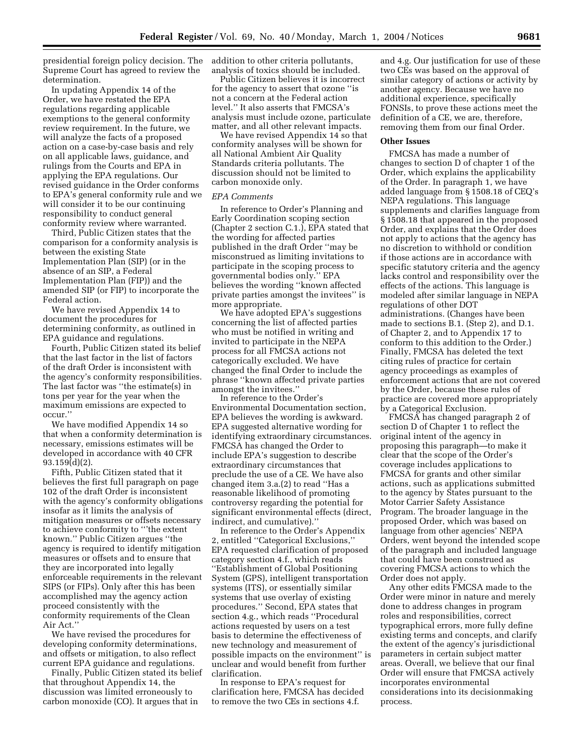presidential foreign policy decision. The Supreme Court has agreed to review the determination.

In updating Appendix 14 of the Order, we have restated the EPA regulations regarding applicable exemptions to the general conformity review requirement. In the future, we will analyze the facts of a proposed action on a case-by-case basis and rely on all applicable laws, guidance, and rulings from the Courts and EPA in applying the EPA regulations. Our revised guidance in the Order conforms to EPA's general conformity rule and we will consider it to be our continuing responsibility to conduct general conformity review where warranted.

Third, Public Citizen states that the comparison for a conformity analysis is between the existing State Implementation Plan (SIP) (or in the absence of an SIP, a Federal Implementation Plan (FIP)) and the amended SIP (or FIP) to incorporate the Federal action.

We have revised Appendix 14 to document the procedures for determining conformity, as outlined in EPA guidance and regulations.

Fourth, Public Citizen stated its belief that the last factor in the list of factors of the draft Order is inconsistent with the agency's conformity responsibilities. The last factor was ''the estimate(s) in tons per year for the year when the maximum emissions are expected to occur.''

We have modified Appendix 14 so that when a conformity determination is necessary, emissions estimates will be developed in accordance with 40 CFR 93.159(d)(2).

Fifth, Public Citizen stated that it believes the first full paragraph on page 102 of the draft Order is inconsistent with the agency's conformity obligations insofar as it limits the analysis of mitigation measures or offsets necessary to achieve conformity to '''the extent known.'' Public Citizen argues ''the agency is required to identify mitigation measures or offsets and to ensure that they are incorporated into legally enforceable requirements in the relevant SIPS (or FIPs). Only after this has been accomplished may the agency action proceed consistently with the conformity requirements of the Clean Air Act.''

We have revised the procedures for developing conformity determinations, and offsets or mitigation, to also reflect current EPA guidance and regulations.

Finally, Public Citizen stated its belief that throughout Appendix 14, the discussion was limited erroneously to carbon monoxide (CO). It argues that in

addition to other criteria pollutants, analysis of toxics should be included.

Public Citizen believes it is incorrect for the agency to assert that ozone ''is not a concern at the Federal action level.'' It also asserts that FMCSA's analysis must include ozone, particulate matter, and all other relevant impacts.

We have revised Appendix 14 so that conformity analyses will be shown for all National Ambient Air Quality Standards criteria pollutants. The discussion should not be limited to carbon monoxide only.

#### *EPA Comments*

In reference to Order's Planning and Early Coordination scoping section (Chapter 2 section C.1.), EPA stated that the wording for affected parties published in the draft Order ''may be misconstrued as limiting invitations to participate in the scoping process to governmental bodies only.'' EPA believes the wording ''known affected private parties amongst the invitees'' is more appropriate.

We have adopted EPA's suggestions concerning the list of affected parties who must be notified in writing and invited to participate in the NEPA process for all FMCSA actions not categorically excluded. We have changed the final Order to include the phrase ''known affected private parties amongst the invitees.''

In reference to the Order's Environmental Documentation section, EPA believes the wording is awkward. EPA suggested alternative wording for identifying extraordinary circumstances. FMCSA has changed the Order to include EPA's suggestion to describe extraordinary circumstances that preclude the use of a CE. We have also changed item 3.a.(2) to read ''Has a reasonable likelihood of promoting controversy regarding the potential for significant environmental effects (direct, indirect, and cumulative).''

In reference to the Order's Appendix 2, entitled ''Categorical Exclusions,'' EPA requested clarification of proposed category section 4.f., which reads ''Establishment of Global Positioning System (GPS), intelligent transportation systems (ITS), or essentially similar systems that use overlay of existing procedures.'' Second, EPA states that section 4.g., which reads ''Procedural actions requested by users on a test basis to determine the effectiveness of new technology and measurement of possible impacts on the environment'' is unclear and would benefit from further clarification.

In response to EPA's request for clarification here, FMCSA has decided to remove the two CEs in sections 4.f.

and 4.g. Our justification for use of these two CEs was based on the approval of similar category of actions or activity by another agency. Because we have no additional experience, specifically FONSIs, to prove these actions meet the definition of a CE, we are, therefore, removing them from our final Order.

# **Other Issues**

FMCSA has made a number of changes to section D of chapter 1 of the Order, which explains the applicability of the Order. In paragraph 1, we have added language from § 1508.18 of CEQ's NEPA regulations. This language supplements and clarifies language from § 1508.18 that appeared in the proposed Order, and explains that the Order does not apply to actions that the agency has no discretion to withhold or condition if those actions are in accordance with specific statutory criteria and the agency lacks control and responsibility over the effects of the actions. This language is modeled after similar language in NEPA regulations of other DOT administrations. (Changes have been made to sections B.1. (Step 2), and D.1. of Chapter 2, and to Appendix 17 to conform to this addition to the Order.) Finally, FMCSA has deleted the text citing rules of practice for certain agency proceedings as examples of enforcement actions that are not covered by the Order, because these rules of practice are covered more appropriately by a Categorical Exclusion.

FMCSA has changed paragraph 2 of section D of Chapter 1 to reflect the original intent of the agency in proposing this paragraph—to make it clear that the scope of the Order's coverage includes applications to FMCSA for grants and other similar actions, such as applications submitted to the agency by States pursuant to the Motor Carrier Safety Assistance Program. The broader language in the proposed Order, which was based on language from other agencies' NEPA Orders, went beyond the intended scope of the paragraph and included language that could have been construed as covering FMCSA actions to which the Order does not apply.

Any other edits FMCSA made to the Order were minor in nature and merely done to address changes in program roles and responsibilities, correct typographical errors, more fully define existing terms and concepts, and clarify the extent of the agency's jurisdictional parameters in certain subject matter areas. Overall, we believe that our final Order will ensure that FMCSA actively incorporates environmental considerations into its decisionmaking process.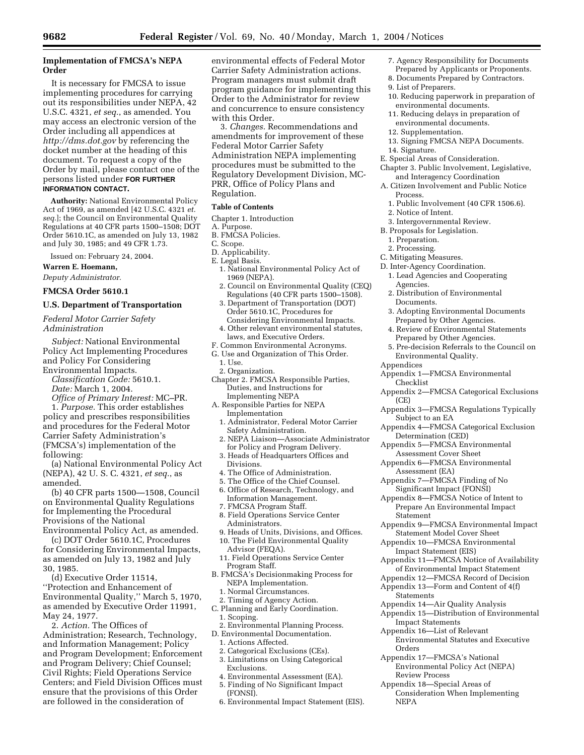# **Implementation of FMCSA's NEPA Order**

It is necessary for FMCSA to issue implementing procedures for carrying out its responsibilities under NEPA, 42 U.S.C. 4321, *et seq.*, as amended. You may access an electronic version of the Order including all appendices at *http://dms.dot.gov* by referencing the docket number at the heading of this document. To request a copy of the Order by mail, please contact one of the persons listed under **FOR FURTHER INFORMATION CONTACT.**

**Authority:** National Environmental Policy Act of 1969, as amended [42 U.S.C. 4321 *et. seq.*]; the Council on Environmental Quality Regulations at 40 CFR parts 1500–1508; DOT Order 5610.1C, as amended on July 13, 1982 and July 30, 1985; and 49 CFR 1.73.

Issued on: February 24, 2004.

# **Warren E. Hoemann,**

*Deputy Administrator.*

# **FMCSA Order 5610.1**

# **U.S. Department of Transportation**

*Federal Motor Carrier Safety Administration* 

*Subject:* National Environmental Policy Act Implementing Procedures and Policy For Considering Environmental Impacts.

*Classification Code:* 5610.1.

*Date:* March 1, 2004.

*Office of Primary Interest:* MC–PR. 1. *Purpose.* This order establishes

policy and prescribes responsibilities and procedures for the Federal Motor Carrier Safety Administration's (FMCSA's) implementation of the following:

(a) National Environmental Policy Act (NEPA), 42 U. S. C. 4321, *et seq.*, as amended.

(b) 40 CFR parts 1500—1508, Council on Environmental Quality Regulations for Implementing the Procedural Provisions of the National Environmental Policy Act, as amended.

(c) DOT Order 5610.1C, Procedures

for Considering Environmental Impacts, as amended on July 13, 1982 and July 30, 1985.

(d) Executive Order 11514, ''Protection and Enhancement of Environmental Quality,'' March 5, 1970, as amended by Executive Order 11991, May 24, 1977.

2. *Action.* The Offices of Administration; Research, Technology, and Information Management; Policy and Program Development; Enforcement and Program Delivery; Chief Counsel; Civil Rights; Field Operations Service Centers; and Field Division Offices must ensure that the provisions of this Order are followed in the consideration of

environmental effects of Federal Motor Carrier Safety Administration actions. Program managers must submit draft program guidance for implementing this Order to the Administrator for review and concurrence to ensure consistency with this Order.

3. *Changes.* Recommendations and amendments for improvement of these Federal Motor Carrier Safety Administration NEPA implementing procedures must be submitted to the Regulatory Development Division, MC-PRR, Office of Policy Plans and Regulation.

#### **Table of Contents**

- Chapter 1. Introduction
- A. Purpose.
- B. FMCSA Policies.
- C. Scope.
- D. Applicability.
- E. Legal Basis.
	- 1. National Environmental Policy Act of 1969 (NEPA).
	- 2. Council on Environmental Quality (CEQ) Regulations (40 CFR parts 1500–1508).
	- 3. Department of Transportation (DOT) Order 5610.1C, Procedures for Considering Environmental Impacts. 4. Other relevant environmental statutes,
- laws, and Executive Orders. F. Common Environmental Acronyms.
- G. Use and Organization of This Order.
- 1. Use.
	- 2. Organization.
- Chapter 2. FMCSA Responsible Parties, Duties, and Instructions for Implementing NEPA
- A. Responsible Parties for NEPA Implementation
	- 1. Administrator, Federal Motor Carrier Safety Administration.
	- 2. NEPA Liaison—Associate Administrator for Policy and Program Delivery.
	- 3. Heads of Headquarters Offices and Divisions.
	- 4. The Office of Administration.
	- 5. The Office of the Chief Counsel.
	- 6. Office of Research, Technology, and Information Management.
	- 7. FMCSA Program Staff.
	- 8. Field Operations Service Center Administrators.
	- 9. Heads of Units, Divisions, and Offices. 10. The Field Environmental Quality
	- Advisor (FEQA).
	- 11. Field Operations Service Center Program Staff.
- B. FMCSA's Decisionmaking Process for NEPA Implementation.
	- 1. Normal Circumstances.
- 2. Timing of Agency Action.
- C. Planning and Early Coordination. 1. Scoping.
- 2. Environmental Planning Process. D. Environmental Documentation.
	- 1. Actions Affected.
	- 2. Categorical Exclusions (CEs).
	- 3. Limitations on Using Categorical
	- Exclusions.
	- 4. Environmental Assessment (EA).
	- 5. Finding of No Significant Impact (FONSI).
	- 6. Environmental Impact Statement (EIS).
- 7. Agency Responsibility for Documents Prepared by Applicants or Proponents.
- 8. Documents Prepared by Contractors.
- 9. List of Preparers.
- 10. Reducing paperwork in preparation of environmental documents.
- 11. Reducing delays in preparation of environmental documents.
- 12. Supplementation.
- 13. Signing FMCSA NEPA Documents. 14. Signature.
- E. Special Areas of Consideration.
- Chapter 3. Public Involvement, Legislative, and Interagency Coordination
- A. Citizen Involvement and Public Notice Process.
	- 1. Public Involvement (40 CFR 1506.6).
	- 2. Notice of Intent.
- 3. Intergovernmental Review.
- B. Proposals for Legislation.
- 1. Preparation.
- 2. Processing.
- C. Mitigating Measures.
- D. Inter-Agency Coordination. 1. Lead Agencies and Cooperating
	- Agencies.
	- 2. Distribution of Environmental **Documents**
	- 3. Adopting Environmental Documents Prepared by Other Agencies.
- 4. Review of Environmental Statements Prepared by Other Agencies.
- 5. Pre-decision Referrals to the Council on Environmental Quality.
- Appendices
- Appendix 1—FMCSA Environmental Checklist
- Appendix 2—FMCSA Categorical Exclusions  $(CE)$
- Appendix 3—FMCSA Regulations Typically Subject to an EA
- Appendix 4—FMCSA Categorical Exclusion Determination (CED)
- Appendix 5—FMCSA Environmental Assessment Cover Sheet
- Appendix 6—FMCSA Environmental Assessment (EA)
- Appendix 7—FMCSA Finding of No Significant Impact (FONSI)
- Appendix 8—FMCSA Notice of Intent to Prepare An Environmental Impact Statement
- Appendix 9—FMCSA Environmental Impact Statement Model Cover Sheet
- Appendix 10—FMCSA Environmental Impact Statement (EIS)
- Appendix 11—FMCSA Notice of Availability of Environmental Impact Statement

Environmental Statutes and Executive

Consideration When Implementing

- Appendix 12—FMCSA Record of Decision
- Appendix 13—Form and Content of 4(f) Statements

Appendix 14—Air Quality Analysis Appendix 15—Distribution of Environmental

Appendix 17—FMCSA's National Environmental Policy Act (NEPA)

Impact Statements Appendix 16—List of Relevant

Review Process Appendix 18—Special Areas of

Orders

NEPA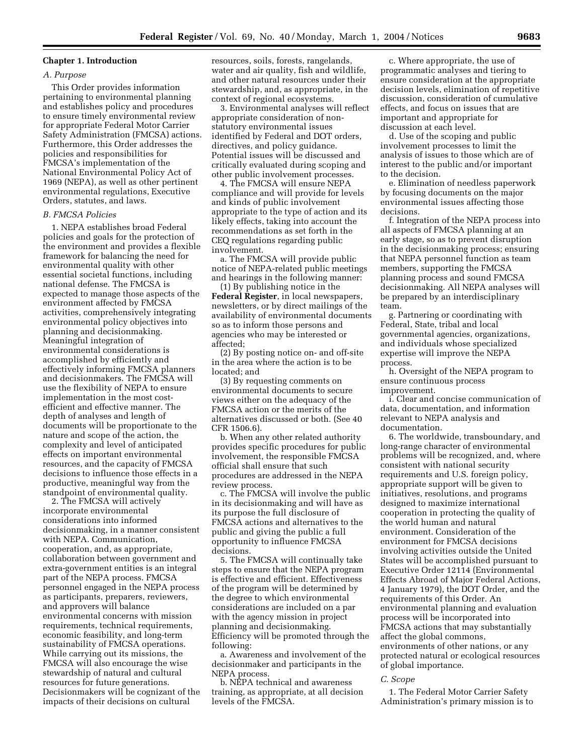# **Chapter 1. Introduction**

#### *A. Purpose*

This Order provides information pertaining to environmental planning and establishes policy and procedures to ensure timely environmental review for appropriate Federal Motor Carrier Safety Administration (FMCSA) actions. Furthermore, this Order addresses the policies and responsibilities for FMCSA's implementation of the National Environmental Policy Act of 1969 (NEPA), as well as other pertinent environmental regulations, Executive Orders, statutes, and laws.

# *B. FMCSA Policies*

1. NEPA establishes broad Federal policies and goals for the protection of the environment and provides a flexible framework for balancing the need for environmental quality with other essential societal functions, including national defense. The FMCSA is expected to manage those aspects of the environment affected by FMCSA activities, comprehensively integrating environmental policy objectives into planning and decisionmaking. Meaningful integration of environmental considerations is accomplished by efficiently and effectively informing FMCSA planners and decisionmakers. The FMCSA will use the flexibility of NEPA to ensure implementation in the most costefficient and effective manner. The depth of analyses and length of documents will be proportionate to the nature and scope of the action, the complexity and level of anticipated effects on important environmental resources, and the capacity of FMCSA decisions to influence those effects in a productive, meaningful way from the standpoint of environmental quality.

2. The FMCSA will actively incorporate environmental considerations into informed decisionmaking, in a manner consistent with NEPA. Communication, cooperation, and, as appropriate, collaboration between government and extra-government entities is an integral part of the NEPA process. FMCSA personnel engaged in the NEPA process as participants, preparers, reviewers, and approvers will balance environmental concerns with mission requirements, technical requirements, economic feasibility, and long-term sustainability of FMCSA operations. While carrying out its missions, the FMCSA will also encourage the wise stewardship of natural and cultural resources for future generations. Decisionmakers will be cognizant of the impacts of their decisions on cultural

resources, soils, forests, rangelands, water and air quality, fish and wildlife, and other natural resources under their stewardship, and, as appropriate, in the context of regional ecosystems.

3. Environmental analyses will reflect appropriate consideration of nonstatutory environmental issues identified by Federal and DOT orders, directives, and policy guidance. Potential issues will be discussed and critically evaluated during scoping and other public involvement processes.

4. The FMCSA will ensure NEPA compliance and will provide for levels and kinds of public involvement appropriate to the type of action and its likely effects, taking into account the recommendations as set forth in the CEQ regulations regarding public involvement.

a. The FMCSA will provide public notice of NEPA-related public meetings and hearings in the following manner:

(1) By publishing notice in the **Federal Register**, in local newspapers, newsletters, or by direct mailings of the availability of environmental documents so as to inform those persons and agencies who may be interested or affected;

(2) By posting notice on- and off-site in the area where the action is to be located; and

(3) By requesting comments on environmental documents to secure views either on the adequacy of the FMCSA action or the merits of the alternatives discussed or both. (See 40 CFR 1506.6).

b. When any other related authority provides specific procedures for public involvement, the responsible FMCSA official shall ensure that such procedures are addressed in the NEPA review process.

c. The FMCSA will involve the public in its decisionmaking and will have as its purpose the full disclosure of FMCSA actions and alternatives to the public and giving the public a full opportunity to influence FMCSA decisions.

5. The FMCSA will continually take steps to ensure that the NEPA program is effective and efficient. Effectiveness of the program will be determined by the degree to which environmental considerations are included on a par with the agency mission in project planning and decisionmaking. Efficiency will be promoted through the following:

a. Awareness and involvement of the decisionmaker and participants in the NEPA process.

b. NEPA technical and awareness training, as appropriate, at all decision levels of the FMCSA.

c. Where appropriate, the use of programmatic analyses and tiering to ensure consideration at the appropriate decision levels, elimination of repetitive discussion, consideration of cumulative effects, and focus on issues that are important and appropriate for discussion at each level.

d. Use of the scoping and public involvement processes to limit the analysis of issues to those which are of interest to the public and/or important to the decision.

e. Elimination of needless paperwork by focusing documents on the major environmental issues affecting those decisions.

f. Integration of the NEPA process into all aspects of FMCSA planning at an early stage, so as to prevent disruption in the decisionmaking process; ensuring that NEPA personnel function as team members, supporting the FMCSA planning process and sound FMCSA decisionmaking. All NEPA analyses will be prepared by an interdisciplinary team.

g. Partnering or coordinating with Federal, State, tribal and local governmental agencies, organizations, and individuals whose specialized expertise will improve the NEPA process.

h. Oversight of the NEPA program to ensure continuous process improvement.

i. Clear and concise communication of data, documentation, and information relevant to NEPA analysis and documentation.

6. The worldwide, transboundary, and long-range character of environmental problems will be recognized, and, where consistent with national security requirements and U.S. foreign policy, appropriate support will be given to initiatives, resolutions, and programs designed to maximize international cooperation in protecting the quality of the world human and natural environment. Consideration of the environment for FMCSA decisions involving activities outside the United States will be accomplished pursuant to Executive Order 12114 (Environmental Effects Abroad of Major Federal Actions, 4 January 1979), the DOT Order, and the requirements of this Order. An environmental planning and evaluation process will be incorporated into FMCSA actions that may substantially affect the global commons, environments of other nations, or any protected natural or ecological resources of global importance.

#### *C. Scope*

1. The Federal Motor Carrier Safety Administration's primary mission is to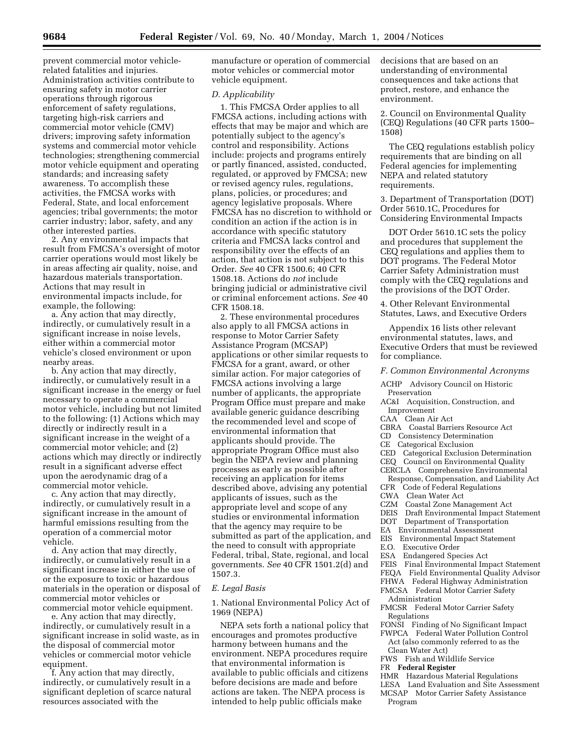prevent commercial motor vehiclerelated fatalities and injuries. Administration activities contribute to ensuring safety in motor carrier operations through rigorous enforcement of safety regulations, targeting high-risk carriers and commercial motor vehicle (CMV) drivers; improving safety information systems and commercial motor vehicle technologies; strengthening commercial motor vehicle equipment and operating standards; and increasing safety awareness. To accomplish these activities, the FMCSA works with Federal, State, and local enforcement agencies; tribal governments; the motor carrier industry; labor, safety, and any other interested parties.

2. Any environmental impacts that result from FMCSA's oversight of motor carrier operations would most likely be in areas affecting air quality, noise, and hazardous materials transportation. Actions that may result in environmental impacts include, for example, the following:

a. Any action that may directly, indirectly, or cumulatively result in a significant increase in noise levels, either within a commercial motor vehicle's closed environment or upon nearby areas.

b. Any action that may directly, indirectly, or cumulatively result in a significant increase in the energy or fuel necessary to operate a commercial motor vehicle, including but not limited to the following: (1) Actions which may directly or indirectly result in a significant increase in the weight of a commercial motor vehicle; and (2) actions which may directly or indirectly result in a significant adverse effect upon the aerodynamic drag of a commercial motor vehicle.

c. Any action that may directly, indirectly, or cumulatively result in a significant increase in the amount of harmful emissions resulting from the operation of a commercial motor vehicle.

d. Any action that may directly, indirectly, or cumulatively result in a significant increase in either the use of or the exposure to toxic or hazardous materials in the operation or disposal of commercial motor vehicles or commercial motor vehicle equipment.

e. Any action that may directly, indirectly, or cumulatively result in a significant increase in solid waste, as in the disposal of commercial motor vehicles or commercial motor vehicle equipment.

f. Any action that may directly, indirectly, or cumulatively result in a significant depletion of scarce natural resources associated with the

manufacture or operation of commercial motor vehicles or commercial motor vehicle equipment.

#### *D. Applicability*

1. This FMCSA Order applies to all FMCSA actions, including actions with effects that may be major and which are potentially subject to the agency's control and responsibility. Actions include: projects and programs entirely or partly financed, assisted, conducted, regulated, or approved by FMCSA; new or revised agency rules, regulations, plans, policies, or procedures; and agency legislative proposals. Where FMCSA has no discretion to withhold or condition an action if the action is in accordance with specific statutory criteria and FMCSA lacks control and responsibility over the effects of an action, that action is not subject to this Order. *See* 40 CFR 1500.6; 40 CFR 1508.18. Actions do *not* include bringing judicial or administrative civil or criminal enforcement actions. *See* 40 CFR 1508.18.

2. These environmental procedures also apply to all FMCSA actions in response to Motor Carrier Safety Assistance Program (MCSAP) applications or other similar requests to FMCSA for a grant, award, or other similar action. For major categories of FMCSA actions involving a large number of applicants, the appropriate Program Office must prepare and make available generic guidance describing the recommended level and scope of environmental information that applicants should provide. The appropriate Program Office must also begin the NEPA review and planning processes as early as possible after receiving an application for items described above, advising any potential applicants of issues, such as the appropriate level and scope of any studies or environmental information that the agency may require to be submitted as part of the application, and the need to consult with appropriate Federal, tribal, State, regional, and local governments. *See* 40 CFR 1501.2(d) and 1507.3.

#### *E. Legal Basis*

1. National Environmental Policy Act of 1969 (NEPA)

NEPA sets forth a national policy that encourages and promotes productive harmony between humans and the environment. NEPA procedures require that environmental information is available to public officials and citizens before decisions are made and before actions are taken. The NEPA process is intended to help public officials make

decisions that are based on an understanding of environmental consequences and take actions that protect, restore, and enhance the environment.

2. Council on Environmental Quality (CEQ) Regulations (40 CFR parts 1500– 1508)

The CEQ regulations establish policy requirements that are binding on all Federal agencies for implementing NEPA and related statutory requirements.

3. Department of Transportation (DOT) Order 5610.1C, Procedures for Considering Environmental Impacts

DOT Order 5610.1C sets the policy and procedures that supplement the CEQ regulations and applies them to DOT programs. The Federal Motor Carrier Safety Administration must comply with the CEQ regulations and the provisions of the DOT Order.

4. Other Relevant Environmental Statutes, Laws, and Executive Orders

Appendix 16 lists other relevant environmental statutes, laws, and Executive Orders that must be reviewed for compliance.

#### *F. Common Environmental Acronyms*

ACHP Advisory Council on Historic Preservation

AC&I Acquisition, Construction, and Improvement

- CAA<sup>
Clean</sup> Air Act
- CBRA Coastal Barriers Resource Act
- CD Consistency Determination
- CE Categorical Exclusion
- CED Categorical Exclusion Determination
- CEQ Council on Environmental Quality
- CERCLA Comprehensive Environmental

Response, Compensation, and Liability Act CFR Code of Federal Regulations

- 
- CWA Clean Water Act
- CZM Coastal Zone Management Act Draft Environmental Impact Statement
- DOT Department of Transportation
- 
- EA Environmental Assessment<br>EIS Environmental Impact Stat
- Environmental Impact Statement
- E.O. Executive Order<br>ESA Endangered Spe
- Endangered Species Act
- FEIS Final Environmental Impact Statement
- FEQA Field Environmental Quality Advisor FHWA Federal Highway Administration
- FMCSA Federal Motor Carrier Safety
	- Administration
- FMCSR Federal Motor Carrier Safety Regulations
- FONSI Finding of No Significant Impact FWPCA Federal Water Pollution Control
- Act (also commonly referred to as the Clean Water Act)
- FWS Fish and Wildlife Service
- FR **Federal Register**
- HMR Hazardous Material Regulations
- LESA Land Evaluation and Site Assessment
- MCSAP Motor Carrier Safety Assistance Program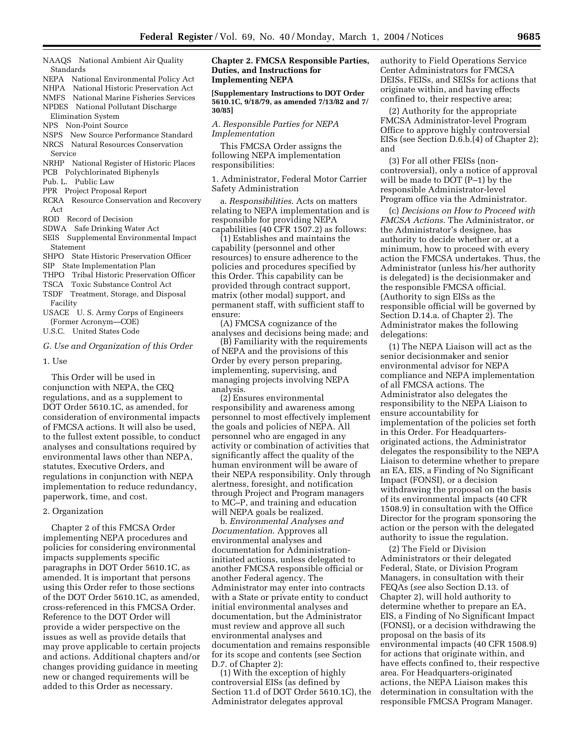NAAQS National Ambient Air Quality Standards

NEPA National Environmental Policy Act

NHPA National Historic Preservation Act

NMFS National Marine Fisheries Services NPDES National Pollutant Discharge

Elimination System

NPS Non-Point Source

NSPS New Source Performance Standard NRCS Natural Resources Conservation Service

NRHP National Register of Historic Places

PCB Polychlorinated Biphenyls

Pub. L. Public Law

- PPR Project Proposal Report
- RCRA Resource Conservation and Recovery Act
- ROD Record of Decision
- SDWA Safe Drinking Water Act
- SEIS Supplemental Environmental Impact Statement
- SHPO State Historic Preservation Officer
- SIP State Implementation Plan
- THPO Tribal Historic Preservation Officer
- TSCA Toxic Substance Control Act
- TSDF Treatment, Storage, and Disposal

Facility USACE U. S. Army Corps of Engineers (Former Acronym—COE)

U.S.C. United States Code

*G. Use and Organization of this Order* 

1. Use

This Order will be used in conjunction with NEPA, the CEQ regulations, and as a supplement to DOT Order 5610.1C, as amended, for consideration of environmental impacts of FMCSA actions. It will also be used, to the fullest extent possible, to conduct analyses and consultations required by environmental laws other than NEPA, statutes, Executive Orders, and regulations in conjunction with NEPA implementation to reduce redundancy, paperwork, time, and cost.

# 2. Organization

Chapter 2 of this FMCSA Order implementing NEPA procedures and policies for considering environmental impacts supplements specific paragraphs in DOT Order 5610.1C, as amended. It is important that persons using this Order refer to those sections of the DOT Order 5610.1C, as amended, cross-referenced in this FMCSA Order. Reference to the DOT Order will provide a wider perspective on the issues as well as provide details that may prove applicable to certain projects and actions. Additional chapters and/or changes providing guidance in meeting new or changed requirements will be added to this Order as necessary.

# **Chapter 2. FMCSA Responsible Parties, Duties, and Instructions for Implementing NEPA**

**[Supplementary Instructions to DOT Order 5610.1C, 9/18/79, as amended 7/13/82 and 7/ 30/85]**

*A. Responsible Parties for NEPA Implementation* 

This FMCSA Order assigns the following NEPA implementation responsibilities:

1. Administrator, Federal Motor Carrier Safety Administration

a. *Responsibilities*. Acts on matters relating to NEPA implementation and is responsible for providing NEPA capabilities (40 CFR 1507.2) as follows:

(1) Establishes and maintains the capability (personnel and other resources) to ensure adherence to the policies and procedures specified by this Order. This capability can be provided through contract support, matrix (other modal) support, and permanent staff, with sufficient staff to ensure:

(A) FMCSA cognizance of the analyses and decisions being made; and

(B) Familiarity with the requirements of NEPA and the provisions of this Order by every person preparing, implementing, supervising, and managing projects involving NEPA analysis.

(2) Ensures environmental responsibility and awareness among personnel to most effectively implement the goals and policies of NEPA. All personnel who are engaged in any activity or combination of activities that significantly affect the quality of the human environment will be aware of their NEPA responsibility. Only through alertness, foresight, and notification through Project and Program managers to MC–P, and training and education will NEPA goals be realized.

b. *Environmental Analyses and Documentation*. Approves all environmental analyses and documentation for Administrationinitiated actions, unless delegated to another FMCSA responsible official or another Federal agency. The Administrator may enter into contracts with a State or private entity to conduct initial environmental analyses and documentation, but the Administrator must review and approve all such environmental analyses and documentation and remains responsible for its scope and contents (see Section D.7. of Chapter 2):

(1) With the exception of highly controversial EISs (as defined by Section 11.d of DOT Order 5610.1C), the Administrator delegates approval

authority to Field Operations Service Center Administrators for FMCSA DEISs, FEISs, and SEISs for actions that originate within, and having effects confined to, their respective area;

(2) Authority for the appropriate FMCSA Administrator-level Program Office to approve highly controversial EISs (see Section D.6.b.(4) of Chapter 2); and

(3) For all other FEISs (noncontroversial), only a notice of approval will be made to DOT (P–1) by the responsible Administrator-level Program office via the Administrator.

(c) *Decisions on How to Proceed with FMCSA Actions*. The Administrator, or the Administrator's designee, has authority to decide whether or, at a minimum, how to proceed with every action the FMCSA undertakes. Thus, the Administrator (unless his/her authority is delegated) is the decisionmaker and the responsible FMCSA official. (Authority to sign EISs as the responsible official will be governed by Section D.14.a. of Chapter 2). The Administrator makes the following delegations:

(1) The NEPA Liaison will act as the senior decisionmaker and senior environmental advisor for NEPA compliance and NEPA implementation of all FMCSA actions. The Administrator also delegates the responsibility to the NEPA Liaison to ensure accountability for implementation of the policies set forth in this Order. For Headquartersoriginated actions, the Administrator delegates the responsibility to the NEPA Liaison to determine whether to prepare an EA, EIS, a Finding of No Significant Impact (FONSI), or a decision withdrawing the proposal on the basis of its environmental impacts (40 CFR 1508.9) in consultation with the Office Director for the program sponsoring the action or the person with the delegated authority to issue the regulation.

(2) The Field or Division Administrators or their delegated Federal, State, or Division Program Managers, in consultation with their FEQAs (*see* also Section D.13. of Chapter 2), will hold authority to determine whether to prepare an EA, EIS, a Finding of No Significant Impact (FONSI), or a decision withdrawing the proposal on the basis of its environmental impacts (40 CFR 1508.9) for actions that originate within, and have effects confined to, their respective area. For Headquarters-originated actions, the NEPA Liaison makes this determination in consultation with the responsible FMCSA Program Manager.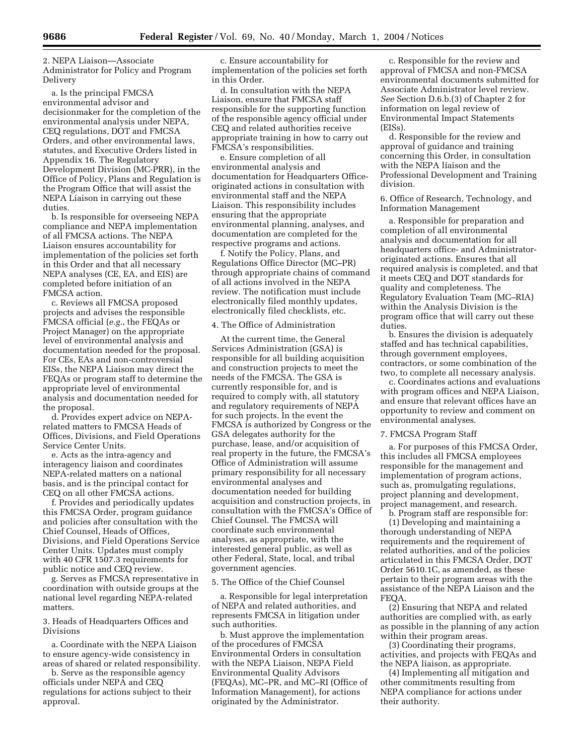2. NEPA Liaison—Associate Administrator for Policy and Program Delivery

a. Is the principal FMCSA environmental advisor and decisionmaker for the completion of the environmental analysis under NEPA, CEQ regulations, DOT and FMCSA Orders, and other environmental laws, statutes, and Executive Orders listed in Appendix 16. The Regulatory Development Division (MC-PRR), in the Office of Policy, Plans and Regulation is the Program Office that will assist the NEPA Liaison in carrying out these duties.

b. Is responsible for overseeing NEPA compliance and NEPA implementation of all FMCSA actions. The NEPA Liaison ensures accountability for implementation of the policies set forth in this Order and that all necessary NEPA analyses (CE, EA, and EIS) are completed before initiation of an FMCSA action.

c. Reviews all FMCSA proposed projects and advises the responsible FMCSA official (*e.g.*, the FEQAs or Project Manager) on the appropriate level of environmental analysis and documentation needed for the proposal. For CEs, EAs and non-controversial EISs, the NEPA Liaison may direct the FEQAs or program staff to determine the appropriate level of environmental analysis and documentation needed for the proposal.

d. Provides expert advice on NEPArelated matters to FMCSA Heads of Offices, Divisions, and Field Operations Service Center Units.

e. Acts as the intra-agency and interagency liaison and coordinates NEPA-related matters on a national basis, and is the principal contact for CEQ on all other FMCSA actions.

f. Provides and periodically updates this FMCSA Order, program guidance and policies after consultation with the Chief Counsel, Heads of Offices, Divisions, and Field Operations Service Center Units. Updates must comply with 40 CFR 1507.3 requirements for public notice and CEQ review.

g. Serves as FMCSA representative in coordination with outside groups at the national level regarding NEPA-related matters.

3. Heads of Headquarters Offices and Divisions

a. Coordinate with the NEPA Liaison to ensure agency-wide consistency in areas of shared or related responsibility.

b. Serve as the responsible agency officials under NEPA and CEQ regulations for actions subject to their approval.

c. Ensure accountability for implementation of the policies set forth in this Order.

d. In consultation with the NEPA Liaison, ensure that FMCSA staff responsible for the supporting function of the responsible agency official under CEQ and related authorities receive appropriate training in how to carry out FMCSA's responsibilities.

e. Ensure completion of all environmental analysis and documentation for Headquarters Officeoriginated actions in consultation with environmental staff and the NEPA Liaison. This responsibility includes ensuring that the appropriate environmental planning, analyses, and documentation are completed for the respective programs and actions.

f. Notify the Policy, Plans, and Regulations Office Director (MC–PR) through appropriate chains of command of all actions involved in the NEPA review. The notification must include electronically filed monthly updates, electronically filed checklists, etc.

#### 4. The Office of Administration

At the current time, the General Services Administration (GSA) is responsible for all building acquisition and construction projects to meet the needs of the FMCSA. The GSA is currently responsible for, and is required to comply with, all statutory and regulatory requirements of NEPA for such projects. In the event the FMCSA is authorized by Congress or the GSA delegates authority for the purchase, lease, and/or acquisition of real property in the future, the FMCSA's Office of Administration will assume primary responsibility for all necessary environmental analyses and documentation needed for building acquisition and construction projects, in consultation with the FMCSA's Office of Chief Counsel. The FMCSA will coordinate such environmental analyses, as appropriate, with the interested general public, as well as other Federal, State, local, and tribal government agencies.

# 5. The Office of the Chief Counsel

a. Responsible for legal interpretation of NEPA and related authorities, and represents FMCSA in litigation under such authorities.

b. Must approve the implementation of the procedures of FMCSA Environmental Orders in consultation with the NEPA Liaison, NEPA Field Environmental Quality Advisors (FEQAs), MC–PR, and MC–RI (Office of Information Management), for actions originated by the Administrator.

c. Responsible for the review and approval of FMCSA and non-FMCSA environmental documents submitted for Associate Administrator level review. *See* Section D.6.b.(3) of Chapter 2 for information on legal review of Environmental Impact Statements (EISs).

d. Responsible for the review and approval of guidance and training concerning this Order, in consultation with the NEPA liaison and the Professional Development and Training division.

6. Office of Research, Technology, and Information Management

a. Responsible for preparation and completion of all environmental analysis and documentation for all headquarters office- and Administratororiginated actions. Ensures that all required analysis is completed, and that it meets CEQ and DOT standards for quality and completeness. The Regulatory Evaluation Team (MC–RIA) within the Analysis Division is the program office that will carry out these duties.

b. Ensures the division is adequately staffed and has technical capabilities, through government employees, contractors, or some combination of the two, to complete all necessary analysis.

c. Coordinates actions and evaluations with program offices and NEPA Liaison, and ensure that relevant offices have an opportunity to review and comment on environmental analyses.

#### 7. FMCSA Program Staff

a. For purposes of this FMCSA Order, this includes all FMCSA employees responsible for the management and implementation of program actions, such as, promulgating regulations, project planning and development, project management, and research.

b. Program staff are responsible for: (1) Developing and maintaining a thorough understanding of NEPA requirements and the requirement of related authorities, and of the policies articulated in this FMCSA Order, DOT Order 5610.1C, as amended, as these pertain to their program areas with the assistance of the NEPA Liaison and the FEQA.

(2) Ensuring that NEPA and related authorities are complied with, as early as possible in the planning of any action within their program areas.

(3) Coordinating their programs, activities, and projects with FEQAs and the NEPA liaison, as appropriate.

(4) Implementing all mitigation and other commitments resulting from NEPA compliance for actions under their authority.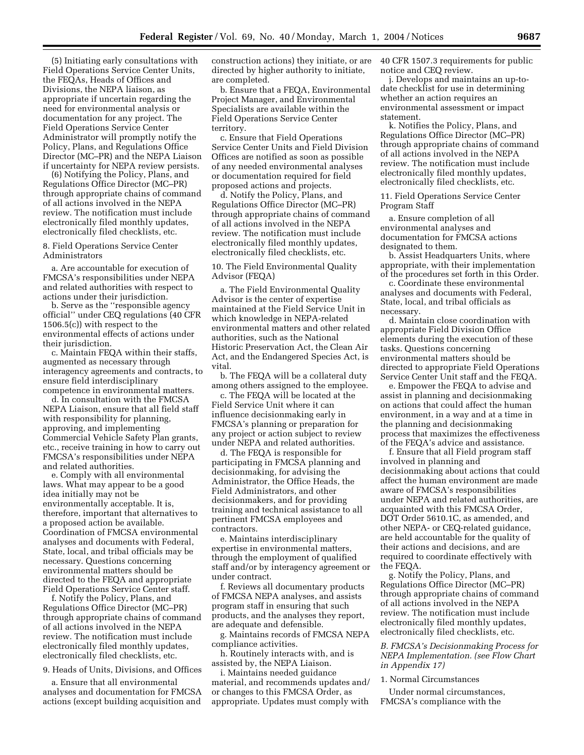(5) Initiating early consultations with Field Operations Service Center Units, the FEQAs, Heads of Offices and Divisions, the NEPA liaison, as appropriate if uncertain regarding the need for environmental analysis or documentation for any project. The Field Operations Service Center Administrator will promptly notify the Policy, Plans, and Regulations Office Director (MC–PR) and the NEPA Liaison if uncertainty for NEPA review persists.

(6) Notifying the Policy, Plans, and Regulations Office Director (MC–PR) through appropriate chains of command of all actions involved in the NEPA review. The notification must include electronically filed monthly updates, electronically filed checklists, etc.

8. Field Operations Service Center Administrators

a. Are accountable for execution of FMCSA's responsibilities under NEPA and related authorities with respect to actions under their jurisdiction.

b. Serve as the ''responsible agency official'' under CEQ regulations (40 CFR 1506.5(c)) with respect to the environmental effects of actions under their jurisdiction.

c. Maintain FEQA within their staffs, augmented as necessary through interagency agreements and contracts, to ensure field interdisciplinary competence in environmental matters.

d. In consultation with the FMCSA NEPA Liaison, ensure that all field staff with responsibility for planning, approving, and implementing Commercial Vehicle Safety Plan grants, etc., receive training in how to carry out FMCSA's responsibilities under NEPA and related authorities.

e. Comply with all environmental laws. What may appear to be a good idea initially may not be environmentally acceptable. It is, therefore, important that alternatives to a proposed action be available. Coordination of FMCSA environmental analyses and documents with Federal, State, local, and tribal officials may be necessary. Questions concerning environmental matters should be directed to the FEQA and appropriate Field Operations Service Center staff.

f. Notify the Policy, Plans, and Regulations Office Director (MC–PR) through appropriate chains of command of all actions involved in the NEPA review. The notification must include electronically filed monthly updates, electronically filed checklists, etc.

9. Heads of Units, Divisions, and Offices

a. Ensure that all environmental analyses and documentation for FMCSA actions (except building acquisition and

construction actions) they initiate, or are directed by higher authority to initiate, are completed.

b. Ensure that a FEQA, Environmental Project Manager, and Environmental Specialists are available within the Field Operations Service Center territory.

c. Ensure that Field Operations Service Center Units and Field Division Offices are notified as soon as possible of any needed environmental analyses or documentation required for field proposed actions and projects.

d. Notify the Policy, Plans, and Regulations Office Director (MC–PR) through appropriate chains of command of all actions involved in the NEPA review. The notification must include electronically filed monthly updates, electronically filed checklists, etc.

10. The Field Environmental Quality Advisor (FEQA)

a. The Field Environmental Quality Advisor is the center of expertise maintained at the Field Service Unit in which knowledge in NEPA-related environmental matters and other related authorities, such as the National Historic Preservation Act, the Clean Air Act, and the Endangered Species Act, is vital.

b. The FEQA will be a collateral duty among others assigned to the employee.

c. The FEQA will be located at the Field Service Unit where it can influence decisionmaking early in FMCSA's planning or preparation for any project or action subject to review under NEPA and related authorities.

d. The FEQA is responsible for participating in FMCSA planning and decisionmaking, for advising the Administrator, the Office Heads, the Field Administrators, and other decisionmakers, and for providing training and technical assistance to all pertinent FMCSA employees and contractors.

e. Maintains interdisciplinary expertise in environmental matters, through the employment of qualified staff and/or by interagency agreement or under contract.

f. Reviews all documentary products of FMCSA NEPA analyses, and assists program staff in ensuring that such products, and the analyses they report, are adequate and defensible.

g. Maintains records of FMCSA NEPA compliance activities.

h. Routinely interacts with, and is assisted by, the NEPA Liaison.

i. Maintains needed guidance material, and recommends updates and/ or changes to this FMCSA Order, as appropriate. Updates must comply with 40 CFR 1507.3 requirements for public notice and CEQ review.

j. Develops and maintains an up-todate checklist for use in determining whether an action requires an environmental assessment or impact statement.

k. Notifies the Policy, Plans, and Regulations Office Director (MC–PR) through appropriate chains of command of all actions involved in the NEPA review. The notification must include electronically filed monthly updates, electronically filed checklists, etc.

11. Field Operations Service Center Program Staff

a. Ensure completion of all environmental analyses and documentation for FMCSA actions designated to them.

b. Assist Headquarters Units, where appropriate, with their implementation of the procedures set forth in this Order.

c. Coordinate these environmental analyses and documents with Federal, State, local, and tribal officials as necessary.

d. Maintain close coordination with appropriate Field Division Office elements during the execution of these tasks. Questions concerning environmental matters should be directed to appropriate Field Operations Service Center Unit staff and the FEQA.

e. Empower the FEQA to advise and assist in planning and decisionmaking on actions that could affect the human environment, in a way and at a time in the planning and decisionmaking process that maximizes the effectiveness of the FEQA's advice and assistance.

f. Ensure that all Field program staff involved in planning and decisionmaking about actions that could affect the human environment are made aware of FMCSA's responsibilities under NEPA and related authorities, are acquainted with this FMCSA Order, DOT Order 5610.1C, as amended, and other NEPA- or CEQ-related guidance, are held accountable for the quality of their actions and decisions, and are required to coordinate effectively with the FEQA.

g. Notify the Policy, Plans, and Regulations Office Director (MC–PR) through appropriate chains of command of all actions involved in the NEPA review. The notification must include electronically filed monthly updates, electronically filed checklists, etc.

*B. FMCSA's Decisionmaking Process for NEPA Implementation. (see Flow Chart in Appendix 17)* 

1. Normal Circumstances

Under normal circumstances, FMCSA's compliance with the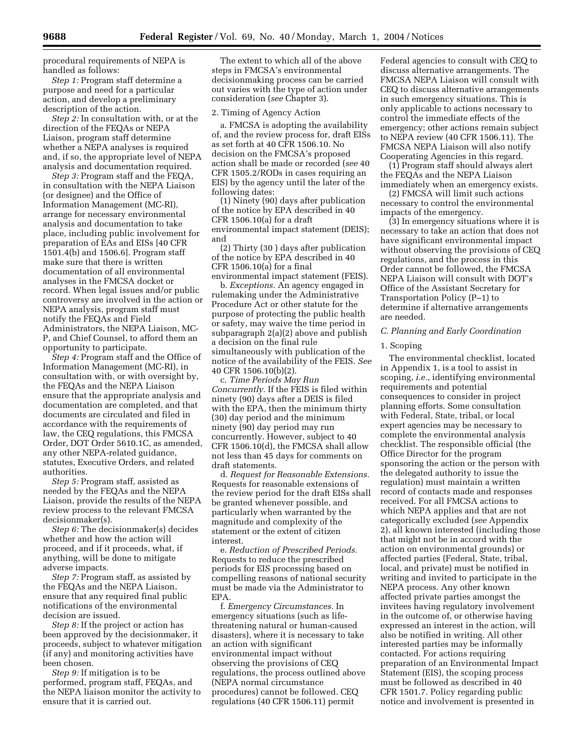procedural requirements of NEPA is handled as follows:

*Step 1:* Program staff determine a purpose and need for a particular action, and develop a preliminary description of the action.

*Step 2:* In consultation with, or at the direction of the FEQAs or NEPA Liaison, program staff determine whether a NEPA analyses is required and, if so, the appropriate level of NEPA analysis and documentation required.

*Step 3:* Program staff and the FEQA, in consultation with the NEPA Liaison (or designee) and the Office of Information Management (MC-RI), arrange for necessary environmental analysis and documentation to take place, including public involvement for preparation of EAs and EISs [40 CFR 1501.4(b) and 1506.6]. Program staff make sure that there is written documentation of all environmental analyses in the FMCSA docket or record. When legal issues and/or public controversy are involved in the action or NEPA analysis, program staff must notify the FEQAs and Field Administrators, the NEPA Liaison, MC-P, and Chief Counsel, to afford them an opportunity to participate.

*Step 4:* Program staff and the Office of Information Management (MC-RI), in consultation with, or with oversight by, the FEQAs and the NEPA Liaison ensure that the appropriate analysis and documentation are completed, and that documents are circulated and filed in accordance with the requirements of law, the CEQ regulations, this FMCSA Order, DOT Order 5610.1C, as amended, any other NEPA-related guidance, statutes, Executive Orders, and related authorities.

*Step 5:* Program staff, assisted as needed by the FEQAs and the NEPA Liaison, provide the results of the NEPA review process to the relevant FMCSA decisionmaker(s).

*Step 6:* The decisionmaker(s) decides whether and how the action will proceed, and if it proceeds, what, if anything, will be done to mitigate adverse impacts.

*Step 7:* Program staff, as assisted by the FEQAs and the NEPA Liaison, ensure that any required final public notifications of the environmental decision are issued.

*Step 8:* If the project or action has been approved by the decisionmaker, it proceeds, subject to whatever mitigation (if any) and monitoring activities have been chosen.

*Step 9:* If mitigation is to be performed, program staff, FEQAs, and the NEPA liaison monitor the activity to ensure that it is carried out.

The extent to which all of the above steps in FMCSA's environmental decisionmaking process can be carried out varies with the type of action under consideration (*see* Chapter 3).

#### 2. Timing of Agency Action

a. FMCSA is adopting the availability of, and the review process for, draft EISs as set forth at 40 CFR 1506.10. No decision on the FMCSA's proposed action shall be made or recorded (*see* 40 CFR 1505.2/RODs in cases requiring an EIS) by the agency until the later of the following dates:

(1) Ninety (90) days after publication of the notice by EPA described in 40 CFR 1506.10(a) for a draft environmental impact statement (DEIS); and

(2) Thirty (30 ) days after publication of the notice by EPA described in 40 CFR 1506.10(a) for a final environmental impact statement (FEIS).

b. *Exceptions.* An agency engaged in rulemaking under the Administrative Procedure Act or other statute for the purpose of protecting the public health or safety, may waive the time period in subparagraph 2(a)(2) above and publish a decision on the final rule simultaneously with publication of the notice of the availability of the FEIS. *See* 40 CFR 1506.10(b)(2).

c. *Time Periods May Run Concurrently.* If the FEIS is filed within ninety (90) days after a DEIS is filed with the EPA, then the minimum thirty (30) day period and the minimum ninety (90) day period may run concurrently. However, subject to 40 CFR 1506.10(d), the FMCSA shall allow not less than 45 days for comments on draft statements.

d. *Request for Reasonable Extensions.* Requests for reasonable extensions of the review period for the draft EISs shall be granted whenever possible, and particularly when warranted by the magnitude and complexity of the statement or the extent of citizen interest.

e. *Reduction of Prescribed Periods.* Requests to reduce the prescribed periods for EIS processing based on compelling reasons of national security must be made via the Administrator to EPA.

f. *Emergency Circumstances.* In emergency situations (such as lifethreatening natural or human-caused disasters), where it is necessary to take an action with significant environmental impact without observing the provisions of CEQ regulations, the process outlined above (NEPA normal circumstance procedures) cannot be followed. CEQ regulations (40 CFR 1506.11) permit

Federal agencies to consult with CEQ to discuss alternative arrangements. The FMCSA NEPA Liaison will consult with CEQ to discuss alternative arrangements in such emergency situations. This is only applicable to actions necessary to control the immediate effects of the emergency; other actions remain subject to NEPA review (40 CFR 1506.11). The FMCSA NEPA Liaison will also notify Cooperating Agencies in this regard.

(1) Program staff should always alert the FEQAs and the NEPA Liaison immediately when an emergency exists.

(2) FMCSA will limit such actions necessary to control the environmental impacts of the emergency.

(3) In emergency situations where it is necessary to take an action that does not have significant environmental impact without observing the provisions of CEQ regulations, and the process in this Order cannot be followed, the FMCSA NEPA Liaison will consult with DOT's Office of the Assistant Secretary for Transportation Policy (P–1) to determine if alternative arrangements are needed.

#### *C. Planning and Early Coordination*

#### 1. Scoping

The environmental checklist, located in Appendix 1, is a tool to assist in scoping, *i.e.*, identifying environmental requirements and potential consequences to consider in project planning efforts. Some consultation with Federal, State, tribal, or local expert agencies may be necessary to complete the environmental analysis checklist. The responsible official (the Office Director for the program sponsoring the action or the person with the delegated authority to issue the regulation) must maintain a written record of contacts made and responses received. For all FMCSA actions to which NEPA applies and that are not categorically excluded (*see* Appendix 2), all known interested (including those that might not be in accord with the action on environmental grounds) or affected parties (Federal, State, tribal, local, and private) must be notified in writing and invited to participate in the NEPA process. Any other known affected private parties amongst the invitees having regulatory involvement in the outcome of, or otherwise having expressed an interest in the action, will also be notified in writing. All other interested parties may be informally contacted. For actions requiring preparation of an Environmental Impact Statement (EIS), the scoping process must be followed as described in 40 CFR 1501.7. Policy regarding public notice and involvement is presented in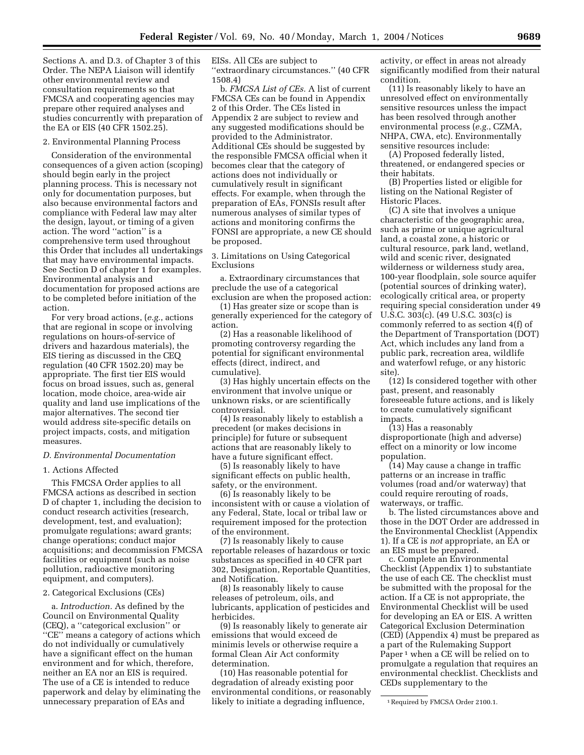Sections A. and D.3. of Chapter 3 of this Order. The NEPA Liaison will identify other environmental review and consultation requirements so that FMCSA and cooperating agencies may prepare other required analyses and studies concurrently with preparation of the EA or EIS (40 CFR 1502.25).

#### 2. Environmental Planning Process

Consideration of the environmental consequences of a given action (scoping) should begin early in the project planning process. This is necessary not only for documentation purposes, but also because environmental factors and compliance with Federal law may alter the design, layout, or timing of a given action. The word ''action'' is a comprehensive term used throughout this Order that includes all undertakings that may have environmental impacts. See Section D of chapter 1 for examples. Environmental analysis and documentation for proposed actions are to be completed before initiation of the action.

For very broad actions, (*e.g.*, actions that are regional in scope or involving regulations on hours-of-service of drivers and hazardous materials), the EIS tiering as discussed in the CEQ regulation (40 CFR 1502.20) may be appropriate. The first tier EIS would focus on broad issues, such as, general location, mode choice, area-wide air quality and land use implications of the major alternatives. The second tier would address site-specific details on project impacts, costs, and mitigation measures.

#### *D. Environmental Documentation*

#### 1. Actions Affected

This FMCSA Order applies to all FMCSA actions as described in section D of chapter 1, including the decision to conduct research activities (research, development, test, and evaluation); promulgate regulations; award grants; change operations; conduct major acquisitions; and decommission FMCSA facilities or equipment (such as noise pollution, radioactive monitoring equipment, and computers).

#### 2. Categorical Exclusions (CEs)

a. *Introduction.* As defined by the Council on Environmental Quality (CEQ), a ''categorical exclusion'' or ''CE'' means a category of actions which do not individually or cumulatively have a significant effect on the human environment and for which, therefore, neither an EA nor an EIS is required. The use of a CE is intended to reduce paperwork and delay by eliminating the unnecessary preparation of EAs and

EISs. All CEs are subject to

''extraordinary circumstances.'' (40 CFR 1508.4)

b. *FMCSA List of CEs.* A list of current FMCSA CEs can be found in Appendix 2 of this Order. The CEs listed in Appendix 2 are subject to review and any suggested modifications should be provided to the Administrator. Additional CEs should be suggested by the responsible FMCSA official when it becomes clear that the category of actions does not individually or cumulatively result in significant effects. For example, when through the preparation of EAs, FONSIs result after numerous analyses of similar types of actions and monitoring confirms the FONSI are appropriate, a new CE should be proposed.

3. Limitations on Using Categorical Exclusions

a. Extraordinary circumstances that preclude the use of a categorical exclusion are when the proposed action:

(1) Has greater size or scope than is generally experienced for the category of action.

(2) Has a reasonable likelihood of promoting controversy regarding the potential for significant environmental effects (direct, indirect, and cumulative).

(3) Has highly uncertain effects on the environment that involve unique or unknown risks, or are scientifically controversial.

(4) Is reasonably likely to establish a precedent (or makes decisions in principle) for future or subsequent actions that are reasonably likely to have a future significant effect.

(5) Is reasonably likely to have significant effects on public health, safety, or the environment.

(6) Is reasonably likely to be inconsistent with or cause a violation of any Federal, State, local or tribal law or requirement imposed for the protection of the environment.

(7) Is reasonably likely to cause reportable releases of hazardous or toxic substances as specified in 40 CFR part 302, Designation, Reportable Quantities, and Notification.

(8) Is reasonably likely to cause releases of petroleum, oils, and lubricants, application of pesticides and herbicides.

(9) Is reasonably likely to generate air emissions that would exceed de minimis levels or otherwise require a formal Clean Air Act conformity determination.

(10) Has reasonable potential for degradation of already existing poor environmental conditions, or reasonably likely to initiate a degrading influence,

activity, or effect in areas not already significantly modified from their natural condition.

(11) Is reasonably likely to have an unresolved effect on environmentally sensitive resources unless the impact has been resolved through another environmental process (*e.g.*, CZMA, NHPA, CWA, etc). Environmentally sensitive resources include:

(A) Proposed federally listed, threatened, or endangered species or their habitats.

(B) Properties listed or eligible for listing on the National Register of Historic Places.

(C) A site that involves a unique characteristic of the geographic area, such as prime or unique agricultural land, a coastal zone, a historic or cultural resource, park land, wetland, wild and scenic river, designated wilderness or wilderness study area, 100-year floodplain, sole source aquifer (potential sources of drinking water), ecologically critical area, or property requiring special consideration under 49 U.S.C. 303(c). (49 U.S.C. 303(c) is commonly referred to as section 4(f) of the Department of Transportation (DOT) Act, which includes any land from a public park, recreation area, wildlife and waterfowl refuge, or any historic site).

(12) Is considered together with other past, present, and reasonably foreseeable future actions, and is likely to create cumulatively significant impacts.

(13) Has a reasonably disproportionate (high and adverse) effect on a minority or low income population.

(14) May cause a change in traffic patterns or an increase in traffic volumes (road and/or waterway) that could require rerouting of roads, waterways, or traffic.

b. The listed circumstances above and those in the DOT Order are addressed in the Environmental Checklist (Appendix 1). If a CE is *not* appropriate, an EA or an EIS must be prepared.

c. Complete an Environmental Checklist (Appendix 1) to substantiate the use of each CE. The checklist must be submitted with the proposal for the action. If a CE is not appropriate, the Environmental Checklist will be used for developing an EA or EIS. A written Categorical Exclusion Determination (CED) (Appendix 4) must be prepared as a part of the Rulemaking Support Paper<sup>1</sup> when a CE will be relied on to promulgate a regulation that requires an environmental checklist. Checklists and CEDs supplementary to the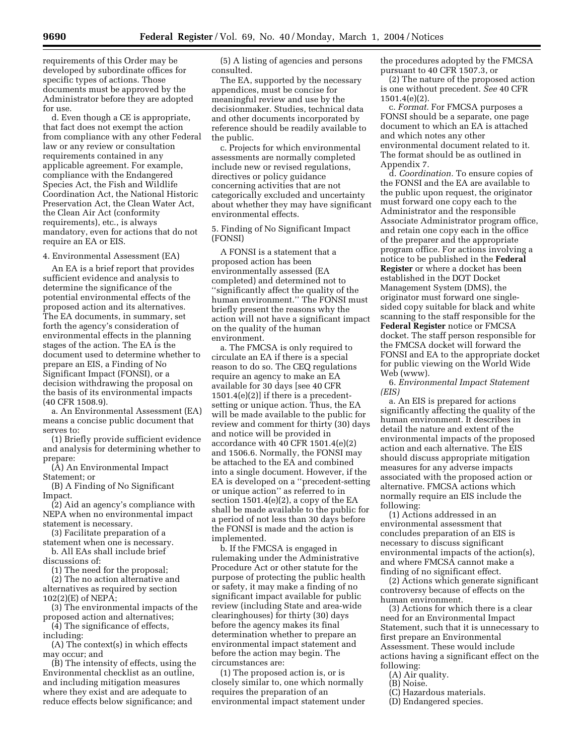requirements of this Order may be developed by subordinate offices for specific types of actions. Those documents must be approved by the Administrator before they are adopted for use.

d. Even though a CE is appropriate, that fact does not exempt the action from compliance with any other Federal law or any review or consultation requirements contained in any applicable agreement. For example, compliance with the Endangered Species Act, the Fish and Wildlife Coordination Act, the National Historic Preservation Act, the Clean Water Act, the Clean Air Act (conformity requirements), etc., is always mandatory, even for actions that do not require an EA or EIS.

4. Environmental Assessment (EA)

An EA is a brief report that provides sufficient evidence and analysis to determine the significance of the potential environmental effects of the proposed action and its alternatives. The EA documents, in summary, set forth the agency's consideration of environmental effects in the planning stages of the action. The EA is the document used to determine whether to prepare an EIS, a Finding of No Significant Impact (FONSI), or a decision withdrawing the proposal on the basis of its environmental impacts (40 CFR 1508.9).

a. An Environmental Assessment (EA) means a concise public document that serves to:

(1) Briefly provide sufficient evidence and analysis for determining whether to prepare:

(A) An Environmental Impact Statement; or

(B) A Finding of No Significant Impact.

(2) Aid an agency's compliance with NEPA when no environmental impact statement is necessary.

(3) Facilitate preparation of a

statement when one is necessary. b. All EAs shall include brief

discussions of:

(1) The need for the proposal;

(2) The no action alternative and alternatives as required by section 102(2)(E) of NEPA;

(3) The environmental impacts of the proposed action and alternatives;

(4) The significance of effects,

including:

(A) The context(s) in which effects may occur; and

(B) The intensity of effects, using the Environmental checklist as an outline, and including mitigation measures where they exist and are adequate to reduce effects below significance; and

(5) A listing of agencies and persons consulted.

The EA, supported by the necessary appendices, must be concise for meaningful review and use by the decisionmaker. Studies, technical data and other documents incorporated by reference should be readily available to the public.

c. Projects for which environmental assessments are normally completed include new or revised regulations, directives or policy guidance concerning activities that are not categorically excluded and uncertainty about whether they may have significant environmental effects.

5. Finding of No Significant Impact (FONSI)

A FONSI is a statement that a proposed action has been environmentally assessed (EA completed) and determined not to ''significantly affect the quality of the human environment.'' The FONSI must briefly present the reasons why the action will not have a significant impact on the quality of the human environment.

a. The FMCSA is only required to circulate an EA if there is a special reason to do so. The CEQ regulations require an agency to make an EA available for 30 days [see 40 CFR  $1501.4(e)(2)$ ] if there is a precedentsetting or unique action. Thus, the EA will be made available to the public for review and comment for thirty (30) days and notice will be provided in accordance with 40 CFR 1501.4(e)(2) and 1506.6. Normally, the FONSI may be attached to the EA and combined into a single document. However, if the EA is developed on a ''precedent-setting or unique action'' as referred to in section  $1501.4(e)(2)$ , a copy of the EA shall be made available to the public for a period of not less than 30 days before the FONSI is made and the action is implemented.

b. If the FMCSA is engaged in rulemaking under the Administrative Procedure Act or other statute for the purpose of protecting the public health or safety, it may make a finding of no significant impact available for public review (including State and area-wide clearinghouses) for thirty (30) days before the agency makes its final determination whether to prepare an environmental impact statement and before the action may begin. The circumstances are:

(1) The proposed action is, or is closely similar to, one which normally requires the preparation of an environmental impact statement under the procedures adopted by the FMCSA pursuant to 40 CFR 1507.3, or

(2) The nature of the proposed action is one without precedent. *See* 40 CFR 1501.4(e)(2).

c. *Format.* For FMCSA purposes a FONSI should be a separate, one page document to which an EA is attached and which notes any other environmental document related to it. The format should be as outlined in Appendix 7.

d. *Coordination.* To ensure copies of the FONSI and the EA are available to the public upon request, the originator must forward one copy each to the Administrator and the responsible Associate Administrator program office, and retain one copy each in the office of the preparer and the appropriate program office. For actions involving a notice to be published in the **Federal Register** or where a docket has been established in the DOT Docket Management System (DMS), the originator must forward one singlesided copy suitable for black and white scanning to the staff responsible for the **Federal Register** notice or FMCSA docket. The staff person responsible for the FMCSA docket will forward the FONSI and EA to the appropriate docket for public viewing on the World Wide Web (www).

6. *Environmental Impact Statement (EIS)*

a. An EIS is prepared for actions significantly affecting the quality of the human environment. It describes in detail the nature and extent of the environmental impacts of the proposed action and each alternative. The EIS should discuss appropriate mitigation measures for any adverse impacts associated with the proposed action or alternative. FMCSA actions which normally require an EIS include the following:

(1) Actions addressed in an environmental assessment that concludes preparation of an EIS is necessary to discuss significant environmental impacts of the action(s), and where FMCSA cannot make a finding of no significant effect.

(2) Actions which generate significant controversy because of effects on the human environment.

(3) Actions for which there is a clear need for an Environmental Impact Statement, such that it is unnecessary to first prepare an Environmental Assessment. These would include actions having a significant effect on the following:

- (A) Air quality.
- (B) Noise.
- (C) Hazardous materials. (D) Endangered species.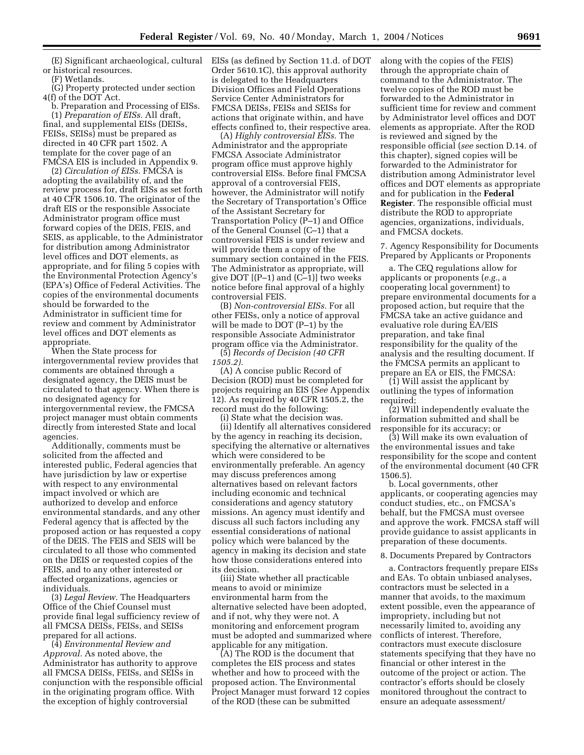(E) Significant archaeological, cultural or historical resources.

(F) Wetlands.

(G) Property protected under section 4(f) of the DOT Act.

b. Preparation and Processing of EISs. (1) *Preparation of EISs.* All draft, final, and supplemental EISs (DEISs, FEISs, SEISs) must be prepared as directed in 40 CFR part 1502. A template for the cover page of an FMCSA EIS is included in Appendix 9.

(2) *Circulation of EISs.* FMCSA is adopting the availability of, and the review process for, draft EISs as set forth at 40 CFR 1506.10. The originator of the draft EIS or the responsible Associate Administrator program office must forward copies of the DEIS, FEIS, and SEIS, as applicable, to the Administrator for distribution among Administrator level offices and DOT elements, as appropriate, and for filing 5 copies with the Environmental Protection Agency's (EPA's) Office of Federal Activities. The copies of the environmental documents should be forwarded to the Administrator in sufficient time for review and comment by Administrator level offices and DOT elements as appropriate.

When the State process for intergovernmental review provides that comments are obtained through a designated agency, the DEIS must be circulated to that agency. When there is no designated agency for intergovernmental review, the FMCSA project manager must obtain comments directly from interested State and local agencies.

Additionally, comments must be solicited from the affected and interested public, Federal agencies that have jurisdiction by law or expertise with respect to any environmental impact involved or which are authorized to develop and enforce environmental standards, and any other Federal agency that is affected by the proposed action or has requested a copy of the DEIS. The FEIS and SEIS will be circulated to all those who commented on the DEIS or requested copies of the FEIS, and to any other interested or affected organizations, agencies or individuals.

(3) *Legal Review.* The Headquarters Office of the Chief Counsel must provide final legal sufficiency review of all FMCSA DEISs, FEISs, and SEISs prepared for all actions.

(4) *Environmental Review and Approval.* As noted above, the Administrator has authority to approve all FMCSA DEISs, FEISs, and SEISs in conjunction with the responsible official in the originating program office. With the exception of highly controversial

EISs (as defined by Section 11.d. of DOT Order 5610.1C), this approval authority is delegated to the Headquarters Division Offices and Field Operations Service Center Administrators for FMCSA DEISs, FEISs and SEISs for actions that originate within, and have effects confined to, their respective area.

(A) *Highly controversial EISs.* The Administrator and the appropriate FMCSA Associate Administrator program office must approve highly controversial EISs. Before final FMCSA approval of a controversial FEIS, however, the Administrator will notify the Secretary of Transportation's Office of the Assistant Secretary for Transportation Policy (P–1) and Office of the General Counsel (C–1) that a controversial FEIS is under review and will provide them a copy of the summary section contained in the FEIS. The Administrator as appropriate, will give DOT [(P–1) and (C–1)] two weeks notice before final approval of a highly controversial FEIS.

(B) *Non-controversial EISs.* For all other FEISs, only a notice of approval will be made to DOT (P–1) by the responsible Associate Administrator program office via the Administrator.

(5) *Records of Decision (40 CFR 1505.2).*

(A) A concise public Record of Decision (ROD) must be completed for projects requiring an EIS (*See* Appendix 12). As required by 40 CFR 1505.2, the record must do the following: (i) State what the decision was.

(ii) Identify all alternatives considered by the agency in reaching its decision, specifying the alternative or alternatives which were considered to be environmentally preferable. An agency may discuss preferences among alternatives based on relevant factors including economic and technical considerations and agency statutory missions. An agency must identify and discuss all such factors including any essential considerations of national policy which were balanced by the agency in making its decision and state how those considerations entered into its decision.

(iii) State whether all practicable means to avoid or minimize environmental harm from the alternative selected have been adopted, and if not, why they were not. A monitoring and enforcement program must be adopted and summarized where applicable for any mitigation.

(A) The ROD is the document that completes the EIS process and states whether and how to proceed with the proposed action. The Environmental Project Manager must forward 12 copies of the ROD (these can be submitted

along with the copies of the FEIS) through the appropriate chain of command to the Administrator. The twelve copies of the ROD must be forwarded to the Administrator in sufficient time for review and comment by Administrator level offices and DOT elements as appropriate. After the ROD is reviewed and signed by the responsible official (*see* section D.14. of this chapter), signed copies will be forwarded to the Administrator for distribution among Administrator level offices and DOT elements as appropriate and for publication in the **Federal Register**. The responsible official must distribute the ROD to appropriate agencies, organizations, individuals, and FMCSA dockets.

7. Agency Responsibility for Documents Prepared by Applicants or Proponents

a. The CEQ regulations allow for applicants or proponents (*e.g.*, a cooperating local government) to prepare environmental documents for a proposed action, but require that the FMCSA take an active guidance and evaluative role during EA/EIS preparation, and take final responsibility for the quality of the analysis and the resulting document. If the FMCSA permits an applicant to prepare an EA or EIS, the FMCSA:

 $(i)$  Will assist the applicant by outlining the types of information required;

(2) Will independently evaluate the information submitted and shall be responsible for its accuracy; or

(3) Will make its own evaluation of the environmental issues and take responsibility for the scope and content of the environmental document (40 CFR 1506.5).

b. Local governments, other applicants, or cooperating agencies may conduct studies, etc., on FMCSA's behalf, but the FMCSA must oversee and approve the work. FMCSA staff will provide guidance to assist applicants in preparation of these documents.

#### 8. Documents Prepared by Contractors

a. Contractors frequently prepare EISs and EAs. To obtain unbiased analyses, contractors must be selected in a manner that avoids, to the maximum extent possible, even the appearance of impropriety, including but not necessarily limited to, avoiding any conflicts of interest. Therefore, contractors must execute disclosure statements specifying that they have no financial or other interest in the outcome of the project or action. The contractor's efforts should be closely monitored throughout the contract to ensure an adequate assessment/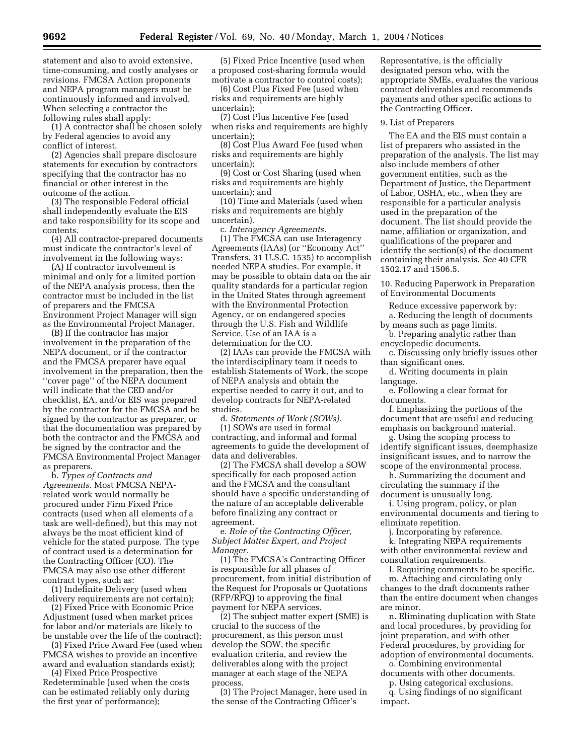statement and also to avoid extensive, time-consuming, and costly analyses or revisions. FMCSA Action proponents and NEPA program managers must be continuously informed and involved. When selecting a contractor the following rules shall apply:

(1) A contractor shall be chosen solely by Federal agencies to avoid any conflict of interest.

(2) Agencies shall prepare disclosure statements for execution by contractors specifying that the contractor has no financial or other interest in the outcome of the action.

(3) The responsible Federal official shall independently evaluate the EIS and take responsibility for its scope and contents.

(4) All contractor-prepared documents must indicate the contractor's level of involvement in the following ways:

(A) If contractor involvement is minimal and only for a limited portion of the NEPA analysis process, then the contractor must be included in the list of preparers and the FMCSA Environment Project Manager will sign as the Environmental Project Manager.

(B) If the contractor has major involvement in the preparation of the NEPA document, or if the contractor and the FMCSA preparer have equal involvement in the preparation, then the ''cover page'' of the NEPA document will indicate that the CED and/or checklist, EA, and/or EIS was prepared by the contractor for the FMCSA and be signed by the contractor as preparer, or that the documentation was prepared by both the contractor and the FMCSA and be signed by the contractor and the FMCSA Environmental Project Manager as preparers.

b. *Types of Contracts and Agreements.* Most FMCSA NEPArelated work would normally be procured under Firm Fixed Price contracts (used when all elements of a task are well-defined), but this may not always be the most efficient kind of vehicle for the stated purpose. The type of contract used is a determination for the Contracting Officer (CO). The FMCSA may also use other different contract types, such as:

(1) Indefinite Delivery (used when delivery requirements are not certain);

(2) Fixed Price with Economic Price Adjustment (used when market prices for labor and/or materials are likely to be unstable over the life of the contract);

(3) Fixed Price Award Fee (used when FMCSA wishes to provide an incentive award and evaluation standards exist);

(4) Fixed Price Prospective Redeterminable (used when the costs can be estimated reliably only during the first year of performance);

(5) Fixed Price Incentive (used when a proposed cost-sharing formula would motivate a contractor to control costs);

(6) Cost Plus Fixed Fee (used when risks and requirements are highly uncertain);

(7) Cost Plus Incentive Fee (used when risks and requirements are highly uncertain);

(8) Cost Plus Award Fee (used when risks and requirements are highly uncertain);

(9) Cost or Cost Sharing (used when risks and requirements are highly uncertain); and

(10) Time and Materials (used when risks and requirements are highly uncertain).

c. *Interagency Agreements.*

(1) The FMCSA can use Interagency Agreements (IAAs) (or ''Economy Act'' Transfers, 31 U.S.C. 1535) to accomplish needed NEPA studies. For example, it may be possible to obtain data on the air quality standards for a particular region in the United States through agreement with the Environmental Protection Agency, or on endangered species through the U.S. Fish and Wildlife Service. Use of an IAA is a determination for the CO.

(2) IAAs can provide the FMCSA with the interdisciplinary team it needs to establish Statements of Work, the scope of NEPA analysis and obtain the expertise needed to carry it out, and to develop contracts for NEPA-related studies.

d. *Statements of Work (SOWs).* (1) SOWs are used in formal contracting, and informal and formal agreements to guide the development of data and deliverables.

(2) The FMCSA shall develop a SOW specifically for each proposed action and the FMCSA and the consultant should have a specific understanding of the nature of an acceptable deliverable before finalizing any contract or agreement.

e. *Role of the Contracting Officer, Subject Matter Expert, and Project Manager.*

(1) The FMCSA's Contracting Officer is responsible for all phases of procurement, from initial distribution of the Request for Proposals or Quotations (RFP/RFQ) to approving the final payment for NEPA services.

(2) The subject matter expert (SME) is crucial to the success of the procurement, as this person must develop the SOW, the specific evaluation criteria, and review the deliverables along with the project manager at each stage of the NEPA process.

(3) The Project Manager, here used in the sense of the Contracting Officer's

Representative, is the officially designated person who, with the appropriate SMEs, evaluates the various contract deliverables and recommends payments and other specific actions to the Contracting Officer.

#### 9. List of Preparers

The EA and the EIS must contain a list of preparers who assisted in the preparation of the analysis. The list may also include members of other government entities, such as the Department of Justice, the Department of Labor, OSHA, etc., when they are responsible for a particular analysis used in the preparation of the document. The list should provide the name, affiliation or organization, and qualifications of the preparer and identify the section(s) of the document containing their analysis. *See* 40 CFR 1502.17 and 1506.5.

10. Reducing Paperwork in Preparation of Environmental Documents

Reduce excessive paperwork by: a. Reducing the length of documents by means such as page limits.

b. Preparing analytic rather than encyclopedic documents.

c. Discussing only briefly issues other than significant ones.

d. Writing documents in plain language.

e. Following a clear format for documents.

f. Emphasizing the portions of the document that are useful and reducing emphasis on background material.

g. Using the scoping process to identify significant issues, deemphasize insignificant issues, and to narrow the scope of the environmental process.

h. Summarizing the document and circulating the summary if the document is unusually long.

i. Using program, policy, or plan environmental documents and tiering to eliminate repetition.

j. Incorporating by reference.

k. Integrating NEPA requirements with other environmental review and consultation requirements.

l. Requiring comments to be specific. m. Attaching and circulating only changes to the draft documents rather than the entire document when changes are minor.

n. Eliminating duplication with State and local procedures, by providing for joint preparation, and with other Federal procedures, by providing for adoption of environmental documents.

o. Combining environmental documents with other documents.

p. Using categorical exclusions.

q. Using findings of no significant impact.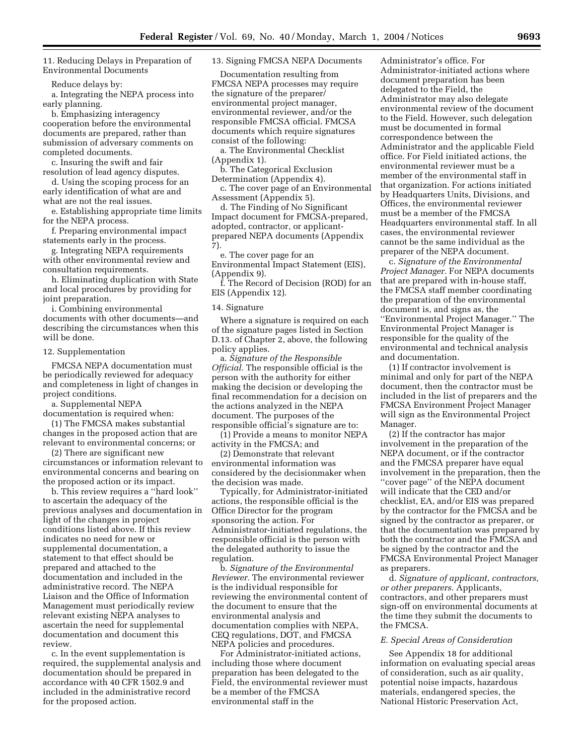11. Reducing Delays in Preparation of Environmental Documents

Reduce delays by:

a. Integrating the NEPA process into early planning.

b. Emphasizing interagency cooperation before the environmental documents are prepared, rather than submission of adversary comments on completed documents.

c. Insuring the swift and fair resolution of lead agency disputes.

d. Using the scoping process for an early identification of what are and what are not the real issues.

e. Establishing appropriate time limits for the NEPA process.

f. Preparing environmental impact statements early in the process.

g. Integrating NEPA requirements with other environmental review and consultation requirements.

h. Eliminating duplication with State and local procedures by providing for joint preparation.

i. Combining environmental documents with other documents—and describing the circumstances when this will be done.

12. Supplementation

FMCSA NEPA documentation must be periodically reviewed for adequacy and completeness in light of changes in project conditions.

a. Supplemental NEPA

documentation is required when: (1) The FMCSA makes substantial changes in the proposed action that are

relevant to environmental concerns; or (2) There are significant new circumstances or information relevant to environmental concerns and bearing on the proposed action or its impact.

b. This review requires a ''hard look'' to ascertain the adequacy of the previous analyses and documentation in light of the changes in project conditions listed above. If this review indicates no need for new or supplemental documentation, a statement to that effect should be prepared and attached to the documentation and included in the administrative record. The NEPA Liaison and the Office of Information Management must periodically review relevant existing NEPA analyses to ascertain the need for supplemental documentation and document this review.

c. In the event supplementation is required, the supplemental analysis and documentation should be prepared in accordance with 40 CFR 1502.9 and included in the administrative record for the proposed action.

13. Signing FMCSA NEPA Documents

Documentation resulting from FMCSA NEPA processes may require the signature of the preparer/ environmental project manager, environmental reviewer, and/or the responsible FMCSA official. FMCSA documents which require signatures consist of the following:

a. The Environmental Checklist (Appendix 1).

b. The Categorical Exclusion Determination (Appendix 4).

c. The cover page of an Environmental Assessment (Appendix 5).

d. The Finding of No Significant Impact document for FMCSA-prepared, adopted, contractor, or applicantprepared NEPA documents (Appendix 7).

e. The cover page for an

Environmental Impact Statement (EIS), (Appendix 9).

f. The Record of Decision (ROD) for an EIS (Appendix 12).

#### 14. Signature

Where a signature is required on each of the signature pages listed in Section D.13. of Chapter 2, above, the following policy applies.

a. *Signature of the Responsible Official.* The responsible official is the person with the authority for either making the decision or developing the final recommendation for a decision on the actions analyzed in the NEPA document. The purposes of the responsible official's signature are to:

(1) Provide a means to monitor NEPA activity in the FMCSA; and

(2) Demonstrate that relevant environmental information was considered by the decisionmaker when the decision was made.

Typically, for Administrator-initiated actions, the responsible official is the Office Director for the program sponsoring the action. For Administrator-initiated regulations, the responsible official is the person with the delegated authority to issue the regulation.

b. *Signature of the Environmental Reviewer.* The environmental reviewer is the individual responsible for reviewing the environmental content of the document to ensure that the environmental analysis and documentation complies with NEPA, CEQ regulations, DOT, and FMCSA NEPA policies and procedures.

For Administrator-initiated actions, including those where document preparation has been delegated to the Field, the environmental reviewer must be a member of the FMCSA environmental staff in the

Administrator's office. For Administrator-initiated actions where document preparation has been delegated to the Field, the Administrator may also delegate environmental review of the document to the Field. However, such delegation must be documented in formal correspondence between the Administrator and the applicable Field office. For Field initiated actions, the environmental reviewer must be a member of the environmental staff in that organization. For actions initiated by Headquarters Units, Divisions, and Offices, the environmental reviewer must be a member of the FMCSA Headquarters environmental staff. In all cases, the environmental reviewer cannot be the same individual as the preparer of the NEPA document.

c. *Signature of the Environmental Project Manager.* For NEPA documents that are prepared with in-house staff, the FMCSA staff member coordinating the preparation of the environmental document is, and signs as, the ''Environmental Project Manager.'' The Environmental Project Manager is responsible for the quality of the environmental and technical analysis and documentation.

(1) If contractor involvement is minimal and only for part of the NEPA document, then the contractor must be included in the list of preparers and the FMCSA Environment Project Manager will sign as the Environmental Project Manager.

(2) If the contractor has major involvement in the preparation of the NEPA document, or if the contractor and the FMCSA preparer have equal involvement in the preparation, then the ''cover page'' of the NEPA document will indicate that the CED and/or checklist, EA, and/or EIS was prepared by the contractor for the FMCSA and be signed by the contractor as preparer, or that the documentation was prepared by both the contractor and the FMCSA and be signed by the contractor and the FMCSA Environmental Project Manager as preparers.

d. *Signature of applicant, contractors, or other preparers.* Applicants, contractors, and other preparers must sign-off on environmental documents at the time they submit the documents to the FMCSA.

# *E. Special Areas of Consideration*

See Appendix 18 for additional information on evaluating special areas of consideration, such as air quality, potential noise impacts, hazardous materials, endangered species, the National Historic Preservation Act,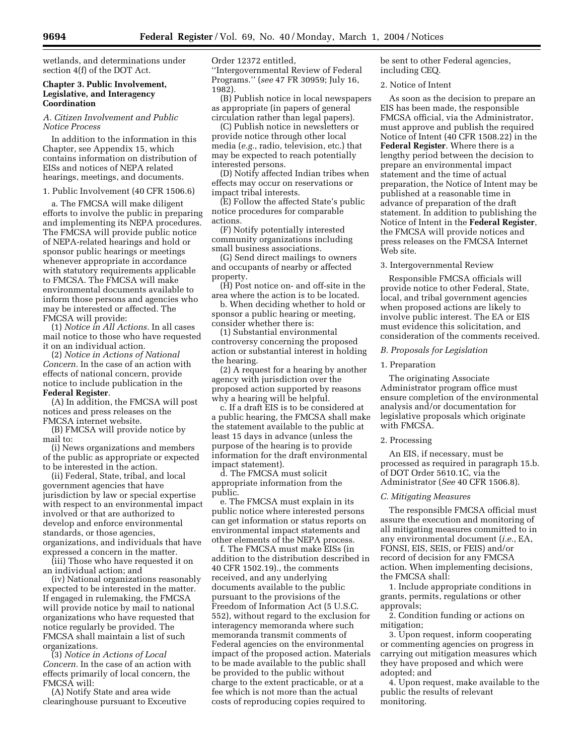wetlands, and determinations under section 4(f) of the DOT Act.

# **Chapter 3. Public Involvement, Legislative, and Interagency Coordination**

*A. Citizen Involvement and Public Notice Process* 

In addition to the information in this Chapter, see Appendix 15, which contains information on distribution of EISs and notices of NEPA related hearings, meetings, and documents.

#### 1. Public Involvement (40 CFR 1506.6)

a. The FMCSA will make diligent efforts to involve the public in preparing and implementing its NEPA procedures. The FMCSA will provide public notice of NEPA-related hearings and hold or sponsor public hearings or meetings whenever appropriate in accordance with statutory requirements applicable to FMCSA. The FMCSA will make environmental documents available to inform those persons and agencies who may be interested or affected. The FMCSA will provide:

(1) *Notice in All Actions.* In all cases mail notice to those who have requested it on an individual action.

(2) *Notice in Actions of National Concern.* In the case of an action with effects of national concern, provide notice to include publication in the **Federal Register**.

(A) In addition, the FMCSA will post notices and press releases on the FMCSA internet website.

(B) FMCSA will provide notice by mail to:

(i) News organizations and members of the public as appropriate or expected to be interested in the action.

(ii) Federal, State, tribal, and local government agencies that have jurisdiction by law or special expertise with respect to an environmental impact involved or that are authorized to develop and enforce environmental standards, or those agencies, organizations, and individuals that have expressed a concern in the matter.

(iii) Those who have requested it on an individual action; and

(iv) National organizations reasonably expected to be interested in the matter. If engaged in rulemaking, the FMCSA will provide notice by mail to national organizations who have requested that notice regularly be provided. The FMCSA shall maintain a list of such organizations.

(3) *Notice in Actions of Local Concern.* In the case of an action with effects primarily of local concern, the FMCSA will:

(A) Notify State and area wide clearinghouse pursuant to Exceutive Order 12372 entitled,

''Intergovernmental Review of Federal Programs.'' (*see* 47 FR 30959; July 16, 1982).

(B) Publish notice in local newspapers as appropriate (in papers of general circulation rather than legal papers).

(C) Publish notice in newsletters or provide notice through other local media (*e.g.*, radio, television, etc.) that may be expected to reach potentially interested persons.

(D) Notify affected Indian tribes when effects may occur on reservations or impact tribal interests.

(E) Follow the affected State's public notice procedures for comparable actions.

(F) Notify potentially interested community organizations including small business associations.

(G) Send direct mailings to owners and occupants of nearby or affected property.

(H) Post notice on- and off-site in the area where the action is to be located.

b. When deciding whether to hold or sponsor a public hearing or meeting, consider whether there is:

(1) Substantial environmental controversy concerning the proposed action or substantial interest in holding the hearing.

(2) A request for a hearing by another agency with jurisdiction over the proposed action supported by reasons why a hearing will be helpful.

c. If a draft EIS is to be considered at a public hearing, the FMCSA shall make the statement available to the public at least 15 days in advance (unless the purpose of the hearing is to provide information for the draft environmental impact statement).

d. The FMCSA must solicit appropriate information from the public.

e. The FMCSA must explain in its public notice where interested persons can get information or status reports on environmental impact statements and other elements of the NEPA process.

f. The FMCSA must make EISs (in addition to the distribution described in 40 CFR 1502.19)., the comments received, and any underlying documents available to the public pursuant to the provisions of the Freedom of Information Act (5 U.S.C. 552), without regard to the exclusion for interagency memoranda where such memoranda transmit comments of Federal agencies on the environmental impact of the proposed action. Materials to be made available to the public shall be provided to the public without charge to the extent practicable, or at a fee which is not more than the actual costs of reproducing copies required to

be sent to other Federal agencies, including CEQ.

2. Notice of Intent

As soon as the decision to prepare an EIS has been made, the responsible FMCSA official, via the Administrator, must approve and publish the required Notice of Intent (40 CFR 1508.22) in the **Federal Register**. Where there is a lengthy period between the decision to prepare an environmental impact statement and the time of actual preparation, the Notice of Intent may be published at a reasonable time in advance of preparation of the draft statement. In addition to publishing the Notice of Intent in the **Federal Register**, the FMCSA will provide notices and press releases on the FMCSA Internet Web site.

#### 3. Intergovernmental Review

Responsible FMCSA officials will provide notice to other Federal, State, local, and tribal government agencies when proposed actions are likely to involve public interest. The EA or EIS must evidence this solicitation, and consideration of the comments received.

#### *B. Proposals for Legislation*

#### 1. Preparation

The originating Associate Administrator program office must ensure completion of the environmental analysis and/or documentation for legislative proposals which originate with FMCSA.

# 2. Processing

An EIS, if necessary, must be processed as required in paragraph 15.b. of DOT Order 5610.1C, via the Administrator (*See* 40 CFR 1506.8).

#### *C. Mitigating Measures*

The responsible FMCSA official must assure the execution and monitoring of all mitigating measures committed to in any environmental document (*i.e.*, EA, FONSI, EIS, SEIS, or FEIS) and/or record of decision for any FMCSA action. When implementing decisions, the FMCSA shall:

1. Include appropriate conditions in grants, permits, regulations or other approvals;

2. Condition funding or actions on mitigation;

3. Upon request, inform cooperating or commenting agencies on progress in carrying out mitigation measures which they have proposed and which were adopted; and

4. Upon request, make available to the public the results of relevant monitoring.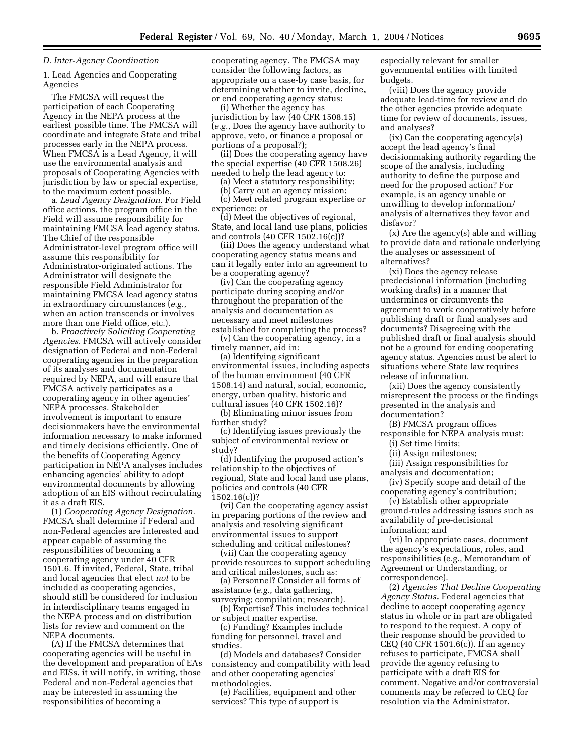# *D. Inter-Agency Coordination*

1. Lead Agencies and Cooperating Agencies

The FMCSA will request the participation of each Cooperating Agency in the NEPA process at the earliest possible time. The FMCSA will coordinate and integrate State and tribal processes early in the NEPA process. When FMCSA is a Lead Agency, it will use the environmental analysis and proposals of Cooperating Agencies with jurisdiction by law or special expertise, to the maximum extent possible.

a. *Lead Agency Designation.* For Field office actions, the program office in the Field will assume responsibility for maintaining FMCSA lead agency status. The Chief of the responsible Administrator-level program office will assume this responsibility for Administrator-originated actions. The Administrator will designate the responsible Field Administrator for maintaining FMCSA lead agency status in extraordinary circumstances (*e.g.*, when an action transcends or involves more than one Field office, etc.).

b. *Proactively Soliciting Cooperating Agencies.* FMCSA will actively consider designation of Federal and non-Federal cooperating agencies in the preparation of its analyses and documentation required by NEPA, and will ensure that FMCSA actively participates as a cooperating agency in other agencies' NEPA processes. Stakeholder involvement is important to ensure decisionmakers have the environmental information necessary to make informed and timely decisions efficiently. One of the benefits of Cooperating Agency participation in NEPA analyses includes enhancing agencies' ability to adopt environmental documents by allowing adoption of an EIS without recirculating it as a draft EIS.

(1) *Cooperating Agency Designation.* FMCSA shall determine if Federal and non-Federal agencies are interested and appear capable of assuming the responsibilities of becoming a cooperating agency under 40 CFR 1501.6. If invited, Federal, State, tribal and local agencies that elect *not* to be included as cooperating agencies, should still be considered for inclusion in interdisciplinary teams engaged in the NEPA process and on distribution lists for review and comment on the NEPA documents.

(A) If the FMCSA determines that cooperating agencies will be useful in the development and preparation of EAs and EISs, it will notify, in writing, those Federal and non-Federal agencies that may be interested in assuming the responsibilities of becoming a

cooperating agency. The FMCSA may consider the following factors, as appropriate on a case-by case basis, for determining whether to invite, decline, or end cooperating agency status:

(i) Whether the agency has jurisdiction by law (40 CFR 1508.15) (*e.g.*, Does the agency have authority to approve, veto, or finance a proposal or portions of a proposal?);

(ii) Does the cooperating agency have the special expertise (40 CFR 1508.26) needed to help the lead agency to:

(a) Meet a statutory responsibility;

(b) Carry out an agency mission; (c) Meet related program expertise or experience; or

(d) Meet the objectives of regional, State, and local land use plans, policies and controls (40 CFR 1502.16(c))?

(iii) Does the agency understand what cooperating agency status means and can it legally enter into an agreement to be a cooperating agency?

(iv) Can the cooperating agency participate during scoping and/or throughout the preparation of the analysis and documentation as necessary and meet milestones established for completing the process?

(v) Can the cooperating agency, in a timely manner, aid in:

(a) Identifying significant environmental issues, including aspects of the human environment (40 CFR 1508.14) and natural, social, economic, energy, urban quality, historic and cultural issues (40 CFR 1502.16)?

(b) Eliminating minor issues from further study?

(c) Identifying issues previously the subject of environmental review or study?

(d) Identifying the proposed action's relationship to the objectives of regional, State and local land use plans, policies and controls (40 CFR 1502.16(c))?

(vi) Can the cooperating agency assist in preparing portions of the review and analysis and resolving significant environmental issues to support scheduling and critical milestones?

(vii) Can the cooperating agency provide resources to support scheduling and critical milestones, such as:

(a) Personnel? Consider all forms of assistance (*e.g.*, data gathering,

surveying; compilation; research). (b) Expertise? This includes technical or subject matter expertise.

(c) Funding? Examples include funding for personnel, travel and

studies.

(d) Models and databases? Consider consistency and compatibility with lead and other cooperating agencies' methodologies.

(e) Facilities, equipment and other services? This type of support is

especially relevant for smaller governmental entities with limited budgets.

(viii) Does the agency provide adequate lead-time for review and do the other agencies provide adequate time for review of documents, issues, and analyses?

(ix) Can the cooperating agency(s) accept the lead agency's final decisionmaking authority regarding the scope of the analysis, including authority to define the purpose and need for the proposed action? For example, is an agency unable or unwilling to develop information/ analysis of alternatives they favor and disfavor?

(x) Are the agency(s) able and willing to provide data and rationale underlying the analyses or assessment of alternatives?

(xi) Does the agency release predecisional information (including working drafts) in a manner that undermines or circumvents the agreement to work cooperatively before publishing draft or final analyses and documents? Disagreeing with the published draft or final analysis should not be a ground for ending cooperating agency status. Agencies must be alert to situations where State law requires release of information.

(xii) Does the agency consistently misrepresent the process or the findings presented in the analysis and documentation?

(B) FMCSA program offices

responsible for NEPA analysis must: (i) Set time limits;

(ii) Assign milestones;

(iii) Assign responsibilities for

analysis and documentation;

(iv) Specify scope and detail of the cooperating agency's contribution;

(v) Establish other appropriate ground-rules addressing issues such as availability of pre-decisional information; and

(vi) In appropriate cases, document the agency's expectations, roles, and responsibilities (e.g., Memorandum of Agreement or Understanding, or correspondence).

(2) *Agencies That Decline Cooperating Agency Status.* Federal agencies that decline to accept cooperating agency status in whole or in part are obligated to respond to the request. A copy of their response should be provided to CEQ (40 CFR 1501.6(c)). If an agency refuses to participate, FMCSA shall provide the agency refusing to participate with a draft EIS for comment. Negative and/or controversial comments may be referred to CEQ for resolution via the Administrator.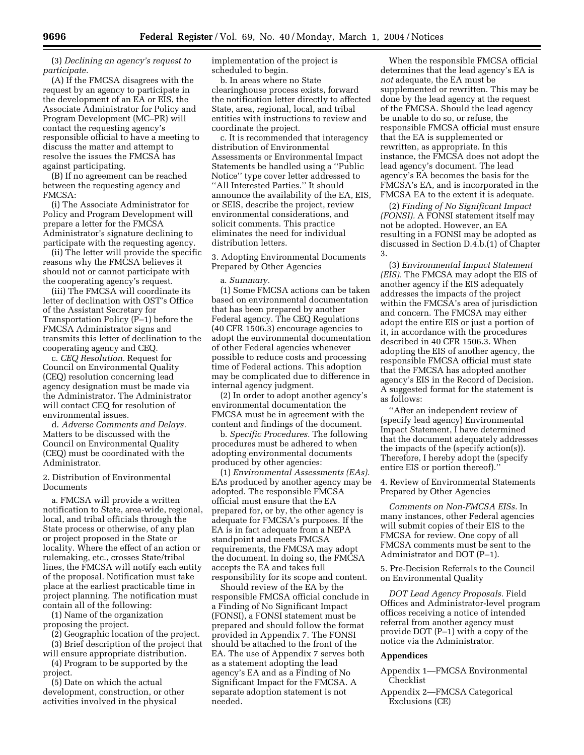(3) *Declining an agency's request to participate.*

(A) If the FMCSA disagrees with the request by an agency to participate in the development of an EA or EIS, the Associate Administrator for Policy and Program Development (MC–PR) will contact the requesting agency's responsible official to have a meeting to discuss the matter and attempt to resolve the issues the FMCSA has against participating.

(B) If no agreement can be reached between the requesting agency and FMCSA:

(i) The Associate Administrator for Policy and Program Development will prepare a letter for the FMCSA Administrator's signature declining to participate with the requesting agency.

(ii) The letter will provide the specific reasons why the FMCSA believes it should not or cannot participate with the cooperating agency's request.

(iii) The FMCSA will coordinate its letter of declination with OST's Office of the Assistant Secretary for Transportation Policy (P–1) before the FMCSA Administrator signs and transmits this letter of declination to the cooperating agency and CEQ.

c. *CEQ Resolution.* Request for Council on Environmental Quality (CEQ) resolution concerning lead agency designation must be made via the Administrator. The Administrator will contact CEQ for resolution of environmental issues.

d. *Adverse Comments and Delays.* Matters to be discussed with the Council on Environmental Quality (CEQ) must be coordinated with the Administrator.

2. Distribution of Environmental Documents

a. FMCSA will provide a written notification to State, area-wide, regional, local, and tribal officials through the State process or otherwise, of any plan or project proposed in the State or locality. Where the effect of an action or rulemaking, etc., crosses State/tribal lines, the FMCSA will notify each entity of the proposal. Notification must take place at the earliest practicable time in project planning. The notification must contain all of the following:

(1) Name of the organization proposing the project.

(2) Geographic location of the project. (3) Brief description of the project that

will ensure appropriate distribution. (4) Program to be supported by the project.

(5) Date on which the actual development, construction, or other activities involved in the physical

implementation of the project is scheduled to begin.

b. In areas where no State clearinghouse process exists, forward the notification letter directly to affected State, area, regional, local, and tribal entities with instructions to review and coordinate the project.

c. It is recommended that interagency distribution of Environmental Assessments or Environmental Impact Statements be handled using a ''Public Notice'' type cover letter addressed to ''All Interested Parties.'' It should announce the availability of the EA, EIS, or SEIS, describe the project, review environmental considerations, and solicit comments. This practice eliminates the need for individual distribution letters.

3. Adopting Environmental Documents Prepared by Other Agencies

#### a. *Summary.*

(1) Some FMCSA actions can be taken based on environmental documentation that has been prepared by another Federal agency. The CEQ Regulations (40 CFR 1506.3) encourage agencies to adopt the environmental documentation of other Federal agencies whenever possible to reduce costs and processing time of Federal actions. This adoption may be complicated due to difference in internal agency judgment.

(2) In order to adopt another agency's environmental documentation the FMCSA must be in agreement with the content and findings of the document.

b. *Specific Procedures.* The following procedures must be adhered to when adopting environmental documents produced by other agencies:

(1) *Environmental Assessments (EAs).* EAs produced by another agency may be adopted. The responsible FMCSA official must ensure that the EA prepared for, or by, the other agency is adequate for FMCSA's purposes. If the EA is in fact adequate from a NEPA standpoint and meets FMCSA requirements, the FMCSA may adopt the document. In doing so, the FMCSA accepts the EA and takes full responsibility for its scope and content.

Should review of the EA by the responsible FMCSA official conclude in a Finding of No Significant Impact (FONSI), a FONSI statement must be prepared and should follow the format provided in Appendix 7. The FONSI should be attached to the front of the EA. The use of Appendix 7 serves both as a statement adopting the lead agency's EA and as a Finding of No Significant Impact for the FMCSA. A separate adoption statement is not needed.

When the responsible FMCSA official determines that the lead agency's EA is *not* adequate, the EA must be supplemented or rewritten. This may be done by the lead agency at the request of the FMCSA. Should the lead agency be unable to do so, or refuse, the responsible FMCSA official must ensure that the EA is supplemented or rewritten, as appropriate. In this instance, the FMCSA does not adopt the lead agency's document. The lead agency's EA becomes the basis for the FMCSA's EA, and is incorporated in the FMCSA EA to the extent it is adequate.

(2) *Finding of No Significant Impact (FONSI).* A FONSI statement itself may not be adopted. However, an EA resulting in a FONSI may be adopted as discussed in Section D.4.b.(1) of Chapter 3.

(3) *Environmental Impact Statement (EIS).* The FMCSA may adopt the EIS of another agency if the EIS adequately addresses the impacts of the project within the FMCSA's area of jurisdiction and concern. The FMCSA may either adopt the entire EIS or just a portion of it, in accordance with the procedures described in 40 CFR 1506.3. When adopting the EIS of another agency, the responsible FMCSA official must state that the FMCSA has adopted another agency's EIS in the Record of Decision. A suggested format for the statement is as follows:

''After an independent review of (specify lead agency) Environmental Impact Statement, I have determined that the document adequately addresses the impacts of the (specify action(s)). Therefore, I hereby adopt the (specify entire EIS or portion thereof).''

4. Review of Environmental Statements Prepared by Other Agencies

*Comments on Non-FMCSA EISs.* In many instances, other Federal agencies will submit copies of their EIS to the FMCSA for review. One copy of all FMCSA comments must be sent to the Administrator and DOT (P–1).

5. Pre-Decision Referrals to the Council on Environmental Quality

*DOT Lead Agency Proposals.* Field Offices and Administrator-level program offices receiving a notice of intended referral from another agency must provide DOT (P–1) with a copy of the notice via the Administrator.

#### **Appendices**

- Appendix 1—FMCSA Environmental Checklist
- Appendix 2—FMCSA Categorical Exclusions (CE)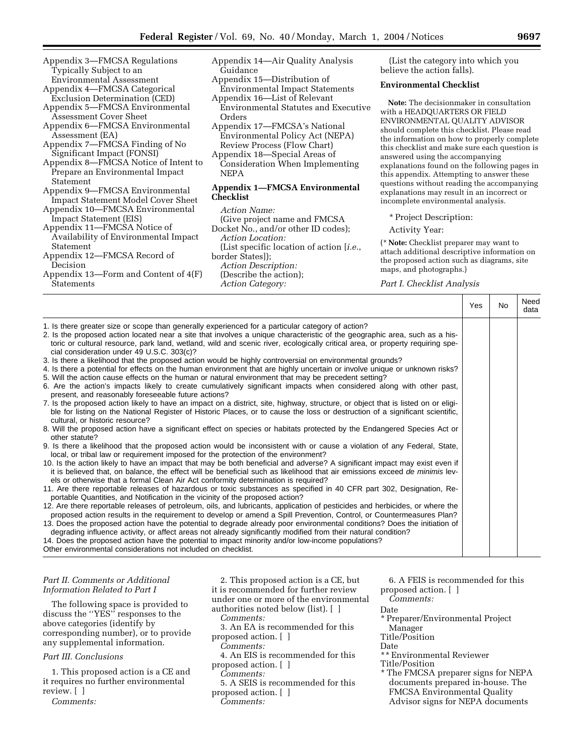- Appendix 3—FMCSA Regulations Typically Subject to an Environmental Assessment
- Appendix 4—FMCSA Categorical Exclusion Determination (CED)
- Appendix 5—FMCSA Environmental Assessment Cover Sheet
- Appendix 6—FMCSA Environmental Assessment (EA)
- Appendix 7—FMCSA Finding of No Significant Impact (FONSI)
- Appendix 8—FMCSA Notice of Intent to Prepare an Environmental Impact **Statement**
- Appendix 9—FMCSA Environmental Impact Statement Model Cover Sheet
- Appendix 10—FMCSA Environmental Impact Statement (EIS)
- Appendix 11—FMCSA Notice of Availability of Environmental Impact Statement
- Appendix 12—FMCSA Record of Decision
- Appendix 13—Form and Content of 4(F) Statements
- Appendix 14—Air Quality Analysis Guidance
- Appendix 15—Distribution of Environmental Impact Statements
- Appendix 16—List of Relevant Environmental Statutes and Executive Orders
- Appendix 17—FMCSA's National Environmental Policy Act (NEPA) Review Process (Flow Chart) Appendix 18—Special Areas of
- Consideration When Implementing NEPA

#### **Appendix 1—FMCSA Environmental Checklist**

*Action Name:*

(Give project name and FMCSA Docket No., and/or other ID codes); *Action Location:* (List specific location of action [*i.e.*, border States]); *Action Description:* (Describe the action); *Action Category:*

(List the category into which you believe the action falls).

# **Environmental Checklist**

**Note:** The decisionmaker in consultation with a HEADQUARTERS OR FIELD ENVIRONMENTAL QUALITY ADVISOR should complete this checklist. Please read the information on how to properly complete this checklist and make sure each question is answered using the accompanying explanations found on the following pages in this appendix. Attempting to answer these questions without reading the accompanying explanations may result in an incorrect or incomplete environmental analysis.

\* Project Description:

# Activity Year:

(\* **Note:** Checklist preparer may want to attach additional descriptive information on the proposed action such as diagrams, site maps, and photographs.)

#### *Part I. Checklist Analysis*

|                                                                                                                                                                                                                                                                                                                                                                                                                                                                                                                                                                                                                                                                                                                                                                                                                                                                                                                                                                                                                                                                                                                                                                                                                                                                                                                                                                                                                                                                                                                                                                                                                                                                                                                                                                                                                                                                                                                                                                                                                                                                                                                                                                                                                                                                                                                                                                                                                                                                                                                                                                                                                                                                                                                                                                                                                                                                 | Yes | No | Need<br>data |
|-----------------------------------------------------------------------------------------------------------------------------------------------------------------------------------------------------------------------------------------------------------------------------------------------------------------------------------------------------------------------------------------------------------------------------------------------------------------------------------------------------------------------------------------------------------------------------------------------------------------------------------------------------------------------------------------------------------------------------------------------------------------------------------------------------------------------------------------------------------------------------------------------------------------------------------------------------------------------------------------------------------------------------------------------------------------------------------------------------------------------------------------------------------------------------------------------------------------------------------------------------------------------------------------------------------------------------------------------------------------------------------------------------------------------------------------------------------------------------------------------------------------------------------------------------------------------------------------------------------------------------------------------------------------------------------------------------------------------------------------------------------------------------------------------------------------------------------------------------------------------------------------------------------------------------------------------------------------------------------------------------------------------------------------------------------------------------------------------------------------------------------------------------------------------------------------------------------------------------------------------------------------------------------------------------------------------------------------------------------------------------------------------------------------------------------------------------------------------------------------------------------------------------------------------------------------------------------------------------------------------------------------------------------------------------------------------------------------------------------------------------------------------------------------------------------------------------------------------------------------|-----|----|--------------|
| 1. Is there greater size or scope than generally experienced for a particular category of action?<br>2. Is the proposed action located near a site that involves a unique characteristic of the geographic area, such as a his-<br>toric or cultural resource, park land, wetland, wild and scenic river, ecologically critical area, or property requiring spe-<br>cial consideration under 49 U.S.C. 303(c)?<br>3. Is there a likelihood that the proposed action would be highly controversial on environmental grounds?<br>4. Is there a potential for effects on the human environment that are highly uncertain or involve unique or unknown risks?<br>5. Will the action cause effects on the human or natural environment that may be precedent setting?<br>6. Are the action's impacts likely to create cumulatively significant impacts when considered along with other past,<br>present, and reasonably foreseeable future actions?<br>7. Is the proposed action likely to have an impact on a district, site, highway, structure, or object that is listed on or eligi-<br>ble for listing on the National Register of Historic Places, or to cause the loss or destruction of a significant scientific,<br>cultural, or historic resource?<br>8. Will the proposed action have a significant effect on species or habitats protected by the Endangered Species Act or<br>other statute?<br>9. Is there a likelihood that the proposed action would be inconsistent with or cause a violation of any Federal, State,<br>local, or tribal law or requirement imposed for the protection of the environment?<br>10. Is the action likely to have an impact that may be both beneficial and adverse? A significant impact may exist even if<br>it is believed that, on balance, the effect will be beneficial such as likelihood that air emissions exceed de minimis lev-<br>els or otherwise that a formal Clean Air Act conformity determination is required?<br>11. Are there reportable releases of hazardous or toxic substances as specified in 40 CFR part 302, Designation, Re-<br>portable Quantities, and Notification in the vicinity of the proposed action?<br>12. Are there reportable releases of petroleum, oils, and lubricants, application of pesticides and herbicides, or where the<br>proposed action results in the requirement to develop or amend a Spill Prevention, Control, or Countermeasures Plan?<br>13. Does the proposed action have the potential to degrade already poor environmental conditions? Does the initiation of<br>degrading influence activity, or affect areas not already significantly modified from their natural condition?<br>14. Does the proposed action have the potential to impact minority and/or low-income populations?<br>Other environmental considerations not included on checklist. |     |    |              |
|                                                                                                                                                                                                                                                                                                                                                                                                                                                                                                                                                                                                                                                                                                                                                                                                                                                                                                                                                                                                                                                                                                                                                                                                                                                                                                                                                                                                                                                                                                                                                                                                                                                                                                                                                                                                                                                                                                                                                                                                                                                                                                                                                                                                                                                                                                                                                                                                                                                                                                                                                                                                                                                                                                                                                                                                                                                                 |     |    |              |

# *Part II. Comments or Additional Information Related to Part I*

The following space is provided to discuss the ''YES'' responses to the above categories (identify by corresponding number), or to provide any supplemental information.

# *Part III. Conclusions*

1. This proposed action is a CE and it requires no further environmental review. [ ]

*Comments:*

2. This proposed action is a CE, but it is recommended for further review under one or more of the environmental authorities noted below (list). [ ]

*Comments:*

3. An EA is recommended for this proposed action. [ ]

*Comments:*

4. An EIS is recommended for this proposed action. [ ]

*Comments:*

5. A SEIS is recommended for this proposed action. [ ]

*Comments:*

6. A FEIS is recommended for this proposed action. [ ]

*Comments:*

# **Date**

\* Preparer/Environmental Project Manager

Title/Position

- Date
- \*\* Environmental Reviewer
- Title/Position
- \* The FMCSA preparer signs for NEPA documents prepared in-house. The FMCSA Environmental Quality Advisor signs for NEPA documents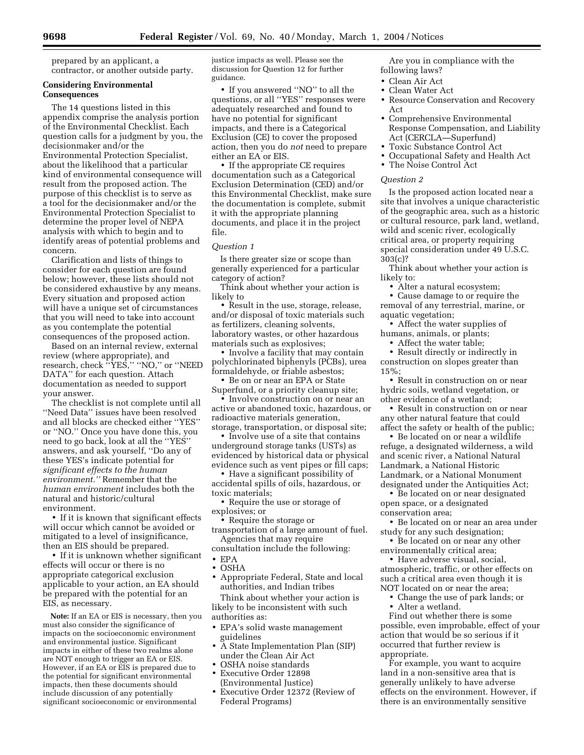prepared by an applicant, a contractor, or another outside party.

# **Considering Environmental Consequences**

The 14 questions listed in this appendix comprise the analysis portion of the Environmental Checklist. Each question calls for a judgment by you, the decisionmaker and/or the Environmental Protection Specialist, about the likelihood that a particular kind of environmental consequence will result from the proposed action. The purpose of this checklist is to serve as a tool for the decisionmaker and/or the Environmental Protection Specialist to determine the proper level of NEPA analysis with which to begin and to identify areas of potential problems and concern.

Clarification and lists of things to consider for each question are found below; however, these lists should not be considered exhaustive by any means. Every situation and proposed action will have a unique set of circumstances that you will need to take into account as you contemplate the potential consequences of the proposed action.

Based on an internal review, external review (where appropriate), and research, check ''YES,'' ''NO,'' or ''NEED DATA'' for each question. Attach documentation as needed to support your answer.

The checklist is not complete until all ''Need Data'' issues have been resolved and all blocks are checked either ''YES'' or ''NO.'' Once you have done this, you need to go back, look at all the ''YES'' answers, and ask yourself, ''Do any of these YES's indicate potential for *significant effects to the human environment.''* Remember that the *human environment* includes both the natural and historic/cultural environment.

• If it is known that significant effects will occur which cannot be avoided or mitigated to a level of insignificance, then an EIS should be prepared.

• If it is unknown whether significant effects will occur or there is no appropriate categorical exclusion applicable to your action, an EA should be prepared with the potential for an EIS, as necessary.

**Note:** If an EA or EIS is necessary, then you must also consider the significance of impacts on the socioeconomic environment and environmental justice. Significant impacts in either of these two realms alone are NOT enough to trigger an EA or EIS. However, if an EA or EIS is prepared due to the potential for significant environmental impacts, then these documents should include discussion of any potentially significant socioeconomic or environmental

justice impacts as well. Please see the discussion for Question 12 for further guidance.

• If you answered ''NO'' to all the questions, or all ''YES'' responses were adequately researched and found to have no potential for significant impacts, and there is a Categorical Exclusion (CE) to cover the proposed action, then you do *not* need to prepare either an EA or EIS.

• If the appropriate CE requires documentation such as a Categorical Exclusion Determination (CED) and/or this Environmental Checklist, make sure the documentation is complete, submit it with the appropriate planning documents, and place it in the project file.

# *Question 1*

Is there greater size or scope than generally experienced for a particular category of action?

Think about whether your action is likely to

• Result in the use, storage, release, and/or disposal of toxic materials such as fertilizers, cleaning solvents, laboratory wastes, or other hazardous materials such as explosives;

• Involve a facility that may contain polychlorinated biphenyls (PCBs), urea formaldehyde, or friable asbestos;

• Be on or near an EPA or State Superfund, or a priority cleanup site;

• Involve construction on or near an active or abandoned toxic, hazardous, or radioactive materials generation, storage, transportation, or disposal site;

• Involve use of a site that contains underground storage tanks (USTs) as evidenced by historical data or physical evidence such as vent pipes or fill caps;

• Have a significant possibility of accidental spills of oils, hazardous, or toxic materials;

• Require the use or storage of explosives; or

• Require the storage or transportation of a large amount of fuel.

Agencies that may require consultation include the following:

- OSHA
- Appropriate Federal, State and local authorities, and Indian tribes

Think about whether your action is likely to be inconsistent with such authorities as:

- EPA's solid waste management guidelines
- A State Implementation Plan (SIP) under the Clean Air Act
- OSHA noise standards
- Executive Order 12898 (Environmental Justice)
- Executive Order 12372 (Review of Federal Programs)

Are you in compliance with the following laws?

- Clean Air Act
- Clean Water Act
- Resource Conservation and Recovery Act
- Comprehensive Environmental Response Compensation, and Liability Act (CERCLA—Superfund)
- Toxic Substance Control Act
- Occupational Safety and Health Act
- The Noise Control Act

# *Question 2*

Is the proposed action located near a site that involves a unique characteristic of the geographic area, such as a historic or cultural resource, park land, wetland, wild and scenic river, ecologically critical area, or property requiring special consideration under 49 U.S.C. 303(c)?

Think about whether your action is likely to:

• Alter a natural ecosystem;

• Cause damage to or require the removal of any terrestrial, marine, or aquatic vegetation;

• Affect the water supplies of humans, animals, or plants;

• Affect the water table;

• Result directly or indirectly in construction on slopes greater than  $15\%$ :

• Result in construction on or near hydric soils, wetland vegetation, or other evidence of a wetland;

• Result in construction on or near any other natural feature that could affect the safety or health of the public;

• Be located on or near a wildlife refuge, a designated wilderness, a wild and scenic river, a National Natural Landmark, a National Historic Landmark, or a National Monument designated under the Antiquities Act;

• Be located on or near designated open space, or a designated conservation area;

• Be located on or near an area under study for any such designation;

• Be located on or near any other environmentally critical area;

• Have adverse visual, social, atmospheric, traffic, or other effects on such a critical area even though it is NOT located on or near the area;

• Change the use of park lands; or

• Alter a wetland.

Find out whether there is some possible, even improbable, effect of your action that would be so serious if it occurred that further review is appropriate.

For example, you want to acquire land in a non-sensitive area that is generally unlikely to have adverse effects on the environment. However, if there is an environmentally sensitive

<sup>•</sup> EPA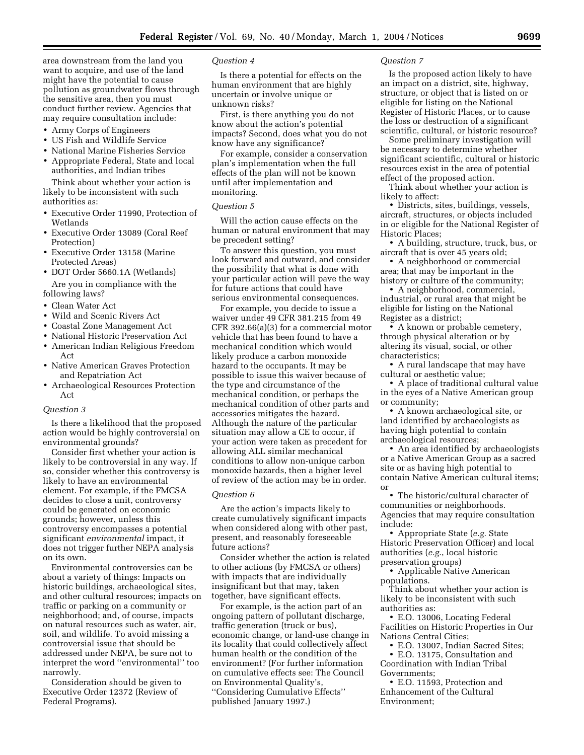area downstream from the land you want to acquire, and use of the land might have the potential to cause pollution as groundwater flows through the sensitive area, then you must conduct further review. Agencies that may require consultation include:

- Army Corps of Engineers
- US Fish and Wildlife Service
- National Marine Fisheries Service
- Appropriate Federal, State and local authorities, and Indian tribes

Think about whether your action is likely to be inconsistent with such authorities as:

- Executive Order 11990, Protection of Wetlands
- Executive Order 13089 (Coral Reef Protection)
- Executive Order 13158 (Marine Protected Areas)
- DOT Order 5660.1A (Wetlands) Are you in compliance with the

following laws?

- Clean Water Act
- Wild and Scenic Rivers Act
- Coastal Zone Management Act
- National Historic Preservation Act
- American Indian Religious Freedom Act
- Native American Graves Protection and Repatriation Act
- Archaeological Resources Protection Act

#### *Question 3*

Is there a likelihood that the proposed action would be highly controversial on environmental grounds?

Consider first whether your action is likely to be controversial in any way. If so, consider whether this controversy is likely to have an environmental element. For example, if the FMCSA decides to close a unit, controversy could be generated on economic grounds; however, unless this controversy encompasses a potential significant *environmental* impact, it does not trigger further NEPA analysis on its own.

Environmental controversies can be about a variety of things: Impacts on historic buildings, archaeological sites, and other cultural resources; impacts on traffic or parking on a community or neighborhood; and, of course, impacts on natural resources such as water, air, soil, and wildlife. To avoid missing a controversial issue that should be addressed under NEPA, be sure not to interpret the word ''environmental'' too narrowly.

Consideration should be given to Executive Order 12372 (Review of Federal Programs).

# *Question 4*

Is there a potential for effects on the human environment that are highly uncertain or involve unique or unknown risks?

First, is there anything you do not know about the action's potential impacts? Second, does what you do not know have any significance?

For example, consider a conservation plan's implementation when the full effects of the plan will not be known until after implementation and monitoring.

# *Question 5*

Will the action cause effects on the human or natural environment that may be precedent setting?

To answer this question, you must look forward and outward, and consider the possibility that what is done with your particular action will pave the way for future actions that could have serious environmental consequences.

For example, you decide to issue a waiver under 49 CFR 381.215 from 49 CFR 392.66(a)(3) for a commercial motor vehicle that has been found to have a mechanical condition which would likely produce a carbon monoxide hazard to the occupants. It may be possible to issue this waiver because of the type and circumstance of the mechanical condition, or perhaps the mechanical condition of other parts and accessories mitigates the hazard. Although the nature of the particular situation may allow a CE to occur, if your action were taken as precedent for allowing ALL similar mechanical conditions to allow non-unique carbon monoxide hazards, then a higher level of review of the action may be in order.

#### *Question 6*

Are the action's impacts likely to create cumulatively significant impacts when considered along with other past, present, and reasonably foreseeable future actions?

Consider whether the action is related to other actions (by FMCSA or others) with impacts that are individually insignificant but that may, taken together, have significant effects.

For example, is the action part of an ongoing pattern of pollutant discharge, traffic generation (truck or bus), economic change, or land-use change in its locality that could collectively affect human health or the condition of the environment? (For further information on cumulative effects see: The Council on Environmental Quality's, ''Considering Cumulative Effects'' published January 1997.)

#### *Question 7*

Is the proposed action likely to have an impact on a district, site, highway, structure, or object that is listed on or eligible for listing on the National Register of Historic Places, or to cause the loss or destruction of a significant scientific, cultural, or historic resource?

Some preliminary investigation will be necessary to determine whether significant scientific, cultural or historic resources exist in the area of potential effect of the proposed action.

Think about whether your action is likely to affect:

• Districts, sites, buildings, vessels, aircraft, structures, or objects included in or eligible for the National Register of Historic Places;

• A building, structure, truck, bus, or aircraft that is over 45 years old;

• A neighborhood or commercial area; that may be important in the history or culture of the community;

• A neighborhood, commercial, industrial, or rural area that might be eligible for listing on the National Register as a district;

• A known or probable cemetery, through physical alteration or by altering its visual, social, or other characteristics;

• A rural landscape that may have cultural or aesthetic value;

• A place of traditional cultural value in the eyes of a Native American group or community;

• A known archaeological site, or land identified by archaeologists as having high potential to contain archaeological resources;

• An area identified by archaeologists or a Native American Group as a sacred site or as having high potential to contain Native American cultural items; or

• The historic/cultural character of communities or neighborhoods. Agencies that may require consultation include:

• Appropriate State (*e.g.* State Historic Preservation Officer) and local authorities (*e.g.*, local historic preservation groups)

• Applicable Native American populations.

Think about whether your action is likely to be inconsistent with such authorities as:

• E.O. 13006, Locating Federal Facilities on Historic Properties in Our Nations Central Cities;

- E.O. 13007, Indian Sacred Sites;
- E.O. 13175, Consultation and

Coordination with Indian Tribal Governments;

• E.O. 11593, Protection and Enhancement of the Cultural Environment;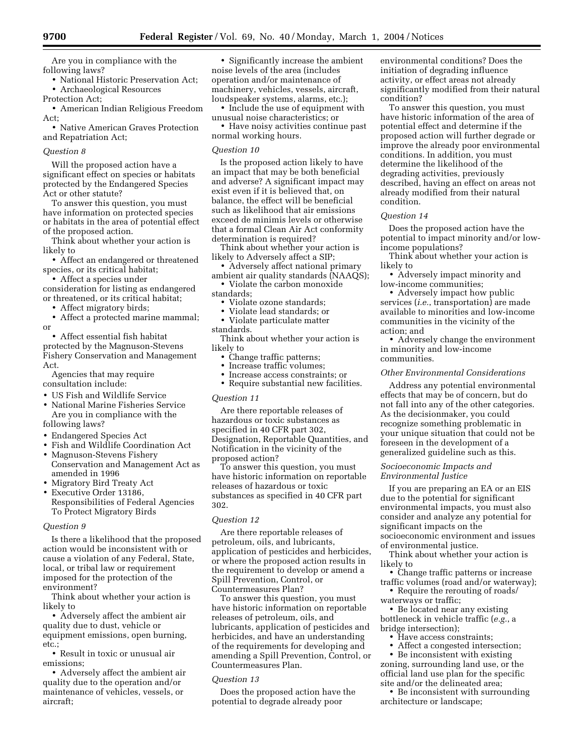Are you in compliance with the following laws?

• National Historic Preservation Act;

• Archaeological Resources

Protection Act;

• American Indian Religious Freedom Act;

• Native American Graves Protection and Repatriation Act;

#### *Question 8*

Will the proposed action have a significant effect on species or habitats protected by the Endangered Species Act or other statute?

To answer this question, you must have information on protected species or habitats in the area of potential effect of the proposed action.

Think about whether your action is likely to

• Affect an endangered or threatened species, or its critical habitat;

• Affect a species under consideration for listing as endangered or threatened, or its critical habitat;

- Affect migratory birds;
- Affect a protected marine mammal; or

• Affect essential fish habitat protected by the Magnuson-Stevens Fishery Conservation and Management Act.

Agencies that may require consultation include:

- US Fish and Wildlife Service
- National Marine Fisheries Service Are you in compliance with the following laws?
- Endangered Species Act
- Fish and Wildlife Coordination Act
- Magnuson-Stevens Fishery Conservation and Management Act as amended in 1996
- Migratory Bird Treaty Act
- Executive Order 13186,
- Responsibilities of Federal Agencies To Protect Migratory Birds

# *Question 9*

Is there a likelihood that the proposed action would be inconsistent with or cause a violation of any Federal, State, local, or tribal law or requirement imposed for the protection of the environment?

Think about whether your action is likely to

• Adversely affect the ambient air quality due to dust, vehicle or equipment emissions, open burning, etc.;

• Result in toxic or unusual air emissions;

• Adversely affect the ambient air quality due to the operation and/or maintenance of vehicles, vessels, or aircraft;

• Significantly increase the ambient noise levels of the area (includes operation and/or maintenance of machinery, vehicles, vessels, aircraft, loudspeaker systems, alarms, etc.);

• Include the use of equipment with unusual noise characteristics; or

• Have noisy activities continue past normal working hours.

# *Question 10*

Is the proposed action likely to have an impact that may be both beneficial and adverse? A significant impact may exist even if it is believed that, on balance, the effect will be beneficial such as likelihood that air emissions exceed de minimis levels or otherwise that a formal Clean Air Act conformity determination is required?

Think about whether your action is likely to Adversely affect a SIP;

• Adversely affect national primary ambient air quality standards (NAAQS);

• Violate the carbon monoxide standards;

- Violate ozone standards;
- Violate lead standards; or

• Violate particulate matter

standards.

Think about whether your action is likely to

- Change traffic patterns;
- Increase traffic volumes;
- Increase access constraints; or
- Require substantial new facilities.

#### *Question 11*

Are there reportable releases of hazardous or toxic substances as specified in 40 CFR part 302, Designation, Reportable Quantities, and Notification in the vicinity of the proposed action?

To answer this question, you must have historic information on reportable releases of hazardous or toxic substances as specified in 40 CFR part 302.

#### *Question 12*

Are there reportable releases of petroleum, oils, and lubricants, application of pesticides and herbicides, or where the proposed action results in the requirement to develop or amend a Spill Prevention, Control, or Countermeasures Plan?

To answer this question, you must have historic information on reportable releases of petroleum, oils, and lubricants, application of pesticides and herbicides, and have an understanding of the requirements for developing and amending a Spill Prevention, Control, or Countermeasures Plan.

#### *Question 13*

Does the proposed action have the potential to degrade already poor

environmental conditions? Does the initiation of degrading influence activity, or effect areas not already significantly modified from their natural condition?

To answer this question, you must have historic information of the area of potential effect and determine if the proposed action will further degrade or improve the already poor environmental conditions. In addition, you must determine the likelihood of the degrading activities, previously described, having an effect on areas not already modified from their natural condition.

#### *Question 14*

Does the proposed action have the potential to impact minority and/or lowincome populations?

Think about whether your action is likely to

• Adversely impact minority and low-income communities;

• Adversely impact how public services (*i.e.*, transportation) are made available to minorities and low-income communities in the vicinity of the action; and

• Adversely change the environment in minority and low-income communities.

# *Other Environmental Considerations*

Address any potential environmental effects that may be of concern, but do not fall into any of the other categories. As the decisionmaker, you could recognize something problematic in your unique situation that could not be foreseen in the development of a generalized guideline such as this.

#### *Socioeconomic Impacts and Environmental Justice*

If you are preparing an EA or an EIS due to the potential for significant environmental impacts, you must also consider and analyze any potential for significant impacts on the socioeconomic environment and issues of environmental justice.

Think about whether your action is likely to

- Change traffic patterns or increase traffic volumes (road and/or waterway);
- Require the rerouting of roads/ waterways or traffic;

• Be located near any existing bottleneck in vehicle traffic (*e.g.*, a bridge intersection);

- Have access constraints:
- Affect a congested intersection;

• Be inconsistent with existing zoning, surrounding land use, or the official land use plan for the specific site and/or the delineated area;

• Be inconsistent with surrounding architecture or landscape;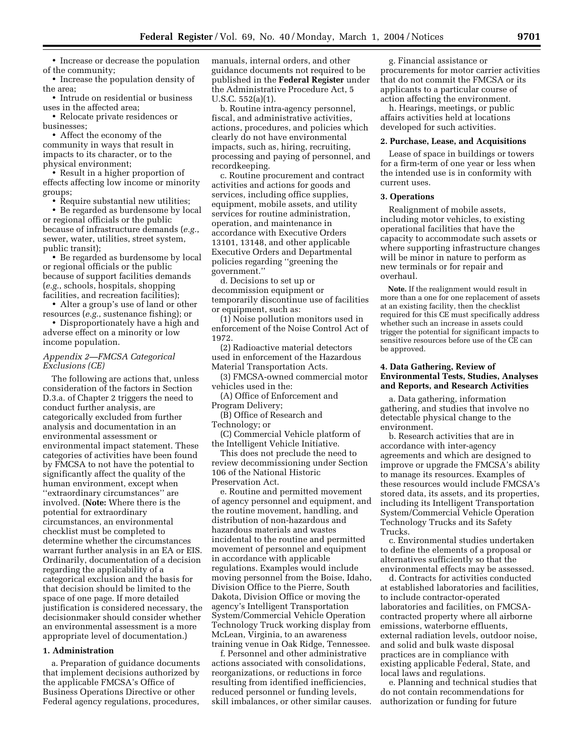• Increase or decrease the population of the community;

• Increase the population density of the area;

• Intrude on residential or business uses in the affected area;

• Relocate private residences or businesses;

• Affect the economy of the community in ways that result in impacts to its character, or to the physical environment;

• Result in a higher proportion of effects affecting low income or minority groups;

• Require substantial new utilities;

• Be regarded as burdensome by local or regional officials or the public because of infrastructure demands (*e.g.*, sewer, water, utilities, street system, public transit);

• Be regarded as burdensome by local or regional officials or the public because of support facilities demands (*e.g.*, schools, hospitals, shopping facilities, and recreation facilities);

• Alter a group's use of land or other resources (*e.g.*, sustenance fishing); or

• Disproportionately have a high and adverse effect on a minority or low income population.

#### *Appendix 2—FMCSA Categorical Exclusions (CE)*

The following are actions that, unless consideration of the factors in Section D.3.a. of Chapter 2 triggers the need to conduct further analysis, are categorically excluded from further analysis and documentation in an environmental assessment or environmental impact statement. These categories of activities have been found by FMCSA to not have the potential to significantly affect the quality of the human environment, except when ''extraordinary circumstances'' are involved. (**Note:** Where there is the potential for extraordinary circumstances, an environmental checklist must be completed to determine whether the circumstances warrant further analysis in an EA or EIS. Ordinarily, documentation of a decision regarding the applicability of a categorical exclusion and the basis for that decision should be limited to the space of one page. If more detailed justification is considered necessary, the decisionmaker should consider whether an environmental assessment is a more appropriate level of documentation.)

#### **1. Administration**

a. Preparation of guidance documents that implement decisions authorized by the applicable FMCSA's Office of Business Operations Directive or other Federal agency regulations, procedures,

manuals, internal orders, and other guidance documents not required to be published in the **Federal Register** under the Administrative Procedure Act, 5 U.S.C. 552(a)(1).

b. Routine intra-agency personnel, fiscal, and administrative activities, actions, procedures, and policies which clearly do not have environmental impacts, such as, hiring, recruiting, processing and paying of personnel, and recordkeeping.

c. Routine procurement and contract activities and actions for goods and services, including office supplies, equipment, mobile assets, and utility services for routine administration, operation, and maintenance in accordance with Executive Orders 13101, 13148, and other applicable Executive Orders and Departmental policies regarding ''greening the government.''

d. Decisions to set up or decommission equipment or temporarily discontinue use of facilities or equipment, such as:

(1) Noise pollution monitors used in enforcement of the Noise Control Act of 1972.

(2) Radioactive material detectors used in enforcement of the Hazardous Material Transportation Acts.

(3) FMCSA-owned commercial motor vehicles used in the:

(A) Office of Enforcement and Program Delivery;

(B) Office of Research and Technology; or

(C) Commercial Vehicle platform of the Intelligent Vehicle Initiative.

This does not preclude the need to review decommissioning under Section 106 of the National Historic Preservation Act.

e. Routine and permitted movement of agency personnel and equipment, and the routine movement, handling, and distribution of non-hazardous and hazardous materials and wastes incidental to the routine and permitted movement of personnel and equipment in accordance with applicable regulations. Examples would include moving personnel from the Boise, Idaho, Division Office to the Pierre, South Dakota, Division Office or moving the agency's Intelligent Transportation System/Commercial Vehicle Operation Technology Truck working display from McLean, Virginia, to an awareness training venue in Oak Ridge, Tennessee.

f. Personnel and other administrative actions associated with consolidations, reorganizations, or reductions in force resulting from identified inefficiencies, reduced personnel or funding levels, skill imbalances, or other similar causes.

g. Financial assistance or procurements for motor carrier activities that do not commit the FMCSA or its applicants to a particular course of action affecting the environment.

h. Hearings, meetings, or public affairs activities held at locations developed for such activities.

#### **2. Purchase, Lease, and Acquisitions**

Lease of space in buildings or towers for a firm-term of one year or less when the intended use is in conformity with current uses.

# **3. Operations**

Realignment of mobile assets, including motor vehicles, to existing operational facilities that have the capacity to accommodate such assets or where supporting infrastructure changes will be minor in nature to perform as new terminals or for repair and overhaul.

**Note.** If the realignment would result in more than a one for one replacement of assets at an existing facility, then the checklist required for this CE must specifically address whether such an increase in assets could trigger the potential for significant impacts to sensitive resources before use of the CE can be approved.

# **4. Data Gathering, Review of Environmental Tests, Studies, Analyses and Reports, and Research Activities**

a. Data gathering, information gathering, and studies that involve no detectable physical change to the environment.

b. Research activities that are in accordance with inter-agency agreements and which are designed to improve or upgrade the FMCSA's ability to manage its resources. Examples of these resources would include FMCSA's stored data, its assets, and its properties, including its Intelligent Transportation System/Commercial Vehicle Operation Technology Trucks and its Safety Trucks.

c. Environmental studies undertaken to define the elements of a proposal or alternatives sufficiently so that the environmental effects may be assessed.

d. Contracts for activities conducted at established laboratories and facilities, to include contractor-operated laboratories and facilities, on FMCSAcontracted property where all airborne emissions, waterborne effluents, external radiation levels, outdoor noise, and solid and bulk waste disposal practices are in compliance with existing applicable Federal, State, and local laws and regulations.

e. Planning and technical studies that do not contain recommendations for authorization or funding for future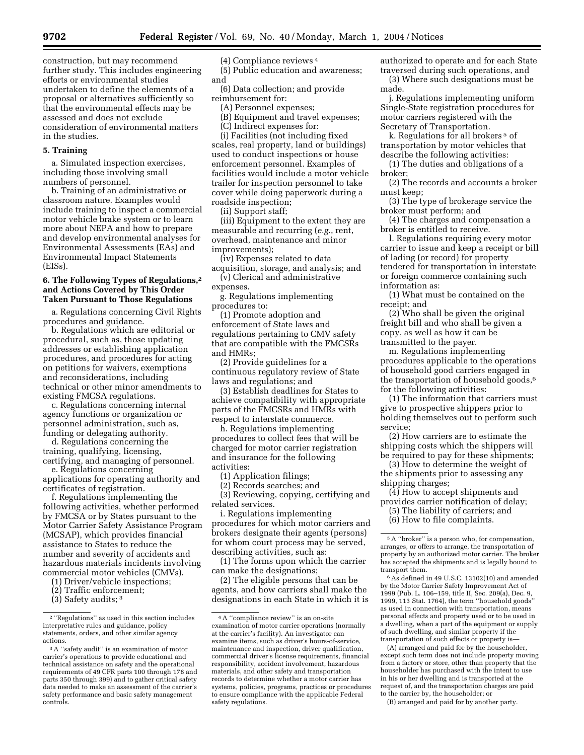construction, but may recommend further study. This includes engineering efforts or environmental studies undertaken to define the elements of a proposal or alternatives sufficiently so that the environmental effects may be assessed and does not exclude consideration of environmental matters in the studies.

# **5. Training**

a. Simulated inspection exercises, including those involving small numbers of personnel.

b. Training of an administrative or classroom nature. Examples would include training to inspect a commercial motor vehicle brake system or to learn more about NEPA and how to prepare and develop environmental analyses for Environmental Assessments (EAs) and Environmental Impact Statements (EISs).

# **6. The Following Types of Regulations,2 and Actions Covered by This Order Taken Pursuant to Those Regulations**

a. Regulations concerning Civil Rights procedures and guidance.

b. Regulations which are editorial or procedural, such as, those updating addresses or establishing application procedures, and procedures for acting on petitions for waivers, exemptions and reconsiderations, including technical or other minor amendments to existing FMCSA regulations.

c. Regulations concerning internal agency functions or organization or personnel administration, such as, funding or delegating authority.

d. Regulations concerning the training, qualifying, licensing, certifying, and managing of personnel.

e. Regulations concerning applications for operating authority and certificates of registration.

f. Regulations implementing the following activities, whether performed by FMCSA or by States pursuant to the Motor Carrier Safety Assistance Program (MCSAP), which provides financial assistance to States to reduce the number and severity of accidents and hazardous materials incidents involving commercial motor vehicles (CMVs).

(1) Driver/vehicle inspections;

- (2) Traffic enforcement;
- (3) Safety audits; 3

(4) Compliance reviews 4

(5) Public education and awareness; and

(6) Data collection; and provide reimbursement for:

(A) Personnel expenses;

(B) Equipment and travel expenses;

(C) Indirect expenses for:

(i) Facilities (not including fixed scales, real property, land or buildings) used to conduct inspections or house enforcement personnel. Examples of facilities would include a motor vehicle trailer for inspection personnel to take cover while doing paperwork during a roadside inspection;

(ii) Support staff;

(iii) Equipment to the extent they are measurable and recurring (*e.g.*, rent, overhead, maintenance and minor improvements);

(iv) Expenses related to data acquisition, storage, and analysis; and

(v) Clerical and administrative expenses.

g. Regulations implementing procedures to:

(1) Promote adoption and enforcement of State laws and regulations pertaining to CMV safety that are compatible with the FMCSRs and HMRs;

(2) Provide guidelines for a continuous regulatory review of State laws and regulations; and

(3) Establish deadlines for States to achieve compatibility with appropriate parts of the FMCSRs and HMRs with respect to interstate commerce.

h. Regulations implementing procedures to collect fees that will be charged for motor carrier registration and insurance for the following activities:

(1) Application filings;

(2) Records searches; and

(3) Reviewing, copying, certifying and related services.

i. Regulations implementing procedures for which motor carriers and brokers designate their agents (persons) for whom court process may be served, describing activities, such as:

(1) The forms upon which the carrier can make the designations;

(2) The eligible persons that can be agents, and how carriers shall make the designations in each State in which it is authorized to operate and for each State traversed during such operations, and (3) Where such designations must be

made. j. Regulations implementing uniform Single-State registration procedures for motor carriers registered with the Secretary of Transportation.

k. Regulations for all brokers 5 of transportation by motor vehicles that describe the following activities:

(1) The duties and obligations of a broker;

(2) The records and accounts a broker must keep;

(3) The type of brokerage service the broker must perform; and

(4) The charges and compensation a broker is entitled to receive.

l. Regulations requiring every motor carrier to issue and keep a receipt or bill of lading (or record) for property tendered for transportation in interstate or foreign commerce containing such information as:

(1) What must be contained on the receipt; and

(2) Who shall be given the original freight bill and who shall be given a copy, as well as how it can be transmitted to the payer.

m. Regulations implementing procedures applicable to the operations of household good carriers engaged in the transportation of household goods,<sup>6</sup> for the following activities:

(1) The information that carriers must give to prospective shippers prior to holding themselves out to perform such service;

(2) How carriers are to estimate the shipping costs which the shippers will be required to pay for these shipments;

(3) How to determine the weight of the shipments prior to assessing any shipping charges;

(4) How to accept shipments and provides carrier notification of delay; (5) The liability of carriers; and

(6) How to file complaints.

6As defined in 49 U.S.C. 13102(10) and amended by the Motor Carrier Safety Improvement Act of 1999 (Pub. L. 106–159, title II, Sec. 209(a), Dec. 9, 1999, 113 Stat. 1764), the term ''household goods'' as used in connection with transportation, means personal effects and property used or to be used in a dwelling, when a part of the equipment or supply of such dwelling, and similar property if the transportation of such effects or property is—

(A) arranged and paid for by the householder, except such term does not include property moving from a factory or store, other than property that the householder has purchased with the intent to use in his or her dwelling and is transported at the request of, and the transportation charges are paid to the carrier by, the householder; or

(B) arranged and paid for by another party.

<sup>2</sup> ''Regulations'' as used in this section includes interpretative rules and guidance, policy statements, orders, and other similar agency actions.

<sup>3</sup>A ''safety audit'' is an examination of motor carrier's operations to provide educational and technical assistance on safety and the operational requirements of 49 CFR parts 100 through 178 and parts 350 through 399) and to gather critical safety data needed to make an assessment of the carrier's safety performance and basic safety management controls.

<sup>4</sup>A ''compliance review'' is an on-site examination of motor carrier operations (normally at the carrier's facility). An investigator can examine items, such as driver's hours-of-service, maintenance and inspection, driver qualification, commercial driver's license requirements, financial responsibility, accident involvement, hazardous materials, and other safety and transportation records to determine whether a motor carrier has systems, policies, programs, practices or procedures to ensure compliance with the applicable Federal safety regulations.

<sup>5</sup>A ''broker'' is a person who, for compensation, arranges, or offers to arrange, the transportation of property by an authorized motor carrier. The broker has accepted the shipments and is legally bound to transport them.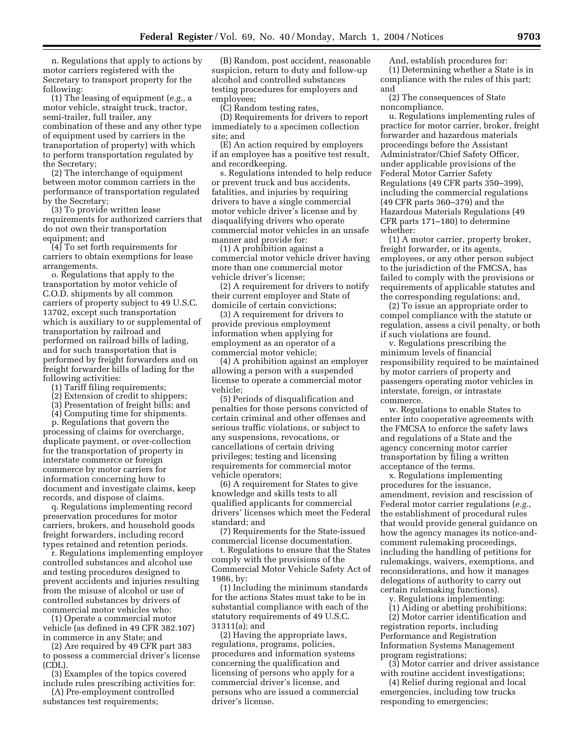n. Regulations that apply to actions by motor carriers registered with the Secretary to transport property for the following:

(1) The leasing of equipment (*e.g.*, a motor vehicle, straight truck, tractor, semi-trailer, full trailer, any combination of these and any other type of equipment used by carriers in the transportation of property) with which to perform transportation regulated by the Secretary;

(2) The interchange of equipment between motor common carriers in the performance of transportation regulated by the Secretary;

(3) To provide written lease requirements for authorized carriers that do not own their transportation equipment; and

(4) To set forth requirements for carriers to obtain exemptions for lease arrangements.

o. Regulations that apply to the transportation by motor vehicle of C.O.D. shipments by all common carriers of property subject to 49 U.S.C. 13702, except such transportation which is auxiliary to or supplemental of transportation by railroad and performed on railroad bills of lading, and for such transportation that is performed by freight forwarders and on freight forwarder bills of lading for the following activities:

- (1) Tariff filing requirements;
- (2) Extension of credit to shippers;
- (3) Presentation of freight bills; and
- (4) Computing time for shipments.

p. Regulations that govern the processing of claims for overcharge, duplicate payment, or over-collection for the transportation of property in interstate commerce or foreign commerce by motor carriers for information concerning how to document and investigate claims, keep records, and dispose of claims.

q. Regulations implementing record preservation procedures for motor carriers, brokers, and household goods freight forwarders, including record types retained and retention periods.

r. Regulations implementing employer controlled substances and alcohol use and testing procedures designed to prevent accidents and injuries resulting from the misuse of alcohol or use of controlled substances by drivers of commercial motor vehicles who:

(1) Operate a commercial motor vehicle (as defined in 49 CFR 382.107) in commerce in any State; and

(2) Are required by 49 CFR part 383 to possess a commercial driver's license (CDL).

(3) Examples of the topics covered

include rules prescribing activities for: (A) Pre-employment controlled

substances test requirements;

(B) Random, post accident, reasonable suspicion, return to duty and follow-up alcohol and controlled substances testing procedures for employers and employees;

(C) Random testing rates,

(D) Requirements for drivers to report immediately to a specimen collection site; and

(E) An action required by employers if an employee has a positive test result, and recordkeeping.

s. Regulations intended to help reduce or prevent truck and bus accidents, fatalities, and injuries by requiring drivers to have a single commercial motor vehicle driver's license and by disqualifying drivers who operate commercial motor vehicles in an unsafe manner and provide for:

(1) A prohibition against a commercial motor vehicle driver having more than one commercial motor vehicle driver's license;

(2) A requirement for drivers to notify their current employer and State of domicile of certain convictions;

(3) A requirement for drivers to provide previous employment information when applying for employment as an operator of a commercial motor vehicle;

(4) A prohibition against an employer allowing a person with a suspended license to operate a commercial motor vehicle;

(5) Periods of disqualification and penalties for those persons convicted of certain criminal and other offenses and serious traffic violations, or subject to any suspensions, revocations, or cancellations of certain driving privileges; testing and licensing requirements for commercial motor vehicle operators;

(6) A requirement for States to give knowledge and skills tests to all qualified applicants for commercial drivers' licenses which meet the Federal standard; and

(7) Requirements for the State-issued commercial license documentation.

t. Regulations to ensure that the States comply with the provisions of the Commercial Motor Vehicle Safety Act of 1986, by:

(1) Including the minimum standards for the actions States must take to be in substantial compliance with each of the statutory requirements of 49 U.S.C. 31311(a); and

(2) Having the appropriate laws, regulations, programs, policies, procedures and information systems concerning the qualification and licensing of persons who apply for a commercial driver's license, and persons who are issued a commercial driver's license.

And, establish procedures for: (1) Determining whether a State is in compliance with the rules of this part; and

(2) The consequences of State noncompliance.

u. Regulations implementing rules of practice for motor carrier, broker, freight forwarder and hazardous materials proceedings before the Assistant Administrator/Chief Safety Officer, under applicable provisions of the Federal Motor Carrier Safety Regulations (49 CFR parts 350–399), including the commercial regulations (49 CFR parts 360–379) and the Hazardous Materials Regulations (49 CFR parts 171–180) to determine whether:

(1) A motor carrier, property broker, freight forwarder, or its agents, employees, or any other person subject to the jurisdiction of the FMCSA, has failed to comply with the provisions or requirements of applicable statutes and the corresponding regulations; and,

(2) To issue an appropriate order to compel compliance with the statute or regulation, assess a civil penalty, or both if such violations are found.

v. Regulations prescribing the minimum levels of financial responsibility required to be maintained by motor carriers of property and passengers operating motor vehicles in interstate, foreign, or intrastate commerce.

w. Regulations to enable States to enter into cooperative agreements with the FMCSA to enforce the safety laws and regulations of a State and the agency concerning motor carrier transportation by filing a written acceptance of the terms.

x. Regulations implementing procedures for the issuance, amendment, revision and rescission of Federal motor carrier regulations (*e.g.*, the establishment of procedural rules that would provide general guidance on how the agency manages its notice-andcomment rulemaking proceedings, including the handling of petitions for rulemakings, waivers, exemptions, and reconsiderations, and how it manages delegations of authority to carry out certain rulemaking functions).

y. Regulations implementing:

(1) Aiding or abetting prohibitions; (2) Motor carrier identification and registration reports, including Performance and Registration Information Systems Management program registrations;

(3) Motor carrier and driver assistance with routine accident investigations;

(4) Relief during regional and local emergencies, including tow trucks responding to emergencies;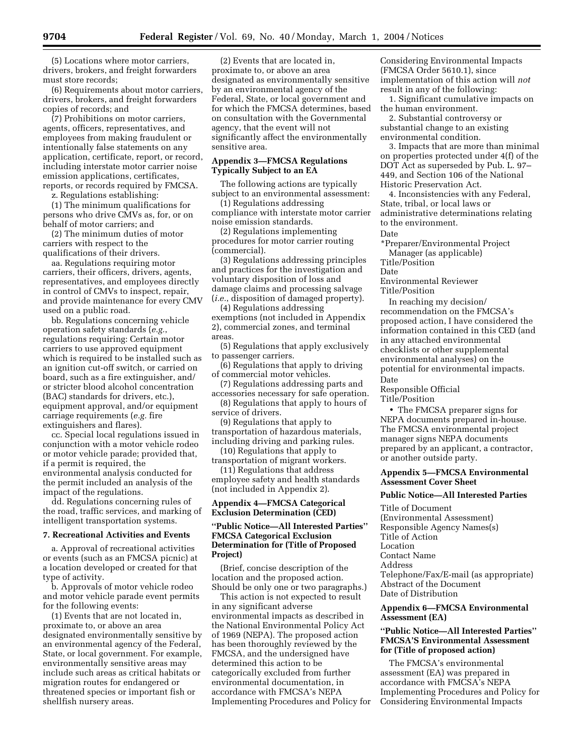(5) Locations where motor carriers, drivers, brokers, and freight forwarders must store records;

(6) Requirements about motor carriers, drivers, brokers, and freight forwarders copies of records; and

(7) Prohibitions on motor carriers, agents, officers, representatives, and employees from making fraudulent or intentionally false statements on any application, certificate, report, or record, including interstate motor carrier noise emission applications, certificates, reports, or records required by FMCSA.

z. Regulations establishing:

(1) The minimum qualifications for persons who drive CMVs as, for, or on behalf of motor carriers; and

(2) The minimum duties of motor carriers with respect to the qualifications of their drivers.

aa. Regulations requiring motor carriers, their officers, drivers, agents, representatives, and employees directly in control of CMVs to inspect, repair, and provide maintenance for every CMV used on a public road.

bb. Regulations concerning vehicle operation safety standards (*e.g.*, regulations requiring: Certain motor carriers to use approved equipment which is required to be installed such as an ignition cut-off switch, or carried on board, such as a fire extinguisher, and/ or stricter blood alcohol concentration (BAC) standards for drivers, etc.), equipment approval, and/or equipment carriage requirements (*e.g.* fire extinguishers and flares).

cc. Special local regulations issued in conjunction with a motor vehicle rodeo or motor vehicle parade; provided that, if a permit is required, the environmental analysis conducted for the permit included an analysis of the impact of the regulations.

dd. Regulations concerning rules of the road, traffic services, and marking of intelligent transportation systems.

#### **7. Recreational Activities and Events**

a. Approval of recreational activities or events (such as an FMCSA picnic) at a location developed or created for that type of activity.

b. Approvals of motor vehicle rodeo and motor vehicle parade event permits for the following events:

(1) Events that are not located in, proximate to, or above an area designated environmentally sensitive by an environmental agency of the Federal, State, or local government. For example, environmentally sensitive areas may include such areas as critical habitats or migration routes for endangered or threatened species or important fish or shellfish nursery areas.

(2) Events that are located in, proximate to, or above an area designated as environmentally sensitive by an environmental agency of the Federal, State, or local government and for which the FMCSA determines, based on consultation with the Governmental agency, that the event will not significantly affect the environmentally sensitive area.

# **Appendix 3—FMCSA Regulations Typically Subject to an EA**

The following actions are typically subject to an environmental assessment:

(1) Regulations addressing compliance with interstate motor carrier noise emission standards.

(2) Regulations implementing procedures for motor carrier routing (commercial).

(3) Regulations addressing principles and practices for the investigation and voluntary disposition of loss and damage claims and processing salvage (*i.e.*, disposition of damaged property).

(4) Regulations addressing exemptions (not included in Appendix 2), commercial zones, and terminal areas.

(5) Regulations that apply exclusively to passenger carriers.

(6) Regulations that apply to driving of commercial motor vehicles.

(7) Regulations addressing parts and accessories necessary for safe operation.

(8) Regulations that apply to hours of service of drivers.

(9) Regulations that apply to transportation of hazardous materials, including driving and parking rules.

(10) Regulations that apply to transportation of migrant workers.

(11) Regulations that address employee safety and health standards (not included in Appendix 2).

#### **Appendix 4—FMCSA Categorical Exclusion Determination (CED)**

# **''Public Notice—All Interested Parties'' FMCSA Categorical Exclusion Determination for (Title of Proposed Project)**

(Brief, concise description of the location and the proposed action. Should be only one or two paragraphs.)

This action is not expected to result in any significant adverse environmental impacts as described in the National Environmental Policy Act of 1969 (NEPA). The proposed action has been thoroughly reviewed by the FMCSA, and the undersigned have determined this action to be categorically excluded from further environmental documentation, in accordance with FMCSA's NEPA Implementing Procedures and Policy for Considering Environmental Impacts (FMCSA Order 5610.1), since implementation of this action will *not* result in any of the following:

1. Significant cumulative impacts on the human environment.

2. Substantial controversy or substantial change to an existing environmental condition.

3. Impacts that are more than minimal on properties protected under 4(f) of the DOT Act as superseded by Pub. L. 97– 449, and Section 106 of the National Historic Preservation Act.

4. Inconsistencies with any Federal, State, tribal, or local laws or administrative determinations relating to the environment.

Date

\*Preparer/Environmental Project Manager (as applicable) Title/Position

**Date** 

Environmental Reviewer

Title/Position

In reaching my decision/ recommendation on the FMCSA's proposed action, I have considered the information contained in this CED (and in any attached environmental checklists or other supplemental environmental analyses) on the potential for environmental impacts. Date

Responsible Official Title/Position

• The FMCSA preparer signs for NEPA documents prepared in-house. The FMCSA environmental project manager signs NEPA documents prepared by an applicant, a contractor, or another outside party.

#### **Appendix 5—FMCSA Environmental Assessment Cover Sheet**

#### **Public Notice—All Interested Parties**

Title of Document (Environmental Assessment) Responsible Agency Names(s) Title of Action Location Contact Name Address Telephone/Fax/E-mail (as appropriate) Abstract of the Document Date of Distribution

# **Appendix 6—FMCSA Environmental Assessment (EA)**

# **''Public Notice—All Interested Parties'' FMCSA'S Environmental Assessment for (Title of proposed action)**

The FMCSA's environmental assessment (EA) was prepared in accordance with FMCSA's NEPA Implementing Procedures and Policy for Considering Environmental Impacts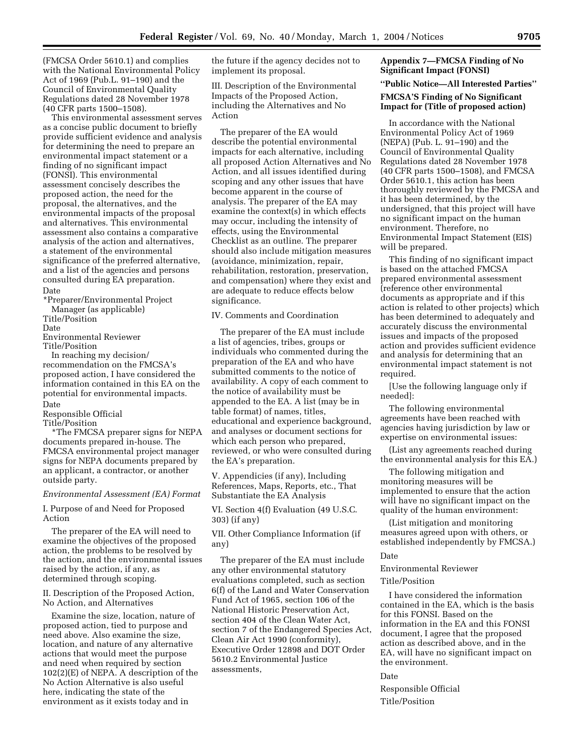(FMCSA Order 5610.1) and complies with the National Environmental Policy Act of 1969 (Pub.L. 91–190) and the Council of Environmental Quality Regulations dated 28 November 1978 (40 CFR parts 1500–1508).

This environmental assessment serves as a concise public document to briefly provide sufficient evidence and analysis for determining the need to prepare an environmental impact statement or a finding of no significant impact (FONSI). This environmental assessment concisely describes the proposed action, the need for the proposal, the alternatives, and the environmental impacts of the proposal and alternatives. This environmental assessment also contains a comparative analysis of the action and alternatives, a statement of the environmental significance of the preferred alternative, and a list of the agencies and persons consulted during EA preparation.

Date

\*Preparer/Environmental Project Manager (as applicable)

Title/Position

Date

Environmental Reviewer

Title/Position

In reaching my decision/ recommendation on the FMCSA's proposed action, I have considered the information contained in this EA on the potential for environmental impacts. Date

Responsible Official

Title/Position

\*The FMCSA preparer signs for NEPA documents prepared in-house. The FMCSA environmental project manager signs for NEPA documents prepared by an applicant, a contractor, or another outside party.

#### *Environmental Assessment (EA) Format*

I. Purpose of and Need for Proposed Action

The preparer of the EA will need to examine the objectives of the proposed action, the problems to be resolved by the action, and the environmental issues raised by the action, if any, as determined through scoping.

II. Description of the Proposed Action, No Action, and Alternatives

Examine the size, location, nature of proposed action, tied to purpose and need above. Also examine the size, location, and nature of any alternative actions that would meet the purpose and need when required by section 102(2)(E) of NEPA. A description of the No Action Alternative is also useful here, indicating the state of the environment as it exists today and in

the future if the agency decides not to implement its proposal.

III. Description of the Environmental Impacts of the Proposed Action, including the Alternatives and No Action

The preparer of the EA would describe the potential environmental impacts for each alternative, including all proposed Action Alternatives and No Action, and all issues identified during scoping and any other issues that have become apparent in the course of analysis. The preparer of the EA may examine the context(s) in which effects may occur, including the intensity of effects, using the Environmental Checklist as an outline. The preparer should also include mitigation measures (avoidance, minimization, repair, rehabilitation, restoration, preservation, and compensation) where they exist and are adequate to reduce effects below significance.

IV. Comments and Coordination

The preparer of the EA must include a list of agencies, tribes, groups or individuals who commented during the preparation of the EA and who have submitted comments to the notice of availability. A copy of each comment to the notice of availability must be appended to the EA. A list (may be in table format) of names, titles, educational and experience background, and analyses or document sections for which each person who prepared, reviewed, or who were consulted during the EA's preparation.

V. Appendicies (if any), Including References, Maps, Reports, etc., That Substantiate the EA Analysis

VI. Section 4(f) Evaluation (49 U.S.C. 303) (if any)

VII. Other Compliance Information (if any)

The preparer of the EA must include any other environmental statutory evaluations completed, such as section 6(f) of the Land and Water Conservation Fund Act of 1965, section 106 of the National Historic Preservation Act, section 404 of the Clean Water Act, section 7 of the Endangered Species Act, Clean Air Act 1990 (conformity), Executive Order 12898 and DOT Order 5610.2 Environmental Justice assessments,

# **Appendix 7—FMCSA Finding of No Significant Impact (FONSI)**

# **''Public Notice—All Interested Parties''**

# **FMCSA'S Finding of No Significant Impact for (Title of proposed action)**

In accordance with the National Environmental Policy Act of 1969 (NEPA) (Pub. L. 91–190) and the Council of Environmental Quality Regulations dated 28 November 1978 (40 CFR parts 1500–1508), and FMCSA Order 5610.1, this action has been thoroughly reviewed by the FMCSA and it has been determined, by the undersigned, that this project will have no significant impact on the human environment. Therefore, no Environmental Impact Statement (EIS) will be prepared.

This finding of no significant impact is based on the attached FMCSA prepared environmental assessment (reference other environmental documents as appropriate and if this action is related to other projects) which has been determined to adequately and accurately discuss the environmental issues and impacts of the proposed action and provides sufficient evidence and analysis for determining that an environmental impact statement is not required.

[Use the following language only if needed]:

The following environmental agreements have been reached with agencies having jurisdiction by law or expertise on environmental issues:

(List any agreements reached during the environmental analysis for this EA.)

The following mitigation and monitoring measures will be implemented to ensure that the action will have no significant impact on the quality of the human environment:

(List mitigation and monitoring measures agreed upon with others, or established independently by FMCSA.)

# Date

Environmental Reviewer

Title/Position

I have considered the information contained in the EA, which is the basis for this FONSI. Based on the information in the EA and this FONSI document, I agree that the proposed action as described above, and in the EA, will have no significant impact on the environment.

# Date

Responsible Official Title/Position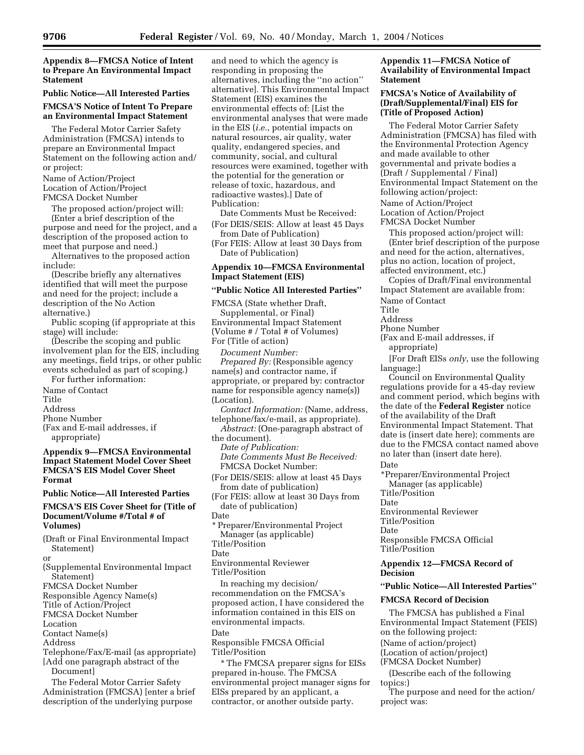**Appendix 8—FMCSA Notice of Intent to Prepare An Environmental Impact Statement** 

# **Public Notice—All Interested Parties**

# **FMCSA'S Notice of Intent To Prepare an Environmental Impact Statement**

The Federal Motor Carrier Safety Administration (FMCSA) intends to prepare an Environmental Impact Statement on the following action and/ or project:

Name of Action/Project Location of Action/Project FMCSA Docket Number

The proposed action/project will: (Enter a brief description of the purpose and need for the project, and a description of the proposed action to meet that purpose and need.)

Alternatives to the proposed action include:

(Describe briefly any alternatives identified that will meet the purpose and need for the project; include a description of the No Action alternative.)

Public scoping (if appropriate at this stage) will include:

(Describe the scoping and public involvement plan for the EIS, including any meetings, field trips, or other public events scheduled as part of scoping.) For further information:

Name of Contact

Title Address

Phone Number

(Fax and E-mail addresses, if appropriate)

# **Appendix 9—FMCSA Environmental Impact Statement Model Cover Sheet FMCSA'S EIS Model Cover Sheet Format**

# **Public Notice—All Interested Parties**

# **FMCSA'S EIS Cover Sheet for (Title of Document/Volume #/Total # of Volumes)**

(Draft or Final Environmental Impact Statement)

or

(Supplemental Environmental Impact Statement)

FMCSA Docket Number

Responsible Agency Name(s)

Title of Action/Project

FMCSA Docket Number

Location

Contact Name(s)

Address

Telephone/Fax/E-mail (as appropriate) [Add one paragraph abstract of the Document]

The Federal Motor Carrier Safety Administration (FMCSA) [enter a brief description of the underlying purpose

and need to which the agency is responding in proposing the alternatives, including the ''no action'' alternative]. This Environmental Impact Statement (EIS) examines the environmental effects of: [List the environmental analyses that were made in the EIS (*i.e.*, potential impacts on natural resources, air quality, water quality, endangered species, and community, social, and cultural resources were examined, together with the potential for the generation or release of toxic, hazardous, and radioactive wastes).] Date of Publication:

Date Comments Must be Received: (For DEIS/SEIS: Allow at least 45 Days

from Date of Publication)

(For FEIS: Allow at least 30 Days from Date of Publication)

# **Appendix 10—FMCSA Environmental Impact Statement (EIS)**

# **''Public Notice All Interested Parties''**

FMCSA (State whether Draft, Supplemental, or Final) Environmental Impact Statement (Volume # / Total # of Volumes) For (Title of action)

*Document Number:*

*Prepared By:* (Responsible agency name(s) and contractor name, if appropriate, or prepared by: contractor name for responsible agency name(s)) (Location).

*Contact Information:* (Name, address, telephone/fax/e-mail, as appropriate).

*Abstract:* (One-paragraph abstract of the document).

*Date of Publication: Date Comments Must Be Received:* FMCSA Docket Number:

(For DEIS/SEIS: allow at least 45 Days from date of publication)

(For FEIS: allow at least 30 Days from date of publication)

Date

\* Preparer/Environmental Project Manager (as applicable)

Title/Position

Date

Environmental Reviewer

Title/Position

In reaching my decision/ recommendation on the FMCSA's proposed action, I have considered the information contained in this EIS on environmental impacts.

Date

Responsible FMCSA Official Title/Position

\* The FMCSA preparer signs for EISs prepared in-house. The FMCSA environmental project manager signs for EISs prepared by an applicant, a contractor, or another outside party.

**Appendix 11—FMCSA Notice of Availability of Environmental Impact Statement** 

# **FMCSA's Notice of Availability of (Draft/Supplemental/Final) EIS for (Title of Proposed Action)**

The Federal Motor Carrier Safety Administration (FMCSA) has filed with the Environmental Protection Agency and made available to other governmental and private bodies a (Draft / Supplemental / Final) Environmental Impact Statement on the following action/project: Name of Action/Project Location of Action/Project FMCSA Docket Number

This proposed action/project will: (Enter brief description of the purpose and need for the action, alternatives, plus no action, location of project, affected environment, etc.)

Copies of Draft/Final environmental Impact Statement are available from: Name of Contact

Title

Address

Phone Number

(Fax and E-mail addresses, if

appropriate)

[For Draft EISs *only*, use the following language:]

Council on Environmental Quality regulations provide for a 45-day review and comment period, which begins with the date of the **Federal Register** notice of the availability of the Draft Environmental Impact Statement. That date is (insert date here); comments are due to the FMCSA contact named above no later than (insert date here). Date

\*Preparer/Environmental Project Manager (as applicable)

Title/Position

Date

Environmental Reviewer Title/Position

Date Responsible FMCSA Official

Title/Position

# **Appendix 12—FMCSA Record of Decision**

# **''Public Notice—All Interested Parties''**

# **FMCSA Record of Decision**

The FMCSA has published a Final Environmental Impact Statement (FEIS) on the following project:

(Name of action/project)

(Location of action/project) (FMCSA Docket Number)

(Describe each of the following topics:)

The purpose and need for the action/ project was: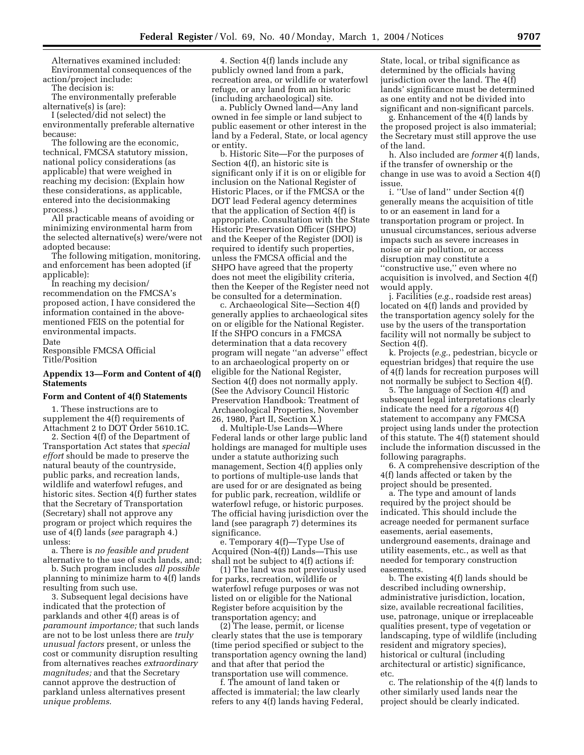Alternatives examined included: Environmental consequences of the action/project include:

The decision is:

The environmentally preferable alternative(s) is (are):

I (selected/did not select) the environmentally preferable alternative because:

The following are the economic, technical, FMCSA statutory mission, national policy considerations (as applicable) that were weighed in reaching my decision: (Explain how these considerations, as applicable, entered into the decisionmaking process.)

All practicable means of avoiding or minimizing environmental harm from the selected alternative(s) were/were not adopted because:

The following mitigation, monitoring, and enforcement has been adopted (if applicable):

In reaching my decision/ recommendation on the FMCSA's proposed action, I have considered the information contained in the abovementioned FEIS on the potential for environmental impacts.

Date Responsible FMCSA Official Title/Position

#### **Appendix 13—Form and Content of 4(f) Statements**

#### **Form and Content of 4(f) Statements**

1. These instructions are to supplement the 4(f) requirements of Attachment 2 to DOT Order 5610.1C.

2. Section 4(f) of the Department of Transportation Act states that *special effort* should be made to preserve the natural beauty of the countryside, public parks, and recreation lands, wildlife and waterfowl refuges, and historic sites. Section 4(f) further states that the Secretary of Transportation (Secretary) shall not approve any program or project which requires the use of 4(f) lands (*see* paragraph 4.) unless:

a. There is *no feasible and prudent* alternative to the use of such lands, and;

b. Such program includes *all possible* planning to minimize harm to 4(f) lands resulting from such use.

3. Subsequent legal decisions have indicated that the protection of parklands and other 4(f) areas is of *paramount importance;* that such lands are not to be lost unless there are *truly unusual factors* present, or unless the cost or community disruption resulting from alternatives reaches *extraordinary magnitudes;* and that the Secretary cannot approve the destruction of parkland unless alternatives present *unique problems*.

4. Section 4(f) lands include any publicly owned land from a park, recreation area, or wildlife or waterfowl refuge, or any land from an historic (including archaeological) site.

a. Publicly Owned land—Any land owned in fee simple or land subject to public easement or other interest in the land by a Federal, State, or local agency or entity.

b. Historic Site—For the purposes of Section 4(f), an historic site is significant only if it is on or eligible for inclusion on the National Register of Historic Places, or if the FMCSA or the DOT lead Federal agency determines that the application of Section 4(f) is appropriate. Consultation with the State Historic Preservation Officer (SHPO) and the Keeper of the Register (DOI) is required to identify such properties, unless the FMCSA official and the SHPO have agreed that the property does not meet the eligibility criteria, then the Keeper of the Register need not be consulted for a determination.

c. Archaeological Site—Section 4(f) generally applies to archaeological sites on or eligible for the National Register. If the SHPO concurs in a FMCSA determination that a data recovery program will negate ''an adverse'' effect to an archaeological property on or eligible for the National Register, Section 4(f) does not normally apply. (See the Advisory Council Historic Preservation Handbook: Treatment of Archaeological Properties, November 26, 1980, Part II, Section X.)

d. Multiple-Use Lands—Where Federal lands or other large public land holdings are managed for multiple uses under a statute authorizing such management, Section 4(f) applies only to portions of multiple-use lands that are used for or are designated as being for public park, recreation, wildlife or waterfowl refuge, or historic purposes. The official having jurisdiction over the land (see paragraph 7) determines its significance.

e. Temporary 4(f)—Type Use of Acquired (Non-4(f)) Lands—This use shall not be subject to 4(f) actions if:

(1) The land was not previously used for parks, recreation, wildlife or waterfowl refuge purposes or was not listed on or eligible for the National Register before acquisition by the transportation agency; and

(2) The lease, permit, or license clearly states that the use is temporary (time period specified or subject to the transportation agency owning the land) and that after that period the transportation use will commence.

f. The amount of land taken or affected is immaterial; the law clearly refers to any 4(f) lands having Federal, State, local, or tribal significance as determined by the officials having jurisdiction over the land. The 4(f) lands' significance must be determined as one entity and not be divided into significant and non-significant parcels.

g. Enhancement of the 4(f) lands by the proposed project is also immaterial; the Secretary must still approve the use of the land.

h. Also included are *former* 4(f) lands, if the transfer of ownership or the change in use was to avoid a Section 4(f) issue.

i. ''Use of land'' under Section 4(f) generally means the acquisition of title to or an easement in land for a transportation program or project. In unusual circumstances, serious adverse impacts such as severe increases in noise or air pollution, or access disruption may constitute a ''constructive use,'' even where no acquisition is involved, and Section 4(f) would apply.

j. Facilities (*e.g.*, roadside rest areas) located on 4(f) lands and provided by the transportation agency solely for the use by the users of the transportation facility will not normally be subject to Section 4(f).

k. Projects (*e.g.*, pedestrian, bicycle or equestrian bridges) that require the use of 4(f) lands for recreation purposes will not normally be subject to Section 4(f).

5. The language of Section 4(f) and subsequent legal interpretations clearly indicate the need for a *rigorous* 4(f) statement to accompany any FMCSA project using lands under the protection of this statute. The 4(f) statement should include the information discussed in the following paragraphs.

6. A comprehensive description of the 4(f) lands affected or taken by the project should be presented.

a. The type and amount of lands required by the project should be indicated. This should include the acreage needed for permanent surface easements, aerial easements, underground easements, drainage and utility easements, etc., as well as that needed for temporary construction easements.

b. The existing 4(f) lands should be described including ownership, administrative jurisdiction, location, size, available recreational facilities, use, patronage, unique or irreplaceable qualities present, type of vegetation or landscaping, type of wildlife (including resident and migratory species), historical or cultural (including architectural or artistic) significance, etc.

c. The relationship of the 4(f) lands to other similarly used lands near the project should be clearly indicated.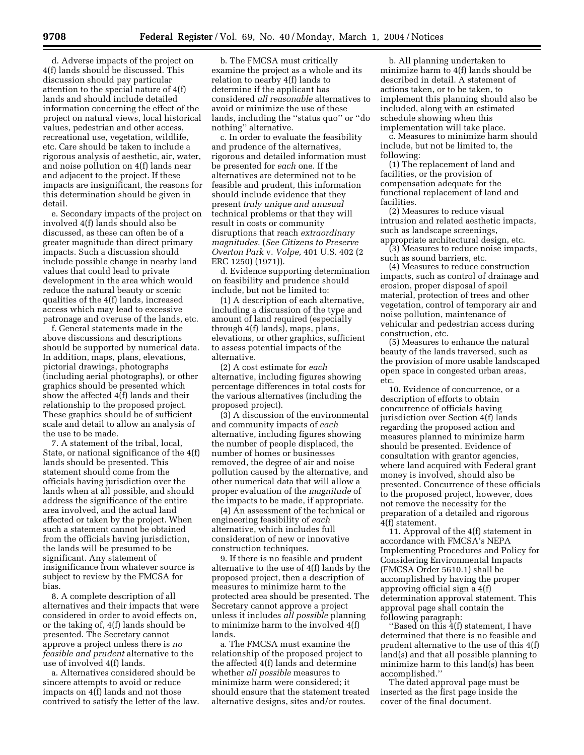d. Adverse impacts of the project on 4(f) lands should be discussed. This discussion should pay particular attention to the special nature of 4(f) lands and should include detailed information concerning the effect of the project on natural views, local historical values, pedestrian and other access, recreational use, vegetation, wildlife, etc. Care should be taken to include a rigorous analysis of aesthetic, air, water, and noise pollution on 4(f) lands near and adjacent to the project. If these impacts are insignificant, the reasons for this determination should be given in detail.

e. Secondary impacts of the project on involved 4(f) lands should also be discussed, as these can often be of a greater magnitude than direct primary impacts. Such a discussion should include possible change in nearby land values that could lead to private development in the area which would reduce the natural beauty or scenic qualities of the 4(f) lands, increased access which may lead to excessive patronage and overuse of the lands, etc.

f. General statements made in the above discussions and descriptions should be supported by numerical data. In addition, maps, plans, elevations, pictorial drawings, photographs (including aerial photographs), or other graphics should be presented which show the affected 4(f) lands and their relationship to the proposed project. These graphics should be of sufficient scale and detail to allow an analysis of the use to be made.

7. A statement of the tribal, local, State, or national significance of the 4(f) lands should be presented. This statement should come from the officials having jurisdiction over the lands when at all possible, and should address the significance of the entire area involved, and the actual land affected or taken by the project. When such a statement cannot be obtained from the officials having jurisdiction, the lands will be presumed to be significant. Any statement of insignificance from whatever source is subject to review by the FMCSA for bias.

8. A complete description of all alternatives and their impacts that were considered in order to avoid effects on, or the taking of, 4(f) lands should be presented. The Secretary cannot approve a project unless there is *no feasible and prudent* alternative to the use of involved 4(f) lands.

a. Alternatives considered should be sincere attempts to avoid or reduce impacts on 4(f) lands and not those contrived to satisfy the letter of the law.

b. The FMCSA must critically examine the project as a whole and its relation to nearby 4(f) lands to determine if the applicant has considered *all reasonable* alternatives to avoid or minimize the use of these lands, including the ''status quo'' or ''do nothing'' alternative.

c. In order to evaluate the feasibility and prudence of the alternatives, rigorous and detailed information must be presented for *each* one. If the alternatives are determined not to be feasible and prudent, this information should include evidence that they present *truly unique and unusual* technical problems or that they will result in costs or community disruptions that reach *extraordinary magnitudes.* (*See Citizens to Preserve Overton Park* v. *Volpe,* 401 U.S. 402 (2 ERC 1250) (1971)).

d. Evidence supporting determination on feasibility and prudence should include, but not be limited to:

(1) A description of each alternative, including a discussion of the type and amount of land required (especially through 4(f) lands), maps, plans, elevations, or other graphics, sufficient to assess potential impacts of the alternative.

(2) A cost estimate for *each* alternative, including figures showing percentage differences in total costs for the various alternatives (including the proposed project).

(3) A discussion of the environmental and community impacts of *each* alternative, including figures showing the number of people displaced, the number of homes or businesses removed, the degree of air and noise pollution caused by the alternative, and other numerical data that will allow a proper evaluation of the *magnitude* of the impacts to be made, if appropriate.

(4) An assessment of the technical or engineering feasibility of *each* alternative, which includes full consideration of new or innovative construction techniques.

9. If there is no feasible and prudent alternative to the use of 4(f) lands by the proposed project, then a description of measures to minimize harm to the protected area should be presented. The Secretary cannot approve a project unless it includes *all possible* planning to minimize harm to the involved 4(f) lands.

a. The FMCSA must examine the relationship of the proposed project to the affected 4(f) lands and determine whether *all possible* measures to minimize harm were considered; it should ensure that the statement treated alternative designs, sites and/or routes.

b. All planning undertaken to minimize harm to 4(f) lands should be described in detail. A statement of actions taken, or to be taken, to implement this planning should also be included, along with an estimated schedule showing when this implementation will take place.

c. Measures to minimize harm should include, but not be limited to, the following:

(1) The replacement of land and facilities, or the provision of compensation adequate for the functional replacement of land and facilities.

(2) Measures to reduce visual intrusion and related aesthetic impacts, such as landscape screenings, appropriate architectural design, etc.

(3) Measures to reduce noise impacts, such as sound barriers, etc.

(4) Measures to reduce construction impacts, such as control of drainage and erosion, proper disposal of spoil material, protection of trees and other vegetation, control of temporary air and noise pollution, maintenance of vehicular and pedestrian access during construction, etc.

(5) Measures to enhance the natural beauty of the lands traversed, such as the provision of more usable landscaped open space in congested urban areas, etc.

10. Evidence of concurrence, or a description of efforts to obtain concurrence of officials having jurisdiction over Section 4(f) lands regarding the proposed action and measures planned to minimize harm should be presented. Evidence of consultation with grantor agencies, where land acquired with Federal grant money is involved, should also be presented. Concurrence of these officials to the proposed project, however, does not remove the necessity for the preparation of a detailed and rigorous 4(f) statement.

11. Approval of the 4(f) statement in accordance with FMCSA's NEPA Implementing Procedures and Policy for Considering Environmental Impacts (FMCSA Order 5610.1) shall be accomplished by having the proper approving official sign a 4(f) determination approval statement. This approval page shall contain the following paragraph:

''Based on this 4(f) statement, I have determined that there is no feasible and prudent alternative to the use of this 4(f) land(s) and that all possible planning to minimize harm to this land(s) has been accomplished.''

The dated approval page must be inserted as the first page inside the cover of the final document.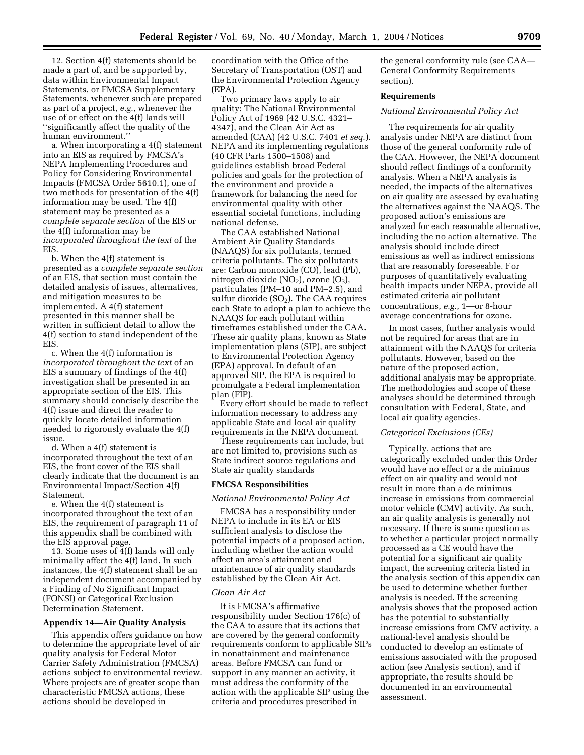12. Section 4(f) statements should be made a part of, and be supported by, data within Environmental Impact Statements, or FMCSA Supplementary Statements, whenever such are prepared as part of a project, *e.g.*, whenever the use of or effect on the 4(f) lands will ''significantly affect the quality of the human environment.''

a. When incorporating a 4(f) statement into an EIS as required by FMCSA's NEPA Implementing Procedures and Policy for Considering Environmental Impacts (FMCSA Order 5610.1), one of two methods for presentation of the 4(f) information may be used. The 4(f) statement may be presented as a *complete separate section* of the EIS or the 4(f) information may be *incorporated throughout the text* of the EIS.

b. When the 4(f) statement is presented as a *complete separate section* of an EIS, that section must contain the detailed analysis of issues, alternatives, and mitigation measures to be implemented. A 4(f) statement presented in this manner shall be written in sufficient detail to allow the 4(f) section to stand independent of the EIS.

c. When the 4(f) information is *incorporated throughout the text* of an EIS a summary of findings of the 4(f) investigation shall be presented in an appropriate section of the EIS. This summary should concisely describe the 4(f) issue and direct the reader to quickly locate detailed information needed to rigorously evaluate the 4(f) issue.

d. When a 4(f) statement is incorporated throughout the text of an EIS, the front cover of the EIS shall clearly indicate that the document is an Environmental Impact/Section 4(f) Statement.

e. When the 4(f) statement is incorporated throughout the text of an EIS, the requirement of paragraph 11 of this appendix shall be combined with the EIS approval page.

13. Some uses of  $\frac{3}{4}$ (f) lands will only minimally affect the 4(f) land. In such instances, the 4(f) statement shall be an independent document accompanied by a Finding of No Significant Impact (FONSI) or Categorical Exclusion Determination Statement.

# **Appendix 14—Air Quality Analysis**

This appendix offers guidance on how to determine the appropriate level of air quality analysis for Federal Motor Carrier Safety Administration (FMCSA) actions subject to environmental review. Where projects are of greater scope than characteristic FMCSA actions, these actions should be developed in

coordination with the Office of the Secretary of Transportation (OST) and the Environmental Protection Agency (EPA).

Two primary laws apply to air quality: The National Environmental Policy Act of 1969 (42 U.S.C. 4321– 4347), and the Clean Air Act as amended (CAA) (42 U.S.C. 7401 *et seq.*). NEPA and its implementing regulations (40 CFR Parts 1500–1508) and guidelines establish broad Federal policies and goals for the protection of the environment and provide a framework for balancing the need for environmental quality with other essential societal functions, including national defense.

The CAA established National Ambient Air Quality Standards (NAAQS) for six pollutants, termed criteria pollutants. The six pollutants are: Carbon monoxide (CO), lead (Pb), nitrogen dioxide  $(NO<sub>2</sub>)$ , ozone  $(O<sub>3</sub>)$ , particulates (PM–10 and PM–2.5), and sulfur dioxide  $(SO<sub>2</sub>)$ . The CAA requires each State to adopt a plan to achieve the NAAQS for each pollutant within timeframes established under the CAA. These air quality plans, known as State implementation plans (SIP), are subject to Environmental Protection Agency (EPA) approval. In default of an approved SIP, the EPA is required to promulgate a Federal implementation plan (FIP).

Every effort should be made to reflect information necessary to address any applicable State and local air quality requirements in the NEPA document.

These requirements can include, but are not limited to, provisions such as State indirect source regulations and State air quality standards

#### **FMCSA Responsibilities**

#### *National Environmental Policy Act*

FMCSA has a responsibility under NEPA to include in its EA or EIS sufficient analysis to disclose the potential impacts of a proposed action, including whether the action would affect an area's attainment and maintenance of air quality standards established by the Clean Air Act.

#### *Clean Air Act*

It is FMCSA's affirmative responsibility under Section 176(c) of the CAA to assure that its actions that are covered by the general conformity requirements conform to applicable SIPs in nonattainment and maintenance areas. Before FMCSA can fund or support in any manner an activity, it must address the conformity of the action with the applicable SIP using the criteria and procedures prescribed in

the general conformity rule (see CAA— General Conformity Requirements section).

# **Requirements**

#### *National Environmental Policy Act*

The requirements for air quality analysis under NEPA are distinct from those of the general conformity rule of the CAA. However, the NEPA document should reflect findings of a conformity analysis. When a NEPA analysis is needed, the impacts of the alternatives on air quality are assessed by evaluating the alternatives against the NAAQS. The proposed action's emissions are analyzed for each reasonable alternative, including the no action alternative. The analysis should include direct emissions as well as indirect emissions that are reasonably foreseeable. For purposes of quantitatively evaluating health impacts under NEPA, provide all estimated criteria air pollutant concentrations, *e.g.*, 1—or 8-hour average concentrations for ozone.

In most cases, further analysis would not be required for areas that are in attainment with the NAAQS for criteria pollutants. However, based on the nature of the proposed action, additional analysis may be appropriate. The methodologies and scope of these analyses should be determined through consultation with Federal, State, and local air quality agencies.

#### *Categorical Exclusions (CEs)*

Typically, actions that are categorically excluded under this Order would have no effect or a de minimus effect on air quality and would not result in more than a de minimus increase in emissions from commercial motor vehicle (CMV) activity. As such, an air quality analysis is generally not necessary. If there is some question as to whether a particular project normally processed as a CE would have the potential for a significant air quality impact, the screening criteria listed in the analysis section of this appendix can be used to determine whether further analysis is needed. If the screening analysis shows that the proposed action has the potential to substantially increase emissions from CMV activity, a national-level analysis should be conducted to develop an estimate of emissions associated with the proposed action (see Analysis section), and if appropriate, the results should be documented in an environmental assessment.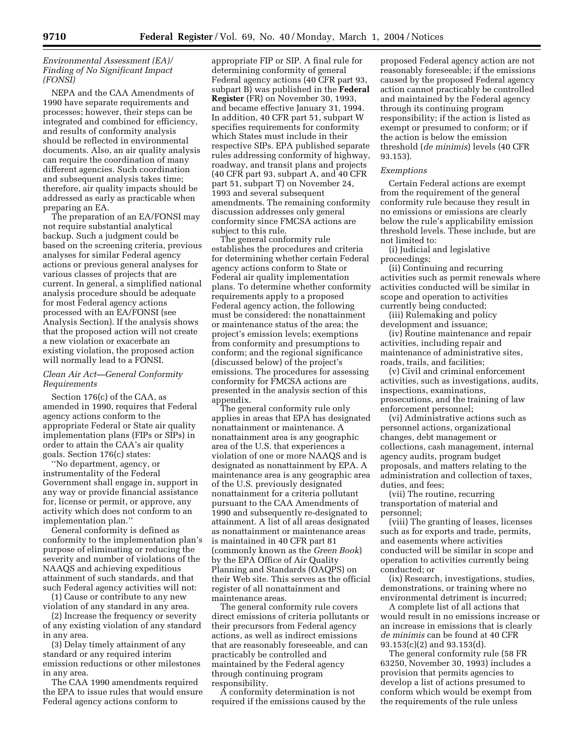# *Environmental Assessment (EA)/ Finding of No Significant Impact (FONSI)*

NEPA and the CAA Amendments of 1990 have separate requirements and processes; however, their steps can be integrated and combined for efficiency, and results of conformity analysis should be reflected in environmental documents. Also, an air quality analysis can require the coordination of many different agencies. Such coordination and subsequent analysis takes time; therefore, air quality impacts should be addressed as early as practicable when preparing an EA.

The preparation of an EA/FONSI may not require substantial analytical backup. Such a judgment could be based on the screening criteria, previous analyses for similar Federal agency actions or previous general analyses for various classes of projects that are current. In general, a simplified national analysis procedure should be adequate for most Federal agency actions processed with an EA/FONSI (see Analysis Section). If the analysis shows that the proposed action will not create a new violation or exacerbate an existing violation, the proposed action will normally lead to a FONSI.

# *Clean Air Act—General Conformity Requirements*

Section 176(c) of the CAA, as amended in 1990, requires that Federal agency actions conform to the appropriate Federal or State air quality implementation plans (FIPs or SIPs) in order to attain the CAA's air quality goals. Section 176(c) states:

''No department, agency, or instrumentality of the Federal Government shall engage in, support in any way or provide financial assistance for, license or permit, or approve, any activity which does not conform to an implementation plan.''

General conformity is defined as conformity to the implementation plan's purpose of eliminating or reducing the severity and number of violations of the NAAQS and achieving expeditious attainment of such standards, and that such Federal agency activities will not:

(1) Cause or contribute to any new violation of any standard in any area.

(2) Increase the frequency or severity of any existing violation of any standard in any area.

(3) Delay timely attainment of any standard or any required interim emission reductions or other milestones in any area.

The CAA 1990 amendments required the EPA to issue rules that would ensure Federal agency actions conform to

appropriate FIP or SIP. A final rule for determining conformity of general Federal agency actions (40 CFR part 93, subpart B) was published in the **Federal Register** (FR) on November 30, 1993, and became effective January 31, 1994. In addition, 40 CFR part 51, subpart W specifies requirements for conformity which States must include in their respective SIPs. EPA published separate rules addressing conformity of highway, roadway, and transit plans and projects (40 CFR part 93, subpart A, and 40 CFR part 51, subpart T) on November 24, 1993 and several subsequent amendments. The remaining conformity discussion addresses only general conformity since FMCSA actions are subject to this rule.

The general conformity rule establishes the procedures and criteria for determining whether certain Federal agency actions conform to State or Federal air quality implementation plans. To determine whether conformity requirements apply to a proposed Federal agency action, the following must be considered: the nonattainment or maintenance status of the area; the project's emission levels; exemptions from conformity and presumptions to conform; and the regional significance (discussed below) of the project's emissions. The procedures for assessing conformity for FMCSA actions are presented in the analysis section of this appendix.

The general conformity rule only applies in areas that EPA has designated nonattainment or maintenance. A nonattainment area is any geographic area of the U.S. that experiences a violation of one or more NAAQS and is designated as nonattainment by EPA. A maintenance area is any geographic area of the U.S. previously designated nonattainment for a criteria pollutant pursuant to the CAA Amendments of 1990 and subsequently re-designated to attainment. A list of all areas designated as nonattainment or maintenance areas is maintained in 40 CFR part 81 (commonly known as the *Green Book*) by the EPA Office of Air Quality Planning and Standards (OAQPS) on their Web site. This serves as the official register of all nonattainment and maintenance areas.

The general conformity rule covers direct emissions of criteria pollutants or their precursors from Federal agency actions, as well as indirect emissions that are reasonably foreseeable, and can practicably be controlled and maintained by the Federal agency through continuing program responsibility.

A conformity determination is not required if the emissions caused by the

proposed Federal agency action are not reasonably foreseeable; if the emissions caused by the proposed Federal agency action cannot practicably be controlled and maintained by the Federal agency through its continuing program responsibility; if the action is listed as exempt or presumed to conform; or if the action is below the emission threshold (*de minimis*) levels (40 CFR 93.153).

#### *Exemptions*

Certain Federal actions are exempt from the requirement of the general conformity rule because they result in no emissions or emissions are clearly below the rule's applicability emission threshold levels. These include, but are not limited to:

(i) Judicial and legislative proceedings;

(ii) Continuing and recurring activities such as permit renewals where activities conducted will be similar in scope and operation to activities currently being conducted;

(iii) Rulemaking and policy development and issuance;

(iv) Routine maintenance and repair activities, including repair and maintenance of administrative sites, roads, trails, and facilities;

(v) Civil and criminal enforcement activities, such as investigations, audits, inspections, examinations, prosecutions, and the training of law enforcement personnel;

(vi) Administrative actions such as personnel actions, organizational changes, debt management or collections, cash management, internal agency audits, program budget proposals, and matters relating to the administration and collection of taxes, duties, and fees;

(vii) The routine, recurring transportation of material and personnel;

(viii) The granting of leases, licenses such as for exports and trade, permits, and easements where activities conducted will be similar in scope and operation to activities currently being conducted; or

(ix) Research, investigations, studies, demonstrations, or training where no environmental detriment is incurred;

A complete list of all actions that would result in no emissions increase or an increase in emissions that is clearly *de minimis* can be found at 40 CFR 93.153(c)(2) and 93.153(d).

The general conformity rule (58 FR 63250, November 30, 1993) includes a provision that permits agencies to develop a list of actions presumed to conform which would be exempt from the requirements of the rule unless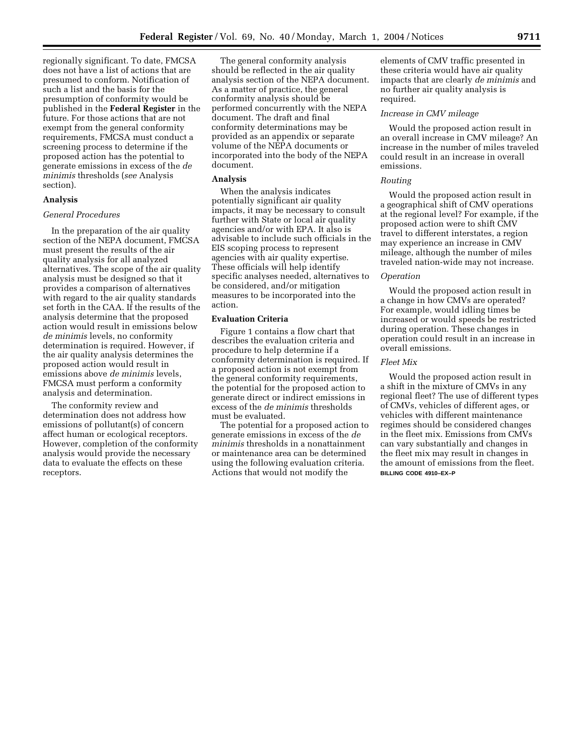regionally significant. To date, FMCSA does not have a list of actions that are presumed to conform. Notification of such a list and the basis for the presumption of conformity would be published in the **Federal Register** in the future. For those actions that are not exempt from the general conformity requirements, FMCSA must conduct a screening process to determine if the proposed action has the potential to generate emissions in excess of the *de minimis* thresholds (*see* Analysis section).

# **Analysis**

#### *General Procedures*

In the preparation of the air quality section of the NEPA document, FMCSA must present the results of the air quality analysis for all analyzed alternatives. The scope of the air quality analysis must be designed so that it provides a comparison of alternatives with regard to the air quality standards set forth in the CAA. If the results of the analysis determine that the proposed action would result in emissions below *de minimis* levels, no conformity determination is required. However, if the air quality analysis determines the proposed action would result in emissions above *de minimis* levels, FMCSA must perform a conformity analysis and determination.

The conformity review and determination does not address how emissions of pollutant(s) of concern affect human or ecological receptors. However, completion of the conformity analysis would provide the necessary data to evaluate the effects on these receptors.

The general conformity analysis should be reflected in the air quality analysis section of the NEPA document. As a matter of practice, the general conformity analysis should be performed concurrently with the NEPA document. The draft and final conformity determinations may be provided as an appendix or separate volume of the NEPA documents or incorporated into the body of the NEPA document.

# **Analysis**

When the analysis indicates potentially significant air quality impacts, it may be necessary to consult further with State or local air quality agencies and/or with EPA. It also is advisable to include such officials in the EIS scoping process to represent agencies with air quality expertise. These officials will help identify specific analyses needed, alternatives to be considered, and/or mitigation measures to be incorporated into the action.

# **Evaluation Criteria**

Figure 1 contains a flow chart that describes the evaluation criteria and procedure to help determine if a conformity determination is required. If a proposed action is not exempt from the general conformity requirements, the potential for the proposed action to generate direct or indirect emissions in excess of the *de minimis* thresholds must be evaluated.

The potential for a proposed action to generate emissions in excess of the *de minimis* thresholds in a nonattainment or maintenance area can be determined using the following evaluation criteria. Actions that would not modify the

elements of CMV traffic presented in these criteria would have air quality impacts that are clearly *de minimis* and no further air quality analysis is required.

# *Increase in CMV mileage*

Would the proposed action result in an overall increase in CMV mileage? An increase in the number of miles traveled could result in an increase in overall emissions.

#### *Routing*

Would the proposed action result in a geographical shift of CMV operations at the regional level? For example, if the proposed action were to shift CMV travel to different interstates, a region may experience an increase in CMV mileage, although the number of miles traveled nation-wide may not increase.

# *Operation*

Would the proposed action result in a change in how CMVs are operated? For example, would idling times be increased or would speeds be restricted during operation. These changes in operation could result in an increase in overall emissions.

#### *Fleet Mix*

Would the proposed action result in a shift in the mixture of CMVs in any regional fleet? The use of different types of CMVs, vehicles of different ages, or vehicles with different maintenance regimes should be considered changes in the fleet mix. Emissions from CMVs can vary substantially and changes in the fleet mix may result in changes in the amount of emissions from the fleet. **BILLING CODE 4910–EX–P**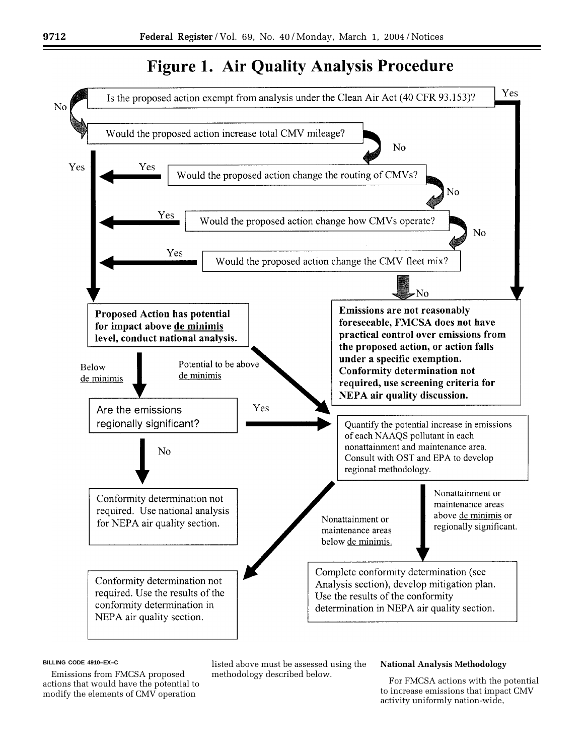# **Figure 1. Air Quality Analysis Procedure**



#### **BILLING CODE 4910–EX–C**

Emissions from FMCSA proposed actions that would have the potential to modify the elements of CMV operation

listed above must be assessed using the methodology described below.

# **National Analysis Methodology**

For FMCSA actions with the potential to increase emissions that impact CMV activity uniformly nation-wide,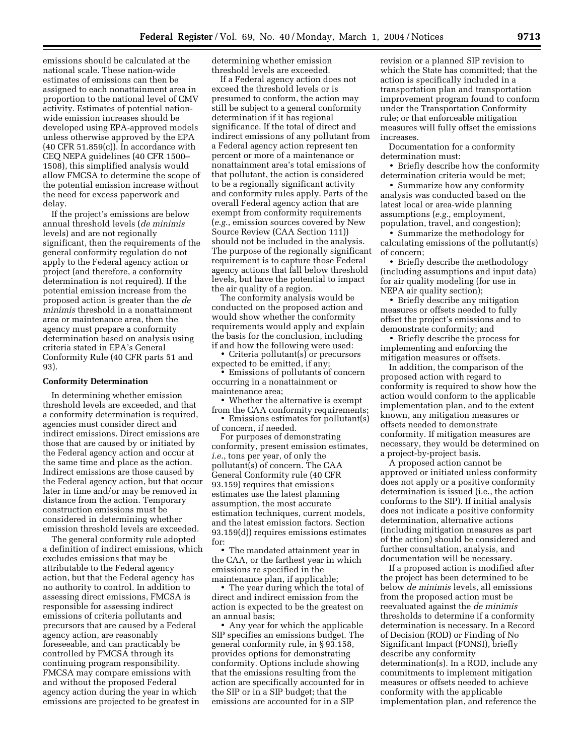emissions should be calculated at the national scale. These nation-wide estimates of emissions can then be assigned to each nonattainment area in proportion to the national level of CMV activity. Estimates of potential nationwide emission increases should be developed using EPA-approved models unless otherwise approved by the EPA  $(40 \text{ CFR } 51.859(c))$ . In accordance with CEQ NEPA guidelines (40 CFR 1500– 1508), this simplified analysis would allow FMCSA to determine the scope of the potential emission increase without the need for excess paperwork and delay.

If the project's emissions are below annual threshold levels (*de minimis* levels) and are not regionally significant, then the requirements of the general conformity regulation do not apply to the Federal agency action or project (and therefore, a conformity determination is not required). If the potential emission increase from the proposed action is greater than the *de minimis* threshold in a nonattainment area or maintenance area, then the agency must prepare a conformity determination based on analysis using criteria stated in EPA's General Conformity Rule (40 CFR parts 51 and 93).

#### **Conformity Determination**

In determining whether emission threshold levels are exceeded, and that a conformity determination is required, agencies must consider direct and indirect emissions. Direct emissions are those that are caused by or initiated by the Federal agency action and occur at the same time and place as the action. Indirect emissions are those caused by the Federal agency action, but that occur later in time and/or may be removed in distance from the action. Temporary construction emissions must be considered in determining whether emission threshold levels are exceeded.

The general conformity rule adopted a definition of indirect emissions, which excludes emissions that may be attributable to the Federal agency action, but that the Federal agency has no authority to control. In addition to assessing direct emissions, FMCSA is responsible for assessing indirect emissions of criteria pollutants and precursors that are caused by a Federal agency action, are reasonably foreseeable, and can practicably be controlled by FMCSA through its continuing program responsibility. FMCSA may compare emissions with and without the proposed Federal agency action during the year in which emissions are projected to be greatest in

determining whether emission threshold levels are exceeded.

If a Federal agency action does not exceed the threshold levels or is presumed to conform, the action may still be subject to a general conformity determination if it has regional significance. If the total of direct and indirect emissions of any pollutant from a Federal agency action represent ten percent or more of a maintenance or nonattainment area's total emissions of that pollutant, the action is considered to be a regionally significant activity and conformity rules apply. Parts of the overall Federal agency action that are exempt from conformity requirements (*e.g.*, emission sources covered by New Source Review (CAA Section 111)) should not be included in the analysis. The purpose of the regionally significant requirement is to capture those Federal agency actions that fall below threshold levels, but have the potential to impact the air quality of a region.

The conformity analysis would be conducted on the proposed action and would show whether the conformity requirements would apply and explain the basis for the conclusion, including if and how the following were used:

• Criteria pollutant(s) or precursors expected to be emitted, if any;

• Emissions of pollutants of concern occurring in a nonattainment or maintenance area;

• Whether the alternative is exempt from the CAA conformity requirements;

• Emissions estimates for pollutant(s) of concern, if needed.

For purposes of demonstrating conformity, present emission estimates, *i.e.*, tons per year, of only the pollutant(s) of concern. The CAA General Conformity rule (40 CFR 93.159) requires that emissions estimates use the latest planning assumption, the most accurate estimation techniques, current models, and the latest emission factors. Section 93.159(d)) requires emissions estimates for:

• The mandated attainment year in the CAA, or the farthest year in which emissions re specified in the maintenance plan, if applicable;

• The year during which the total of direct and indirect emission from the action is expected to be the greatest on an annual basis;

• Any year for which the applicable SIP specifies an emissions budget. The general conformity rule, in § 93.158, provides options for demonstrating conformity. Options include showing that the emissions resulting from the action are specifically accounted for in the SIP or in a SIP budget; that the emissions are accounted for in a SIP

revision or a planned SIP revision to which the State has committed; that the action is specifically included in a transportation plan and transportation improvement program found to conform under the Transportation Conformity rule; or that enforceable mitigation measures will fully offset the emissions increases.

Documentation for a conformity determination must:

• Briefly describe how the conformity determination criteria would be met;

• Summarize how any conformity analysis was conducted based on the latest local or area-wide planning assumptions (*e.g.*, employment, population, travel, and congestion);

• Summarize the methodology for calculating emissions of the pollutant(s) of concern;

• Briefly describe the methodology (including assumptions and input data) for air quality modeling (for use in NEPA air quality section);

• Briefly describe any mitigation measures or offsets needed to fully offset the project's emissions and to demonstrate conformity; and

• Briefly describe the process for implementing and enforcing the mitigation measures or offsets.

In addition, the comparison of the proposed action with regard to conformity is required to show how the action would conform to the applicable implementation plan, and to the extent known, any mitigation measures or offsets needed to demonstrate conformity. If mitigation measures are necessary, they would be determined on a project-by-project basis.

A proposed action cannot be approved or initiated unless conformity does not apply or a positive conformity determination is issued (i.e., the action conforms to the SIP). If initial analysis does not indicate a positive conformity determination, alternative actions (including mitigation measures as part of the action) should be considered and further consultation, analysis, and documentation will be necessary.

If a proposed action is modified after the project has been determined to be below *de minimis* levels, all emissions from the proposed action must be reevaluated against the *de minimis* thresholds to determine if a conformity determination is necessary. In a Record of Decision (ROD) or Finding of No Significant Impact (FONSI), briefly describe any conformity determination(s). In a ROD, include any commitments to implement mitigation measures or offsets needed to achieve conformity with the applicable implementation plan, and reference the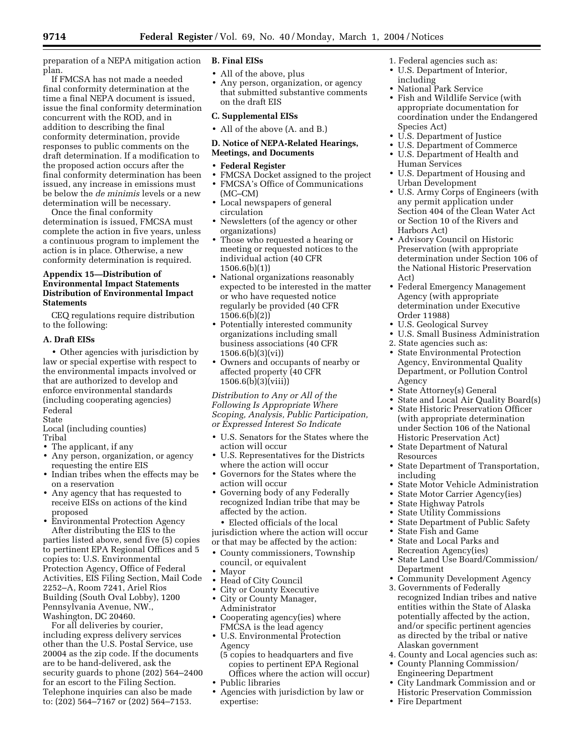preparation of a NEPA mitigation action plan.

If FMCSA has not made a needed final conformity determination at the time a final NEPA document is issued, issue the final conformity determination concurrent with the ROD, and in addition to describing the final conformity determination, provide responses to public comments on the draft determination. If a modification to the proposed action occurs after the final conformity determination has been issued, any increase in emissions must be below the *de minimis* levels or a new determination will be necessary.

Once the final conformity determination is issued, FMCSA must complete the action in five years, unless a continuous program to implement the action is in place. Otherwise, a new conformity determination is required.

# **Appendix 15—Distribution of Environmental Impact Statements Distribution of Environmental Impact Statements**

CEQ regulations require distribution to the following:

# **A. Draft EISs**

• Other agencies with jurisdiction by law or special expertise with respect to the environmental impacts involved or that are authorized to develop and enforce environmental standards (including cooperating agencies) Federal

State

Local (including counties) Tribal

- The applicant, if any
- Any person, organization, or agency requesting the entire EIS
- Indian tribes when the effects may be on a reservation
- Any agency that has requested to receive EISs on actions of the kind proposed

• Environmental Protection Agency After distributing the EIS to the parties listed above, send five (5) copies to pertinent EPA Regional Offices and 5 copies to: U.S. Environmental Protection Agency, Office of Federal Activities, EIS Filing Section, Mail Code 2252–A, Room 7241, Ariel Rios Building (South Oval Lobby), 1200 Pennsylvania Avenue, NW., Washington, DC 20460.

For all deliveries by courier, including express delivery services other than the U.S. Postal Service, use 20004 as the zip code. If the documents are to be hand-delivered, ask the security guards to phone (202) 564–2400 for an escort to the Filing Section. Telephone inquiries can also be made to: (202) 564–7167 or (202) 564–7153.

# **B. Final EISs**

- All of the above, plus
- Any person, organization, or agency that submitted substantive comments on the draft EIS

# **C. Supplemental EISs**

• All of the above (A. and B.)

# **D. Notice of NEPA-Related Hearings, Meetings, and Documents**

- **Federal Register**
- FMCSA Docket assigned to the project
- FMCSA's Office of Communications
- (MC–CM) • Local newspapers of general circulation
- Newsletters (of the agency or other organizations)
- Those who requested a hearing or meeting or requested notices to the individual action (40 CFR  $1506.6(b)(1)$
- National organizations reasonably expected to be interested in the matter or who have requested notice regularly be provided (40 CFR 1506.6(b)(2))
- Potentially interested community organizations including small business associations (40 CFR 1506.6(b)(3)(vi))
- Owners and occupants of nearby or affected property (40 CFR 1506.6(b)(3)(viii))

*Distribution to Any or All of the Following Is Appropriate Where Scoping, Analysis, Public Participation, or Expressed Interest So Indicate* 

- U.S. Senators for the States where the action will occur
- U.S. Representatives for the Districts where the action will occur
- Governors for the States where the action will occur
- Governing body of any Federally recognized Indian tribe that may be affected by the action.

• Elected officials of the local jurisdiction where the action will occur or that may be affected by the action:

- County commissioners, Township council, or equivalent
- Mayor
- Head of City Council
- City or County Executive • City or County Manager, Administrator
- Cooperating agency(ies) where FMCSA is the lead agency
- U.S. Environmental Protection Agency
- (5 copies to headquarters and five copies to pertinent EPA Regional Offices where the action will occur)
- Public libraries
- Agencies with jurisdiction by law or expertise:
- 1. Federal agencies such as:
- U.S. Department of Interior, including
- National Park Service<br>• Fish and Wildlife Serv
- Fish and Wildlife Service (with appropriate documentation for coordination under the Endangered Species Act)
- U.S. Department of Justice
- U.S. Department of Commerce
- U.S. Department of Health and Human Services
- U.S. Department of Housing and Urban Development
- U.S. Army Corps of Engineers (with any permit application under Section 404 of the Clean Water Act or Section 10 of the Rivers and Harbors Act)
- Advisory Council on Historic Preservation (with appropriate determination under Section 106 of the National Historic Preservation Act)
- Federal Emergency Management Agency (with appropriate determination under Executive Order 11988)
- U.S. Geological Survey
- U.S. Small Business Administration
- 2. State agencies such as:
- State Environmental Protection Agency, Environmental Quality Department, or Pollution Control Agency
- State Attorney(s) General
- State and Local Air Quality Board(s)
- State Historic Preservation Officer (with appropriate determination under Section 106 of the National Historic Preservation Act)
- State Department of Natural Resources
- State Department of Transportation, including
- State Motor Vehicle Administration
- State Motor Carrier Agency(ies)
- State Highway Patrols
- State Utility Commissions
- State Department of Public Safety
- State Fish and Game
- State and Local Parks and Recreation Agency(ies)
- State Land Use Board/Commission/ Department
- Community Development Agency
- 3. Governments of Federally recognized Indian tribes and native entities within the State of Alaska potentially affected by the action, and/or specific pertinent agencies as directed by the tribal or native Alaskan government
- 4. County and Local agencies such as:
- County Planning Commission/ Engineering Department
- City Landmark Commission and or Historic Preservation Commission
- Fire Department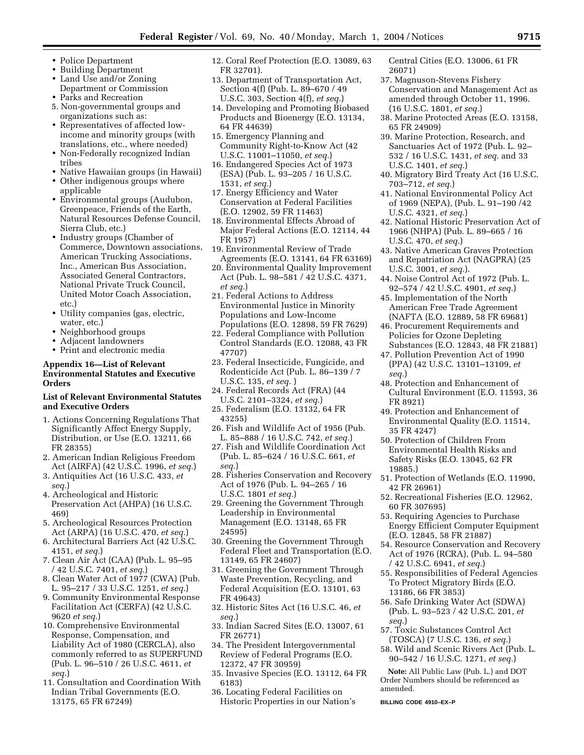- Police Department
- Building Department
- Land Use and/or Zoning Department or Commission
- Parks and Recreation
- 5. Non-governmental groups and organizations such as:
- Representatives of affected lowincome and minority groups (with translations, etc., where needed)
- Non-Federally recognized Indian tribes
- Native Hawaiian groups (in Hawaii)
- Other indigenous groups where applicable
- Environmental groups (Audubon, Greenpeace, Friends of the Earth, Natural Resources Defense Council, Sierra Club, etc.)
- Industry groups (Chamber of Commerce, Downtown associations, American Trucking Associations, Inc., American Bus Association, Associated General Contractors, National Private Truck Council, United Motor Coach Association, etc.)
- Utility companies (gas, electric, water, etc.)
- Neighborhood groups
- Adjacent landowners
- Print and electronic media

#### **Appendix 16—List of Relevant Environmental Statutes and Executive Orders**

# **List of Relevant Environmental Statutes and Executive Orders**

- 1. Actions Concerning Regulations That Significantly Affect Energy Supply, Distribution, or Use (E.O. 13211, 66 FR 28355)
- 2. American Indian Religious Freedom Act (AIRFA) (42 U.S.C. 1996, *et seq.*)
- 3. Antiquities Act (16 U.S.C. 433, *et seq.*)
- 4. Archeological and Historic Preservation Act (AHPA) (16 U.S.C. 469)
- 5. Archeological Resources Protection Act (ARPA) (16 U.S.C. 470, *et seq.*)
- 6. Architectural Barriers Act (42 U.S.C. 4151, *et seq.*)
- 7. Clean Air Act (CAA) (Pub. L. 95–95 / 42 U.S.C. 7401, *et seq.*)
- 8. Clean Water Act of 1977 (CWA) (Pub. L. 95–217 / 33 U.S.C. 1251, *et seq.*)
- 9. Community Environmental Response Facilitation Act (CERFA) (42 U.S.C. 9620 *et seq.*)
- 10. Comprehensive Environmental Response, Compensation, and Liability Act of 1980 (CERCLA), also commonly referred to as SUPERFUND (Pub. L. 96–510 / 26 U.S.C. 4611, *et seq.*)
- 11. Consultation and Coordination With Indian Tribal Governments (E.O. 13175, 65 FR 67249)
- 12. Coral Reef Protection (E.O. 13089, 63 FR 32701).
- 13. Department of Transportation Act, Section 4(f) (Pub. L. 89–670 / 49 U.S.C. 303, Section 4(f), *et seq.*)
- 14. Developing and Promoting Biobased Products and Bioenergy (E.O. 13134, 64 FR 44639)
- 15. Emergency Planning and Community Right-to-Know Act (42 U.S.C. 11001–11050, *et seq.*)
- 16. Endangered Species Act of 1973 (ESA) (Pub. L. 93–205 / 16 U.S.C. 1531, *et seq.*)
- 17. Energy Efficiency and Water Conservation at Federal Facilities (E.O. 12902, 59 FR 11463)
- 18. Environmental Effects Abroad of Major Federal Actions (E.O. 12114, 44 FR 1957)
- 19. Environmental Review of Trade Agreements (E.O. 13141, 64 FR 63169)
- 20. Environmental Quality Improvement Act (Pub. L. 98–581 / 42 U.S.C. 4371, *et seq.*)
- 21. Federal Actions to Address Environmental Justice in Minority Populations and Low-Income Populations (E.O. 12898, 59 FR 7629)
- 22. Federal Compliance with Pollution Control Standards (E.O. 12088, 43 FR 47707)
- 23. Federal Insecticide, Fungicide, and Rodenticide Act (Pub. L. 86–139 / 7 U.S.C. 135, *et seq.* )
- 24. Federal Records Act (FRA) (44 U.S.C. 2101–3324, *et seq.*)
- 25. Federalism (E.O. 13132, 64 FR 43255)
- 26. Fish and Wildlife Act of 1956 (Pub. L. 85–888 / 16 U.S.C. 742, *et seq.*)
- 27. Fish and Wildlife Coordination Act (Pub. L. 85–624 / 16 U.S.C. 661, *et seq.*)
- 28. Fisheries Conservation and Recovery Act of 1976 (Pub. L. 94–265 / 16 U.S.C. 1801 *et seq.*)
- 29. Greening the Government Through Leadership in Environmental Management (E.O. 13148, 65 FR 24595)
- 30. Greening the Government Through Federal Fleet and Transportation (E.O. 13149, 65 FR 24607)
- 31. Greening the Government Through Waste Prevention, Recycling, and Federal Acquisition (E.O. 13101, 63 FR 49643)
- 32. Historic Sites Act (16 U.S.C. 46, *et seq.*)
- 33. Indian Sacred Sites (E.O. 13007, 61 FR 26771)
- 34. The President Intergovernmental Review of Federal Programs (E.O. 12372, 47 FR 30959)
- 35. Invasive Species (E.O. 13112, 64 FR 6183)
- 36. Locating Federal Facilities on Historic Properties in our Nation's
- Central Cities (E.O. 13006, 61 FR 26071)
- 37. Magnuson-Stevens Fishery Conservation and Management Act as amended through October 11, 1996. (16 U.S.C. 1801, *et seq.*)
- 38. Marine Protected Areas (E.O. 13158, 65 FR 24909)
- 39. Marine Protection, Research, and Sanctuaries Act of 1972 (Pub. L. 92– 532 / 16 U.S.C. 1431, *et seq.* and 33 U.S.C. 1401, *et seq.*)
- 40. Migratory Bird Treaty Act (16 U.S.C. 703–712, *et seq.*)
- 41. National Environmental Policy Act of 1969 (NEPA), (Pub. L. 91–190 /42 U.S.C. 4321, *et seq.*)
- 42. National Historic Preservation Act of 1966 (NHPA) (Pub. L. 89–665 / 16 U.S.C. 470, *et seq.*)
- 43. Native American Graves Protection and Repatriation Act (NAGPRA) (25 U.S.C. 3001, *et seq.*).
- 44. Noise Control Act of 1972 (Pub. L. 92–574 / 42 U.S.C. 4901, *et seq.*)
- 45. Implementation of the North American Free Trade Agreement
- (NAFTA (E.O. 12889, 58 FR 69681) 46. Procurement Requirements and Policies for Ozone Depleting Substances (E.O. 12843, 48 FR 21881)
- 47. Pollution Prevention Act of 1990 (PPA) (42 U.S.C. 13101–13109, *et seq.*)
- 48. Protection and Enhancement of Cultural Environment (E.O. 11593, 36 FR 8921)
- 49. Protection and Enhancement of Environmental Quality (E.O. 11514, 35 FR 4247)
- 50. Protection of Children From Environmental Health Risks and Safety Risks (E.O. 13045, 62 FR 19885.)
- 51. Protection of Wetlands (E.O. 11990, 42 FR 26961)
- 52. Recreational Fisheries (E.O. 12962, 60 FR 307695)
- 53. Requiring Agencies to Purchase Energy Efficient Computer Equipment (E.O. 12845, 58 FR 21887)
- 54. Resource Conservation and Recovery Act of 1976 (RCRA), (Pub. L. 94–580 / 42 U.S.C. 6941, *et seq.*)
- 55. Responsibilities of Federal Agencies To Protect Migratory Birds (E.O. 13186, 66 FR 3853)
- 56. Safe Drinking Water Act (SDWA) (Pub. L. 93–523 / 42 U.S.C. 201, *et seq.*)
- 57. Toxic Substances Control Act (TOSCA) (7 U.S.C. 136, *et seq.*)
- 58. Wild and Scenic Rivers Act (Pub. L. 90–542 / 16 U.S.C. 1271, *et seq.*)

**Note:** All Public Law (Pub. L.) and DOT Order Numbers should be referenced as amended.

#### **BILLING CODE 4910–EX–P**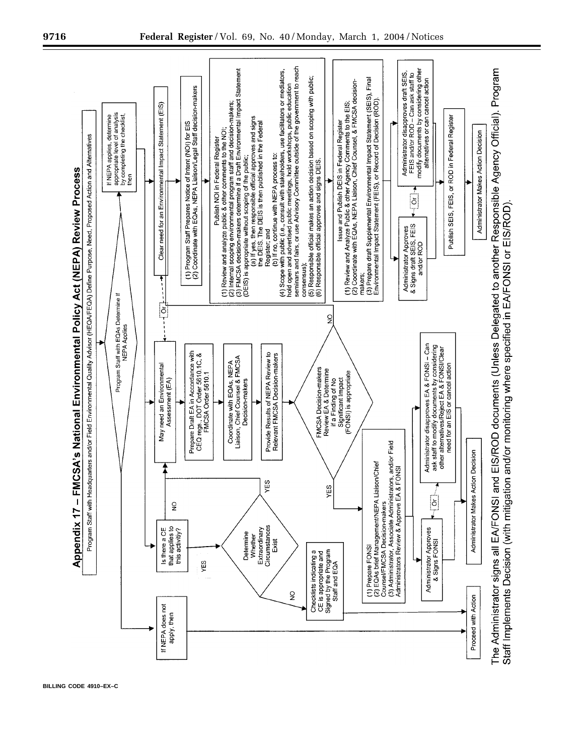

**BILLING CODE 4910–EX–C**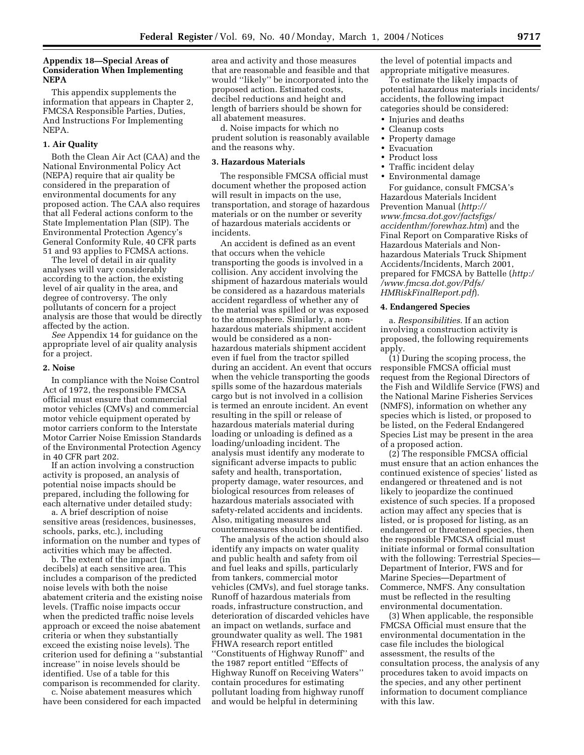# **Appendix 18—Special Areas of Consideration When Implementing NEPA**

This appendix supplements the information that appears in Chapter 2, FMCSA Responsible Parties, Duties, And Instructions For Implementing NEPA.

#### **1. Air Quality**

Both the Clean Air Act (CAA) and the National Environmental Policy Act (NEPA) require that air quality be considered in the preparation of environmental documents for any proposed action. The CAA also requires that all Federal actions conform to the State Implementation Plan (SIP). The Environmental Protection Agency's General Conformity Rule, 40 CFR parts 51 and 93 applies to FCMSA actions.

The level of detail in air quality analyses will vary considerably according to the action, the existing level of air quality in the area, and degree of controversy. The only pollutants of concern for a project analysis are those that would be directly affected by the action.

*See* Appendix 14 for guidance on the appropriate level of air quality analysis for a project.

#### **2. Noise**

In compliance with the Noise Control Act of 1972, the responsible FMCSA official must ensure that commercial motor vehicles (CMVs) and commercial motor vehicle equipment operated by motor carriers conform to the Interstate Motor Carrier Noise Emission Standards of the Environmental Protection Agency in 40 CFR part 202.

If an action involving a construction activity is proposed, an analysis of potential noise impacts should be prepared, including the following for each alternative under detailed study:

a. A brief description of noise sensitive areas (residences, businesses, schools, parks, etc.), including information on the number and types of activities which may be affected.

b. The extent of the impact (in decibels) at each sensitive area. This includes a comparison of the predicted noise levels with both the noise abatement criteria and the existing noise levels. (Traffic noise impacts occur when the predicted traffic noise levels approach or exceed the noise abatement criteria or when they substantially exceed the existing noise levels). The criterion used for defining a ''substantial increase'' in noise levels should be identified. Use of a table for this comparison is recommended for clarity.

c. Noise abatement measures which have been considered for each impacted area and activity and those measures that are reasonable and feasible and that would ''likely'' be incorporated into the proposed action. Estimated costs, decibel reductions and height and length of barriers should be shown for all abatement measures.

d. Noise impacts for which no prudent solution is reasonably available and the reasons why.

#### **3. Hazardous Materials**

The responsible FMCSA official must document whether the proposed action will result in impacts on the use, transportation, and storage of hazardous materials or on the number or severity of hazardous materials accidents or incidents.

An accident is defined as an event that occurs when the vehicle transporting the goods is involved in a collision. Any accident involving the shipment of hazardous materials would be considered as a hazardous materials accident regardless of whether any of the material was spilled or was exposed to the atmosphere. Similarly, a nonhazardous materials shipment accident would be considered as a nonhazardous materials shipment accident even if fuel from the tractor spilled during an accident. An event that occurs when the vehicle transporting the goods spills some of the hazardous materials cargo but is not involved in a collision is termed an enroute incident. An event resulting in the spill or release of hazardous materials material during loading or unloading is defined as a loading/unloading incident. The analysis must identify any moderate to significant adverse impacts to public safety and health, transportation, property damage, water resources, and biological resources from releases of hazardous materials associated with safety-related accidents and incidents. Also, mitigating measures and countermeasures should be identified.

The analysis of the action should also identify any impacts on water quality and public health and safety from oil and fuel leaks and spills, particularly from tankers, commercial motor vehicles (CMVs), and fuel storage tanks. Runoff of hazardous materials from roads, infrastructure construction, and deterioration of discarded vehicles have an impact on wetlands, surface and groundwater quality as well. The 1981 FHWA research report entitled ''Constituents of Highway Runoff'' and the 1987 report entitled ''Effects of Highway Runoff on Receiving Waters'' contain procedures for estimating pollutant loading from highway runoff and would be helpful in determining

the level of potential impacts and appropriate mitigative measures.

To estimate the likely impacts of potential hazardous materials incidents/ accidents, the following impact categories should be considered:

- Injuries and deaths
- Cleanup costs
- Property damage
- Evacuation
- Product loss
- Traffic incident delay
- Environmental damage

For guidance, consult FMCSA's Hazardous Materials Incident Prevention Manual (*http:// www.fmcsa.dot.gov/factsfigs/ accidenthm/forewhaz.htm*) and the Final Report on Comparative Risks of Hazardous Materials and Nonhazardous Materials Truck Shipment Accidents/Incidents, March 2001, prepared for FMCSA by Battelle (*http:/ /www.fmcsa.dot.gov/Pdfs/ HMRiskFinalReport.pdf*).

#### **4. Endangered Species**

a. *Responsibilities*. If an action involving a construction activity is proposed, the following requirements apply.

(1) During the scoping process, the responsible FMCSA official must request from the Regional Directors of the Fish and Wildlife Service (FWS) and the National Marine Fisheries Services (NMFS), information on whether any species which is listed, or proposed to be listed, on the Federal Endangered Species List may be present in the area of a proposed action.

(2) The responsible FMCSA official must ensure that an action enhances the continued existence of species' listed as endangered or threatened and is not likely to jeopardize the continued existence of such species. If a proposed action may affect any species that is listed, or is proposed for listing, as an endangered or threatened species, then the responsible FMCSA official must initiate informal or formal consultation with the following: Terrestrial Species— Department of Interior, FWS and for Marine Species—Department of Commerce, NMFS. Any consultation must be reflected in the resulting environmental documentation.

(3) When applicable, the responsible FMCSA Official must ensure that the environmental documentation in the case file includes the biological assessment, the results of the consultation process, the analysis of any procedures taken to avoid impacts on the species, and any other pertinent information to document compliance with this law.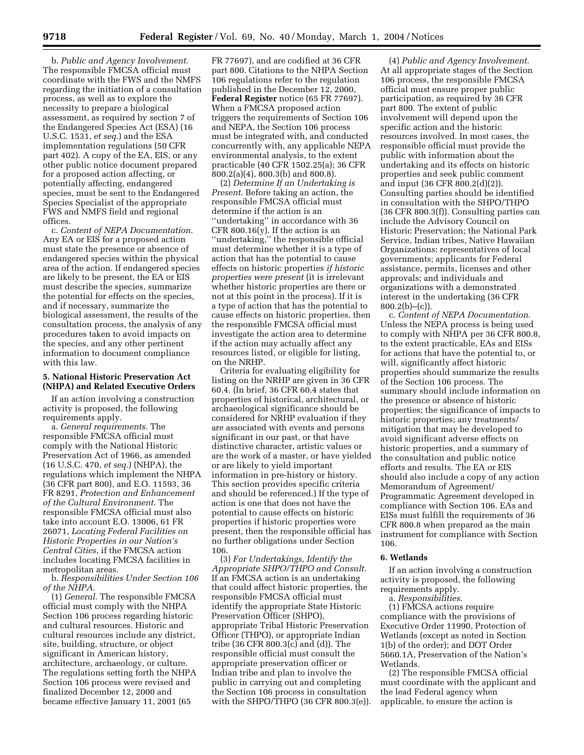b. *Public and Agency Involvement*. The responsible FMCSA official must coordinate with the FWS and the NMFS regarding the initiation of a consultation process, as well as to explore the necessity to prepare a biological assessment, as required by section 7 of the Endangered Species Act (ESA) (16 U.S.C. 1531, *et seq.*) and the ESA implementation regulations (50 CFR part 402). A copy of the EA, EIS, or any other public notice document prepared for a proposed action affecting, or potentially affecting, endangered species, must be sent to the Endangered Species Specialist of the appropriate FWS and NMFS field and regional offices.

c. *Content of NEPA Documentation*. Any EA or EIS for a proposed action must state the presence or absence of endangered species within the physical area of the action. If endangered species are likely to be present, the EA or EIS must describe the species, summarize the potential for effects on the species, and if necessary, summarize the biological assessment, the results of the consultation process, the analysis of any procedures taken to avoid impacts on the species, and any other pertinent information to document compliance with this law.

# **5. National Historic Preservation Act (NHPA) and Related Executive Orders**

If an action involving a construction activity is proposed, the following requirements apply.

a. *General requirements*. The responsible FMCSA official must comply with the National Historic Preservation Act of 1966, as amended (16 U.S.C. 470, *et seq.*) (NHPA), the regulations which implement the NHPA (36 CFR part 800), and E.O. 11593, 36 FR 8291, *Protection and Enhancement of the Cultural Environment*. The responsible FMCSA official must also take into account E.O. 13006, 61 FR 26071, *Locating Federal Facilities on Historic Properties in our Nation's Central Cities*, if the FMCSA action includes locating FMCSA facilities in metropolitan areas.

b. *Responsibilities Under Section 106 of the NHPA.*

(1) *General*. The responsible FMCSA official must comply with the NHPA Section 106 process regarding historic and cultural resources. Historic and cultural resources include any district, site, building, structure, or object significant in American history, architecture, archaeology, or culture. The regulations setting forth the NHPA Section 106 process were revised and finalized December 12, 2000 and became effective January 11, 2001 (65

FR 77697), and are codified at 36 CFR part 800. Citations to the NHPA Section 106 regulations refer to the regulation published in the December 12, 2000, **Federal Register** notice (65 FR 77697). When a FMCSA proposed action triggers the requirements of Section 106 and NEPA, the Section 106 process must be integrated with, and conducted concurrently with, any applicable NEPA environmental analysis, to the extent practicable (40 CFR 1502.25(a); 36 CFR 800.2(a)(4), 800.3(b) and 800.8).

(2) *Determine If an Undertaking is Present*. Before taking an action, the responsible FMCSA official must determine if the action is an ''undertaking'' in accordance with 36 CFR 800.16 $(y)$ . If the action is an ''undertaking,'' the responsible official must determine whether it is a type of action that has the potential to cause effects on historic properties *if historic properties were present* (it is irrelevant whether historic properties are there or not at this point in the process). If it is a type of action that has the potential to cause effects on historic properties, then the responsible FMCSA official must investigate the action area to determine if the action may actually affect any resources listed, or eligible for listing, on the NRHP.

Criteria for evaluating eligibility for listing on the NRHP are given in 36 CFR 60.4. (In brief, 36 CFR 60.4 states that properties of historical, architectural, or archaeological significance should be considered for NRHP evaluation if they are associated with events and persons significant in our past, or that have distinctive character, artistic values or are the work of a master, or have yielded or are likely to yield important information in pre-history or history. This section provides specific criteria and should be referenced.) If the type of action is one that does not have the potential to cause effects on historic properties if historic properties were present, then the responsible official has no further obligations under Section 106.

(3) *For Undertakings, Identify the Appropriate SHPO/THPO and Consult*. If an FMCSA action is an undertaking that could affect historic properties, the responsible FMCSA official must identify the appropriate State Historic Preservation Officer (SHPO), appropriate Tribal Historic Preservation Officer (THPO), or appropriate Indian tribe (36 CFR 800.3(c) and (d)). The responsible official must consult the appropriate preservation officer or Indian tribe and plan to involve the public in carrying out and completing the Section 106 process in consultation with the SHPO/THPO (36 CFR 800.3(e)).

(4) *Public and Agency Involvement*. At all appropriate stages of the Section 106 process, the responsible FMCSA official must ensure proper public participation, as required by 36 CFR part 800. The extent of public involvement will depend upon the specific action and the historic resources involved. In most cases, the responsible official must provide the public with information about the undertaking and its effects on historic properties and seek public comment and input (36 CFR 800.2(d)(2)). Consulting parties should be identified in consultation with the SHPO/THPO (36 CFR 800.3(f)). Consulting parties can include the Advisory Council on Historic Preservation; the National Park Service, Indian tribes, Native Hawaiian Organizations; representatives of local governments; applicants for Federal assistance, permits, licenses and other approvals; and individuals and organizations with a demonstrated interest in the undertaking (36 CFR  $800.2(b)$ –(c)).

c. *Content of NEPA Documentation*. Unless the NEPA process is being used to comply with NHPA per 36 CFR 800.8, to the extent practicable, EAs and EISs for actions that have the potential to, or will, significantly affect historic properties should summarize the results of the Section 106 process. The summary should include information on the presence or absence of historic properties; the significance of impacts to historic properties; any treatments/ mitigation that may be developed to avoid significant adverse effects on historic properties, and a summary of the consultation and public notice efforts and results. The EA or EIS should also include a copy of any action Memorandum of Agreement/ Programmatic Agreement developed in compliance with Section 106. EAs and EISs must fulfill the requirements of 36 CFR 800.8 when prepared as the main instrument for compliance with Section 106.

#### **6. Wetlands**

If an action involving a construction activity is proposed, the following requirements apply.

a. *Responsibilities*.

(1) FMCSA actions require compliance with the provisions of Executive Order 11990, Protection of Wetlands (except as noted in Section 1(b) of the order); and DOT Order 5660.1A, Preservation of the Nation's Wetlands.

(2) The responsible FMCSA official must coordinate with the applicant and the lead Federal agency when applicable, to ensure the action is